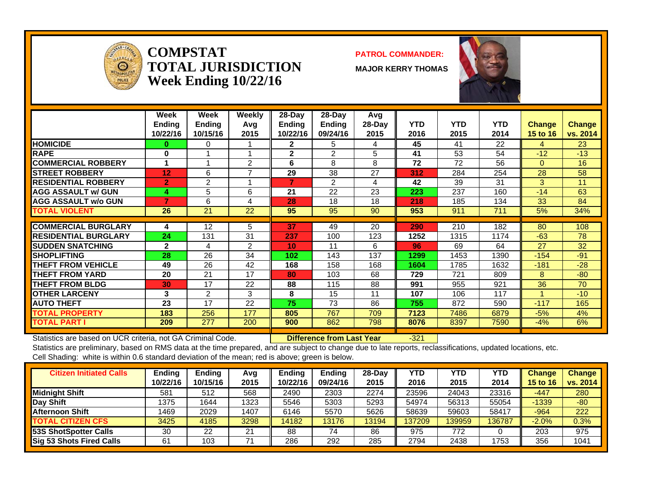

**COMPSTATTOTAL JURISDICTIONWeek Ending 10/22/16**

#### **PATROL COMMANDER:**

**MAJOR KERRY THOMAS**



|                             | Week<br><b>Ending</b><br>10/22/16 | Week<br><b>Ending</b><br>10/15/16 | Weekly<br>Avq<br>2015 | 28-Day<br><b>Ending</b><br>10/22/16 | $28$ -Day<br><b>Ending</b><br>09/24/16 | Avg<br>$28-Day$<br>2015 | <b>YTD</b><br>2016 | <b>YTD</b><br>2015 | <b>YTD</b><br>2014 | <b>Change</b><br>15 to 16 | <b>Change</b><br>vs. 2014 |
|-----------------------------|-----------------------------------|-----------------------------------|-----------------------|-------------------------------------|----------------------------------------|-------------------------|--------------------|--------------------|--------------------|---------------------------|---------------------------|
| <b>HOMICIDE</b>             | 0                                 | $\Omega$                          |                       | $\mathbf{2}$                        | 5                                      | 4                       | 45                 | 41                 | 22                 | 4                         | 23                        |
| <b>RAPE</b>                 | 0                                 |                                   |                       | $\mathbf{2}$                        | 2                                      | 5                       | 41                 | 53                 | 54                 | $-12$                     | $-13$                     |
| <b>COMMERCIAL ROBBERY</b>   |                                   | 4                                 | 2                     | 6                                   | 8                                      | 8                       | 72                 | 72                 | 56                 | $\Omega$                  | 16                        |
| <b>STREET ROBBERY</b>       | 12                                | 6                                 | $\overline{ }$        | 29                                  | 38                                     | 27                      | 312                | 284                | 254                | 28                        | 58                        |
| <b>RESIDENTIAL ROBBERY</b>  | $\overline{2}$                    | 2                                 |                       |                                     | 2                                      | 4                       | 42                 | 39                 | 31                 | 3                         | 11                        |
| <b>AGG ASSAULT w/ GUN</b>   | 4                                 | 5                                 | 6                     | 21                                  | 22                                     | 23                      | 223                | 237                | 160                | $-14$                     | 63                        |
| <b>IAGG ASSAULT w/o GUN</b> |                                   | 6                                 | 4                     | 28                                  | 18                                     | 18                      | 218                | 185                | 134                | 33                        | 84                        |
| <b>TOTAL VIOLENT</b>        | 26                                | 21                                | 22                    | 95                                  | 95                                     | 90                      | 953                | 911                | 711                | 5%                        | 34%                       |
|                             |                                   |                                   |                       |                                     |                                        |                         |                    |                    |                    |                           |                           |
| <b>COMMERCIAL BURGLARY</b>  | 4                                 | 12                                | 5                     | 37                                  | 49                                     | 20                      | 290                | 210                | 182                | 80                        | 108                       |
| <b>RESIDENTIAL BURGLARY</b> | 24                                | 131                               | 31                    | 237                                 | 100                                    | 123                     | 1252               | 1315               | 1174               | $-63$                     | 78                        |
| <b>SUDDEN SNATCHING</b>     | $\mathbf{2}$                      | 4                                 | 2                     | 10                                  | 11                                     | 6                       | 96                 | 69                 | 64                 | 27                        | 32                        |
| <b>SHOPLIFTING</b>          | 28                                | 26                                | 34                    | 102                                 | 143                                    | 137                     | 1299               | 1453               | 1390               | $-154$                    | $-91$                     |
| <b>THEFT FROM VEHICLE</b>   | 49                                | 26                                | 42                    | 168                                 | 158                                    | 168                     | 1604               | 1785               | 1632               | $-181$                    | $-28$                     |
| <b>THEFT FROM YARD</b>      | 20                                | 21                                | 17                    | 80                                  | 103                                    | 68                      | 729                | 721                | 809                | 8                         | $-80$                     |
| <b>THEFT FROM BLDG</b>      | 30                                | 17                                | 22                    | 88                                  | 115                                    | 88                      | 991                | 955                | 921                | 36                        | 70                        |
| <b>OTHER LARCENY</b>        | 3                                 | 2                                 | 3                     | 8                                   | 15                                     | 11                      | 107                | 106                | 117                |                           | $-10$                     |
| <b>AUTO THEFT</b>           | 23                                | 17                                | 22                    | 75                                  | 73                                     | 86                      | 755                | 872                | 590                | $-117$                    | 165                       |
| <b>TOTAL PROPERTY</b>       | 183                               | 256                               | 177                   | 805                                 | 767                                    | 709                     | 7123               | 7486               | 6879               | $-5%$                     | 4%                        |
| <b>TOTAL PART I</b>         | 209                               | 277                               | 200                   | 900                                 | 862                                    | 798                     | 8076               | 8397               | 7590               | $-4\%$                    | 6%                        |

Statistics are based on UCR criteria, not GA Criminal Code. **Difference from Last Year** -321

| <b>Citizen Initiated Calls</b>  | Ending   | <b>Ending</b> | Avg  | Endina   | Ending   | $28-Dav$ | YTD    | YTD    | YTD    | <b>Change</b>   | <b>Change</b> |
|---------------------------------|----------|---------------|------|----------|----------|----------|--------|--------|--------|-----------------|---------------|
|                                 | 10/22/16 | 10/15/16      | 2015 | 10/22/16 | 09/24/16 | 2015     | 2016   | 2015   | 2014   | <b>15 to 16</b> | vs. 2014      |
| <b>Midnight Shift</b>           | 581      | 512           | 568  | 2490     | 2303     | 2274     | 23596  | 24043  | 23316  | $-447$          | 280           |
| <b>Day Shift</b>                | 1375     | 1644          | 1323 | 5546     | 5303     | 5293     | 54974  | 56313  | 55054  | $-1339$         | $-80$         |
| Afternoon Shift                 | 1469     | 2029          | 1407 | 6146     | 5570     | 5626     | 58639  | 59603  | 58417  | $-964$          | 222           |
| <b>TOTAL CITIZEN CFS</b>        | 3425     | 4185          | 3298 | 14182    | 13176    | 13194    | 137209 | 139959 | 136787 | $-2.0%$         | $0.3\%$       |
| 53S ShotSpotter Calls           | 30       | 22            | 21   | 88       | 74       | 86       | 975    | 772    |        | 203             | 975           |
| <b>Sig 53 Shots Fired Calls</b> | 61       | 103           |      | 286      | 292      | 285      | 2794   | 2438   | 1753   | 356             | 1041          |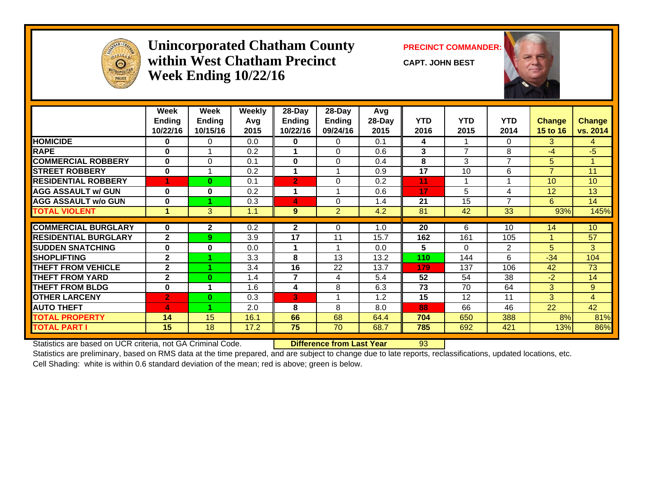

#### **Unincorporated Chatham County PRECINCT COMMANDER: within West Chatham PrecinctWeek Ending 10/22/16**

**CAPT. JOHN BEST**



|                             | Week                      | Week                      | Weekly      | 28-Day                    | 28-Day                    | Avg            |                    |                    |                    |                           |                           |
|-----------------------------|---------------------------|---------------------------|-------------|---------------------------|---------------------------|----------------|--------------------|--------------------|--------------------|---------------------------|---------------------------|
|                             | <b>Ending</b><br>10/22/16 | <b>Ending</b><br>10/15/16 | Avg<br>2015 | <b>Ending</b><br>10/22/16 | <b>Ending</b><br>09/24/16 | 28-Day<br>2015 | <b>YTD</b><br>2016 | <b>YTD</b><br>2015 | <b>YTD</b><br>2014 | <b>Change</b><br>15 to 16 | <b>Change</b><br>vs. 2014 |
| <b>HOMICIDE</b>             | $\bf{0}$                  | $\Omega$                  | 0.0         | 0                         | 0                         | 0.1            | 4                  |                    | 0                  | 3.                        | 4                         |
| <b>RAPE</b>                 | $\bf{0}$                  |                           | 0.2         |                           | $\Omega$                  | 0.6            | 3                  | 7                  | 8                  | $-4$                      | $-5$                      |
| <b>COMMERCIAL ROBBERY</b>   | $\mathbf 0$               | 0                         | 0.1         | 0                         | $\Omega$                  | 0.4            | 8                  | 3                  | 7                  | 5                         |                           |
| <b>STREET ROBBERY</b>       | $\bf{0}$                  |                           | 0.2         |                           |                           | 0.9            | 17                 | 10                 | 6                  | $\overline{7}$            | 11                        |
| <b>RESIDENTIAL ROBBERY</b>  | 4                         | $\bf{0}$                  | 0.1         | $\overline{2}$            | $\Omega$                  | 0.2            | 11                 |                    |                    | 10 <sup>°</sup>           | 10                        |
| <b>AGG ASSAULT w/ GUN</b>   | $\bf{0}$                  | $\mathbf{0}$              | 0.2         |                           |                           | 0.6            | 17                 | 5                  | 4                  | 12 <sup>2</sup>           | 13                        |
| <b>AGG ASSAULT w/o GUN</b>  | $\bf{0}$                  |                           | 0.3         | 4                         | $\Omega$                  | 1.4            | 21                 | 15                 | 7                  | 6                         | 14                        |
| <b>TOTAL VIOLENT</b>        | 1                         | 3                         | 1.1         | 9                         | $\overline{2}$            | 4.2            | 81                 | 42                 | 33                 | 93%                       | 145%                      |
|                             |                           |                           |             |                           |                           |                |                    |                    |                    |                           |                           |
| <b>COMMERCIAL BURGLARY</b>  | $\bf{0}$                  | $\mathbf{2}$              | 0.2         | $\mathbf{2}$              | 0                         | 1.0            | 20                 | 6                  | 10                 | 14                        | 10                        |
| <b>RESIDENTIAL BURGLARY</b> | $\mathbf{2}$              | 9                         | 3.9         | 17                        | 11                        | 15.7           | 162                | 161                | 105                | 1                         | 57                        |
| <b>SUDDEN SNATCHING</b>     | $\bf{0}$                  | $\mathbf{0}$              | 0.0         |                           |                           | 0.0            | 5                  | $\Omega$           | 2                  | 5                         | 3                         |
| <b>SHOPLIFTING</b>          | $\mathbf{2}$              |                           | 3.3         | 8                         | 13                        | 13.2           | 110                | 144                | 6                  | $-34$                     | 104                       |
| <b>THEFT FROM VEHICLE</b>   | $\mathbf{2}$              |                           | 3.4         | 16                        | 22                        | 13.7           | 179                | 137                | 106                | 42                        | 73                        |
| <b>THEFT FROM YARD</b>      | $\mathbf{2}$              | $\bf{0}$                  | 1.4         | $\overline{7}$            | 4                         | 5.4            | 52                 | 54                 | 38                 | $-2$                      | 14                        |
| <b>THEFT FROM BLDG</b>      | $\bf{0}$                  |                           | 1.6         | 4                         | 8                         | 6.3            | 73                 | 70                 | 64                 | 3                         | 9                         |
| <b>OTHER LARCENY</b>        | $\overline{2}$            | $\bf{0}$                  | 0.3         | $\mathbf{3}^{\mathsf{T}}$ |                           | 1.2            | 15                 | 12                 | 11                 | 3                         | $\overline{4}$            |
| <b>AUTO THEFT</b>           | 4                         |                           | 2.0         | 8                         | 8                         | 8.0            | 88                 | 66                 | 46                 | 22                        | 42                        |
| <b>TOTAL PROPERTY</b>       | 14                        | 15                        | 16.1        | 66                        | 68                        | 64.4           | 704                | 650                | 388                | 8%                        | 81%                       |
| <b>TOTAL PART I</b>         | 15                        | 18                        | 17.2        | 75                        | 70                        | 68.7           | 785                | 692                | 421                | 13%                       | 86%                       |
|                             |                           |                           |             |                           |                           |                |                    |                    |                    |                           |                           |

Statistics are based on UCR criteria, not GA Criminal Code. **Difference from Last Year** 93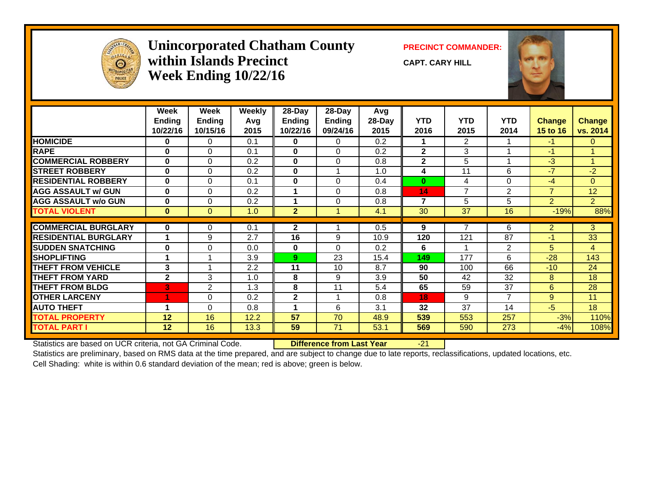

#### **Unincorporated Chatham County PRECINCT COMMANDER: within Islands PrecinctWeek Ending 10/22/16**

**CAPT. CARY HILL**



|                             | Week          | Week          | <b>Weekly</b> | 28-Day         | 28-Day        | Avg    |                |                |                |                |                 |
|-----------------------------|---------------|---------------|---------------|----------------|---------------|--------|----------------|----------------|----------------|----------------|-----------------|
|                             | <b>Ending</b> | <b>Ending</b> | Avg           | Ending         | <b>Ending</b> | 28-Day | <b>YTD</b>     | <b>YTD</b>     | <b>YTD</b>     | <b>Change</b>  | <b>Change</b>   |
|                             | 10/22/16      | 10/15/16      | 2015          | 10/22/16       | 09/24/16      | 2015   | 2016           | 2015           | 2014           | 15 to 16       | vs. 2014        |
| <b>HOMICIDE</b>             | 0             | $\Omega$      | 0.1           | $\mathbf{0}$   | $\Omega$      | 0.2    |                | $\overline{2}$ |                | $-1$           | $\mathbf{0}$    |
| <b>RAPE</b>                 | $\bf{0}$      | 0             | 0.1           | $\mathbf{0}$   | $\Omega$      | 0.2    | $\mathbf{2}$   | 3              |                | $-1$           |                 |
| <b>COMMERCIAL ROBBERY</b>   | $\bf{0}$      | $\Omega$      | 0.2           | $\mathbf{0}$   | $\Omega$      | 0.8    | $\overline{2}$ | 5              |                | $-3$           | 1               |
| <b>STREET ROBBERY</b>       | $\mathbf{0}$  | 0             | 0.2           | $\mathbf{0}$   |               | 1.0    | 4              | 11             | 6              | $-7$           | $-2$            |
| <b>RESIDENTIAL ROBBERY</b>  | $\mathbf{0}$  | $\Omega$      | 0.1           | $\mathbf{0}$   | $\Omega$      | 0.4    | $\bf{0}$       | 4              | 0              | $-4$           | $\Omega$        |
| <b>AGG ASSAULT w/ GUN</b>   | $\mathbf{0}$  | $\Omega$      | 0.2           |                | $\Omega$      | 0.8    | 14             | $\overline{7}$ | $\overline{2}$ | $\overline{7}$ | 12 <sub>2</sub> |
| <b>AGG ASSAULT w/o GUN</b>  | $\bf{0}$      | 0             | 0.2           | 1              | 0             | 0.8    | $\overline{7}$ | 5              | 5              | $\overline{2}$ | 2 <sup>1</sup>  |
| <b>TOTAL VIOLENT</b>        | $\mathbf{0}$  | $\mathbf{0}$  | 1.0           | 2 <sup>1</sup> |               | 4.1    | 30             | 37             | 16             | $-19%$         | 88%             |
|                             |               |               |               |                |               |        |                |                |                |                |                 |
| <b>COMMERCIAL BURGLARY</b>  | $\mathbf{0}$  | 0             | 0.1           | $\mathbf{2}$   |               | 0.5    | 9              |                | 6              | $\overline{2}$ | 3               |
| <b>RESIDENTIAL BURGLARY</b> | 1             | 9             | 2.7           | 16             | 9             | 10.9   | 120            | 121            | 87             | $-1$           | 33              |
| <b>SUDDEN SNATCHING</b>     | $\bf{0}$      | 0             | 0.0           | $\mathbf{0}$   | $\Omega$      | 0.2    | 6              |                | 2              | 5              | $\overline{4}$  |
| <b>SHOPLIFTING</b>          | 4             | 4             | 3.9           | 9              | 23            | 15.4   | 149            | 177            | 6              | $-28$          | 143             |
| <b>THEFT FROM VEHICLE</b>   | 3             |               | 2.2           | 11             | 10            | 8.7    | 90             | 100            | 66             | $-10$          | 24              |
| <b>THEFT FROM YARD</b>      | $\mathbf{2}$  | 3             | 1.0           | 8              | 9             | 3.9    | 50             | 42             | 32             | 8              | 18              |
| <b>THEFT FROM BLDG</b>      | 3             | 2             | 1.3           | 8              | 11            | 5.4    | 65             | 59             | 37             | 6              | 28              |
| <b>OTHER LARCENY</b>        |               | 0             | 0.2           | $\mathbf{2}$   |               | 0.8    | 18             | 9              | 7              | 9              | 11              |
| <b>AUTO THEFT</b>           | 1             | 0             | 0.8           | 4              | 6             | 3.1    | 32             | 37             | 14             | $-5$           | 18              |
| <b>TOTAL PROPERTY</b>       | 12            | 16            | 12.2          | 57             | 70            | 48.9   | 539            | 553            | 257            | $-3%$          | 110%            |
| <b>TOTAL PART I</b>         | 12            | 16            | 13.3          | 59             | 71            | 53.1   | 569            | 590            | 273            | $-4%$          | 108%            |

Statistics are based on UCR criteria, not GA Criminal Code. **Difference from Last Year** -21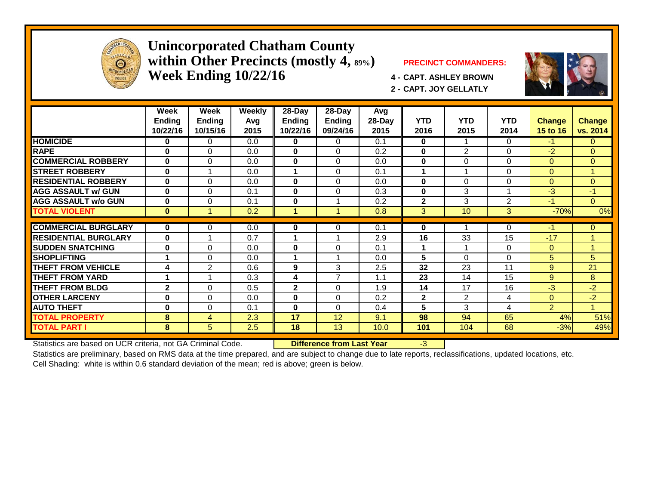

#### **Unincorporated Chatham County within Other Precincts (mostly 4, 89%) PRECINCT COMMANDERS: Week Ending 10/22/16 4 - CAPT. ASHLEY BROWN**



**2 - CAPT. JOY GELLATLY**



|                             | Week<br>Ending<br>10/22/16 | Week<br><b>Ending</b><br>10/15/16 | <b>Weekly</b><br>Avg<br>2015 | $28 - Day$<br>Ending<br>10/22/16 | $28 - Day$<br><b>Ending</b><br>09/24/16 | Avg<br>28-Day<br>2015 | <b>YTD</b><br>2016 | <b>YTD</b><br>2015 | <b>YTD</b><br>2014 | <b>Change</b><br>15 to 16 | <b>Change</b><br>vs. 2014 |
|-----------------------------|----------------------------|-----------------------------------|------------------------------|----------------------------------|-----------------------------------------|-----------------------|--------------------|--------------------|--------------------|---------------------------|---------------------------|
| <b>HOMICIDE</b>             | 0                          | $\Omega$                          | 0.0                          | 0                                | 0                                       | 0.1                   | $\mathbf{0}$       |                    | 0                  | $-1$                      | $\mathbf{0}$              |
| <b>RAPE</b>                 | $\bf{0}$                   | $\Omega$                          | 0.0                          | $\mathbf{0}$                     | $\Omega$                                | 0.2                   | $\bf{0}$           | $\overline{2}$     | 0                  | $-2$                      | $\Omega$                  |
| <b>COMMERCIAL ROBBERY</b>   | $\bf{0}$                   | $\Omega$                          | 0.0                          | $\mathbf{0}$                     | $\Omega$                                | 0.0                   | $\bf{0}$           | $\Omega$           | 0                  | $\Omega$                  | $\overline{0}$            |
| <b>STREET ROBBERY</b>       | $\bf{0}$                   |                                   | 0.0                          | 1                                | $\Omega$                                | 0.1                   | 1                  | 1                  | 0                  | $\Omega$                  | 1                         |
| <b>RESIDENTIAL ROBBERY</b>  | $\bf{0}$                   | $\Omega$                          | 0.0                          | $\mathbf{0}$                     | $\Omega$                                | 0.0                   | $\bf{0}$           | $\Omega$           | $\Omega$           | $\Omega$                  | $\Omega$                  |
| <b>AGG ASSAULT w/ GUN</b>   | $\bf{0}$                   | $\Omega$                          | 0.1                          | $\mathbf{0}$                     | $\Omega$                                | 0.3                   | $\bf{0}$           | 3                  |                    | $-3$                      | $-1$                      |
| <b>AGG ASSAULT w/o GUN</b>  | $\bf{0}$                   | $\Omega$                          | 0.1                          | $\bf{0}$                         |                                         | 0.2                   | $\overline{2}$     | 3                  | 2                  | $-1$                      | $\Omega$                  |
| <b>TOTAL VIOLENT</b>        | $\bf{0}$                   |                                   | 0.2                          | 1                                | -1                                      | 0.8                   | 3                  | 10                 | 3                  | $-70%$                    | 0%                        |
|                             |                            |                                   |                              |                                  |                                         |                       |                    |                    |                    |                           |                           |
| <b>COMMERCIAL BURGLARY</b>  | 0                          | $\Omega$                          | 0.0                          | 0                                | 0                                       | 0.1                   | $\bf{0}$           |                    | 0                  | $-1$                      | $\mathbf{0}$              |
| <b>RESIDENTIAL BURGLARY</b> | $\bf{0}$                   |                                   | 0.7                          | 1                                |                                         | 2.9                   | 16                 | 33                 | 15                 | $-17$                     | 4                         |
| <b>SUDDEN SNATCHING</b>     | $\bf{0}$                   | $\Omega$                          | 0.0                          | $\mathbf{0}$                     | $\Omega$                                | 0.1                   | 1                  | 1                  | 0                  | $\Omega$                  | 4                         |
| <b>SHOPLIFTING</b>          |                            | $\Omega$                          | 0.0                          | 1                                | 4                                       | 0.0                   | 5                  | $\Omega$           | $\Omega$           | 5                         | 5                         |
| <b>THEFT FROM VEHICLE</b>   | 4                          | $\mathbf{2}$                      | 0.6                          | 9                                | 3                                       | 2.5                   | 32                 | 23                 | 11                 | 9                         | 21                        |
| <b>THEFT FROM YARD</b>      |                            |                                   | 0.3                          | 4                                | $\overline{7}$                          | 1.1                   | 23                 | 14                 | 15                 | 9                         | 8                         |
| <b>THEFT FROM BLDG</b>      | $\overline{2}$             | $\Omega$                          | 0.5                          | $\mathbf{2}$                     | $\Omega$                                | 1.9                   | 14                 | 17                 | 16                 | $-3$                      | $-2$                      |
| <b>OTHER LARCENY</b>        | $\bf{0}$                   | $\Omega$                          | 0.0                          | $\mathbf{0}$                     | $\Omega$                                | 0.2                   | $\overline{2}$     | $\overline{2}$     | 4                  | $\Omega$                  | $-2$                      |
| <b>AUTO THEFT</b>           | $\bf{0}$                   | $\Omega$                          | 0.1                          | $\mathbf{0}$                     | $\Omega$                                | 0.4                   | 5                  | 3                  | 4                  | $\overline{2}$            |                           |
| <b>TOTAL PROPERTY</b>       | 8                          | 4                                 | 2.3                          | 17                               | 12                                      | 9.1                   | 98                 | 94                 | 65                 | 4%                        | 51%                       |
| <b>TOTAL PART I</b>         | 8                          | 5                                 | 2.5                          | 18                               | 13                                      | 10.0                  | 101                | 104                | 68                 | $-3%$                     | 49%                       |

Statistics are based on UCR criteria, not GA Criminal Code. **Difference from Last Year** -3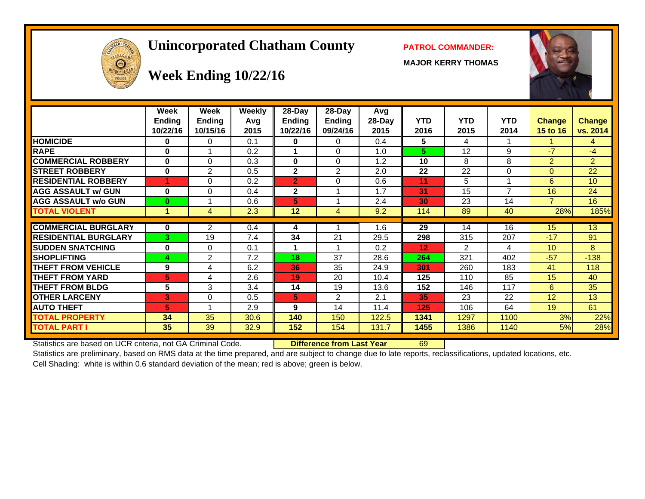# **Unincorporated Chatham County PATROL COMMANDER:**

**MAJOR KERRY THOMAS**





# **Week Ending 10/22/16**

|                             | Week<br><b>Ending</b><br>10/22/16 | Week<br><b>Ending</b><br>10/15/16 | Weekly<br>Avg<br>2015 | $28-Day$<br>Ending<br>10/22/16 | $28$ -Day<br>Ending<br>09/24/16 | Avg<br>$28-Day$<br>2015 | <b>YTD</b><br>2016 | <b>YTD</b><br>2015 | <b>YTD</b><br>2014 | <b>Change</b><br>15 to 16 | <b>Change</b><br>vs. 2014 |
|-----------------------------|-----------------------------------|-----------------------------------|-----------------------|--------------------------------|---------------------------------|-------------------------|--------------------|--------------------|--------------------|---------------------------|---------------------------|
| <b>HOMICIDE</b>             | 0                                 | 0                                 | 0.1                   | 0                              | 0                               | 0.4                     | 5                  | 4                  |                    |                           | 4                         |
| <b>RAPE</b>                 | 0                                 | $\overline{A}$                    | 0.2                   |                                | $\Omega$                        | 1.0                     | 5                  | 12                 | 9                  | $-7$                      | $-4$                      |
| <b>COMMERCIAL ROBBERY</b>   | $\bf{0}$                          | $\Omega$                          | 0.3                   | 0                              | $\Omega$                        | 1.2                     | 10                 | 8                  | 8                  | $\overline{2}$            | $\overline{2}$            |
| <b>STREET ROBBERY</b>       | $\bf{0}$                          | 2                                 | 0.5                   | $\mathbf{2}$                   | $\overline{2}$                  | 2.0                     | 22                 | 22                 | $\Omega$           | $\Omega$                  | 22                        |
| <b>RESIDENTIAL ROBBERY</b>  | 4                                 | 0                                 | 0.2                   | $\overline{2}$                 | 0                               | 0.6                     | 11                 | 5                  |                    | 6                         | 10                        |
| <b>AGG ASSAULT w/ GUN</b>   | $\bf{0}$                          | $\Omega$                          | 0.4                   | $\mathbf{2}$                   |                                 | 1.7                     | 31                 | 15                 | $\overline{7}$     | 16                        | 24                        |
| <b>AGG ASSAULT w/o GUN</b>  | 0                                 |                                   | 0.6                   | 5                              |                                 | 2.4                     | 30                 | 23                 | 14                 | 7                         | 16                        |
| <b>TOTAL VIOLENT</b>        | 1                                 | 4                                 | 2.3                   | 12                             | 4                               | 9.2                     | 114                | 89                 | 40                 | 28%                       | 185%                      |
|                             |                                   |                                   |                       |                                |                                 |                         |                    |                    |                    |                           |                           |
| <b>COMMERCIAL BURGLARY</b>  | 0                                 | $\overline{2}$                    | 0.4                   | 4                              |                                 | 1.6                     | 29                 | 14                 | 16                 | 15                        | 13                        |
| <b>RESIDENTIAL BURGLARY</b> | 3                                 | 19                                | 7.4                   | 34                             | 21                              | 29.5                    | 298                | 315                | 207                | $-17$                     | 91                        |
| <b>SUDDEN SNATCHING</b>     | 0                                 | 0                                 | 0.1                   |                                |                                 | 0.2                     | 12                 | $\overline{2}$     | 4                  | 10                        | 8                         |
| <b>SHOPLIFTING</b>          | 4                                 | $\overline{2}$                    | 7.2                   | 18                             | 37                              | 28.6                    | 264                | 321                | 402                | $-57$                     | $-138$                    |
| <b>THEFT FROM VEHICLE</b>   | 9                                 | 4                                 | 6.2                   | 36                             | 35                              | 24.9                    | 301                | 260                | 183                | 41                        | 118                       |
| <b>THEFT FROM YARD</b>      | 5                                 | 4                                 | 2.6                   | 19                             | 20                              | 10.4                    | 125                | 110                | 85                 | 15                        | 40                        |
| <b>THEFT FROM BLDG</b>      | 5                                 | 3                                 | 3.4                   | 14                             | 19                              | 13.6                    | 152                | 146                | 117                | 6                         | 35                        |
| <b>OTHER LARCENY</b>        | 3                                 | 0                                 | 0.5                   | 5                              | $\overline{2}$                  | 2.1                     | 35                 | 23                 | 22                 | 12                        | 13                        |
| <b>AUTO THEFT</b>           | 5                                 | 1                                 | 2.9                   | 9                              | 14                              | 11.4                    | 125                | 106                | 64                 | 19                        | 61                        |
| <b>TOTAL PROPERTY</b>       | 34                                | 35                                | 30.6                  | 140                            | 150                             | 122.5                   | 1341               | 1297               | 1100               | 3%                        | 22%                       |
| <b>TOTAL PART I</b>         | 35                                | 39                                | 32.9                  | 152                            | 154                             | 131.7                   | 1455               | 1386               | 1140               | 5%                        | 28%                       |

Statistics are based on UCR criteria, not GA Criminal Code. **Difference from Last Year** 69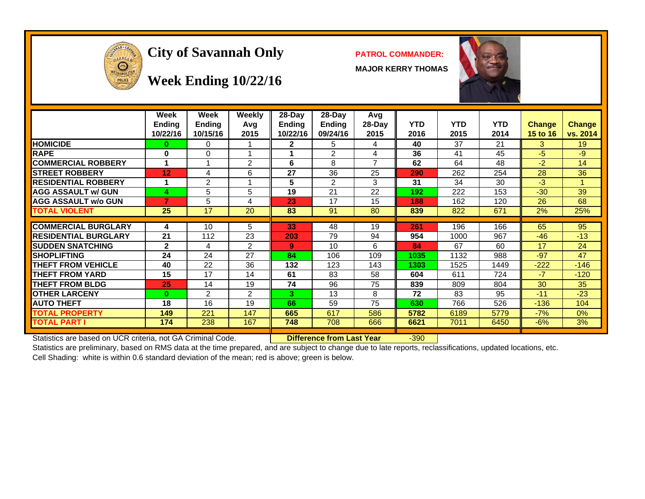

# **City of Savannah Only PATROL COMMANDER:**

**MAJOR KERRY THOMAS**



#### **Week Ending 10/22/16**

|                             | Week<br><b>Ending</b><br>10/22/16 | Week<br>Ending<br>10/15/16 | Weekly<br>Avq<br>2015 | $28$ -Day<br>Ending<br>10/22/16 | $28-Day$<br>Ending<br>09/24/16 | Avg<br>28-Day<br>2015 | <b>YTD</b><br>2016 | <b>YTD</b><br>2015 | <b>YTD</b><br>2014 | <b>Change</b><br><b>15 to 16</b> | <b>Change</b><br>vs. 2014 |
|-----------------------------|-----------------------------------|----------------------------|-----------------------|---------------------------------|--------------------------------|-----------------------|--------------------|--------------------|--------------------|----------------------------------|---------------------------|
| <b>HOMICIDE</b>             | 0                                 | 0                          |                       | 2                               | 5                              | 4                     | 40                 | 37                 | 21                 | 3                                | 19                        |
| <b>RAPE</b>                 | 0                                 | 0                          |                       |                                 | 2                              | 4                     | 36                 | 41                 | 45                 | -5                               | $-9$                      |
| <b>COMMERCIAL ROBBERY</b>   | 4                                 |                            | 2                     | 6                               | 8                              | $\overline{ }$        | 62                 | 64                 | 48                 | $-2$                             | 14                        |
| <b>ISTREET ROBBERY</b>      | 12                                | 4                          | 6                     | 27                              | 36                             | 25                    | 290                | 262                | 254                | 28                               | 36                        |
| <b>RESIDENTIAL ROBBERY</b>  | 4                                 | 2                          |                       | 5                               | 2                              | 3                     | 31                 | 34                 | 30                 | $-3$                             |                           |
| <b>AGG ASSAULT w/ GUN</b>   | 4                                 | 5                          | 5                     | 19                              | 21                             | 22                    | 192                | 222                | 153                | $-30$                            | 39                        |
| <b>AGG ASSAULT w/o GUN</b>  | 7                                 | 5                          | 4                     | 23                              | 17                             | 15                    | 188                | 162                | 120                | 26                               | 68                        |
| <b>TOTAL VIOLENT</b>        | 25                                | 17                         | 20                    | 83                              | 91                             | 80                    | 839                | 822                | 671                | 2%                               | 25%                       |
|                             |                                   |                            |                       |                                 |                                |                       |                    |                    |                    |                                  |                           |
| <b>COMMERCIAL BURGLARY</b>  | 4                                 | 10                         | 5                     | 33                              | 48                             | 19                    | 261                | 196                | 166                | 65                               | 95                        |
| <b>RESIDENTIAL BURGLARY</b> | 21                                | 112                        | 23                    | 203                             | 79                             | 94                    | 954                | 1000               | 967                | $-46$                            | $-13$                     |
| <b>ISUDDEN SNATCHING</b>    | $\mathbf{2}$                      | 4                          | 2                     | 9                               | 10                             | 6                     | 84                 | 67                 | 60                 | 17                               | 24                        |
| <b>SHOPLIFTING</b>          | 24                                | 24                         | 27                    | 84                              | 106                            | 109                   | 1035               | 1132               | 988                | $-97$                            | 47                        |
| <b>THEFT FROM VEHICLE</b>   | 40                                | 22                         | 36                    | 132                             | 123                            | 143                   | 1303               | 1525               | 1449               | $-222$                           | $-146$                    |
| <b>THEFT FROM YARD</b>      | 15                                | 17                         | 14                    | 61                              | 83                             | 58                    | 604                | 611                | 724                | $-7$                             | $-120$                    |
| <b>THEFT FROM BLDG</b>      | 25                                | 14                         | 19                    | 74                              | 96                             | 75                    | 839                | 809                | 804                | 30                               | 35                        |
| <b>OTHER LARCENY</b>        | 0                                 | 2                          | 2                     | 3.                              | 13                             | 8                     | 72                 | 83                 | 95                 | $-11$                            | $-23$                     |
| <b>AUTO THEFT</b>           | 18                                | 16                         | 19                    | 66                              | 59                             | 75                    | 630                | 766                | 526                | $-136$                           | 104                       |
| <b>TOTAL PROPERTY</b>       | 149                               | 221                        | 147                   | 665                             | 617                            | 586                   | 5782               | 6189               | 5779               | $-7%$                            | 0%                        |
| <b>TOTAL PART I</b>         | 174                               | 238                        | 167                   | 748                             | 708                            | 666                   | 6621               | 7011               | 6450               | $-6%$                            | 3%                        |
|                             |                                   |                            |                       |                                 |                                |                       |                    |                    |                    |                                  |                           |

Statistics are based on UCR criteria, not GA Criminal Code. **Difference from Last Year** -390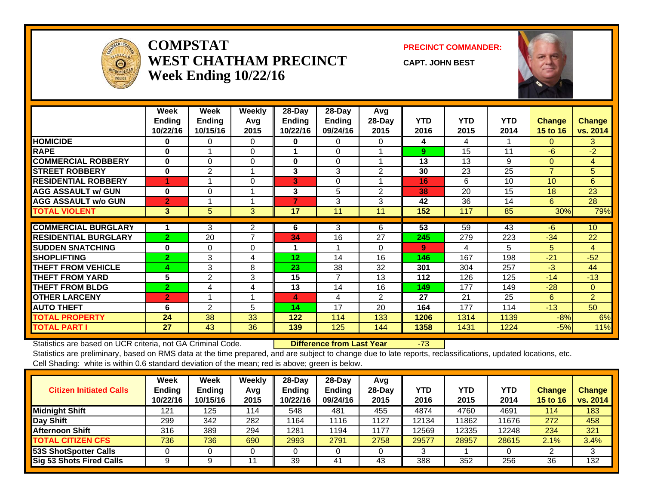

#### **COMPSTATWEST CHATHAM PRECINCTWeek Ending 10/22/16**

#### **PRECINCT COMMANDER:**

**CAPT. JOHN BEST**



|                             | Week<br><b>Ending</b><br>10/22/16 | Week<br><b>Endina</b><br>10/15/16 | Weekly<br>Avg<br>2015 | 28-Day<br>Ending<br>10/22/16 | 28-Day<br>Ending<br>09/24/16 | Avg<br>$28$ -Day<br>2015 | <b>YTD</b><br>2016 | <b>YTD</b><br>2015 | <b>YTD</b><br>2014 | <b>Change</b><br>15 to 16 | <b>Change</b><br>vs. 2014 |
|-----------------------------|-----------------------------------|-----------------------------------|-----------------------|------------------------------|------------------------------|--------------------------|--------------------|--------------------|--------------------|---------------------------|---------------------------|
| <b>HOMICIDE</b>             | 0                                 | 0                                 | $\Omega$              | 0                            | 0                            | 0                        | 4                  | 4                  |                    | 0                         | 3                         |
| <b>RAPE</b>                 | $\bf{0}$                          |                                   | $\Omega$              |                              | $\Omega$                     |                          | 9                  | 15                 | 11                 | $-6$                      | $-2$                      |
| <b>COMMERCIAL ROBBERY</b>   | 0                                 | $\Omega$                          | $\Omega$              | 0                            | $\Omega$                     |                          | 13                 | 13                 | 9                  | $\Omega$                  | 4                         |
| <b>STREET ROBBERY</b>       | $\bf{0}$                          | $\mathbf{2}$                      |                       | 3                            | 3                            | 2                        | 30                 | 23                 | 25                 | $\overline{7}$            | 5                         |
| <b>RESIDENTIAL ROBBERY</b>  |                                   |                                   | 0                     | 3                            | 0                            |                          | 16                 | 6                  | 10                 | 10 <sup>1</sup>           | 6                         |
| <b>AGG ASSAULT w/ GUN</b>   | $\bf{0}$                          | 0                                 |                       | 3                            | 5                            | $\overline{2}$           | 38                 | 20                 | 15                 | 18                        | 23                        |
| <b>AGG ASSAULT w/o GUN</b>  | $\overline{2}$                    |                                   |                       | 7                            | 3                            | 3                        | 42                 | 36                 | 14                 | 6                         | 28                        |
| <b>TOTAL VIOLENT</b>        | 3                                 | 5                                 | 3                     | 17                           | 11                           | 11                       | 152                | 117                | 85                 | 30%                       | 79%                       |
|                             |                                   |                                   |                       |                              |                              |                          |                    |                    |                    |                           |                           |
| <b>COMMERCIAL BURGLARY</b>  |                                   | 3                                 | $\mathbf{2}$          | 6                            | 3                            | 6                        | $\overline{53}$    | 59                 | 43                 | $-6$                      | 10 <sup>1</sup>           |
| <b>RESIDENTIAL BURGLARY</b> | $\overline{2}$                    | 20                                | 7                     | 34                           | 16                           | 27                       | 245                | 279                | 223                | $-34$                     | 22                        |
| <b>SUDDEN SNATCHING</b>     | 0                                 | $\Omega$                          | $\Omega$              |                              |                              | 0                        | 9                  | 4                  | 5                  | 5                         | $\overline{4}$            |
| <b>SHOPLIFTING</b>          | $\overline{2}$                    | 3                                 | 4                     | 12                           | 14                           | 16                       | 146                | 167                | 198                | $-21$                     | $-52$                     |
| <b>THEFT FROM VEHICLE</b>   | 4                                 | 3                                 | 8                     | 23                           | 38                           | 32                       | 301                | 304                | 257                | $-3$                      | 44                        |
| <b>THEFT FROM YARD</b>      | 5                                 | $\mathbf{2}$                      | 3                     | $\overline{15}$              | 7                            | 13                       | 112                | 126                | 125                | $-14$                     | $-13$                     |
| <b>THEFT FROM BLDG</b>      | $\overline{2}$                    | 4                                 | 4                     | 13                           | 14                           | 16                       | 149                | 177                | 149                | $-28$                     | $\mathbf{0}$              |
| <b>OTHER LARCENY</b>        | $\overline{2}$                    |                                   |                       | 4                            | 4                            | 2                        | 27                 | 21                 | 25                 | 6                         | $\overline{2}$            |
| <b>AUTO THEFT</b>           | 6                                 | 2                                 | 5                     | 14                           | 17                           | 20                       | 164                | 177                | 114                | $-13$                     | 50                        |
| <b>TOTAL PROPERTY</b>       | 24                                | 38                                | 33                    | 122                          | 114                          | 133                      | 1206               | 1314               | 1139               | $-8%$                     | 6%                        |
| <b>TOTAL PART I</b>         | 27                                | 43                                | 36                    | 139                          | 125                          | 144                      | 1358               | 1431               | 1224               | $-5%$                     | 11%                       |

Statistics are based on UCR criteria, not GA Criminal Code. **Difference from Last Year** -73

| <b>Citizen Initiated Calls</b>  | <b>Week</b><br><b>Ending</b><br>10/22/16 | <b>Week</b><br><b>Ending</b><br>10/15/16 | Weekly<br>Avg<br>2015 | $28$ -Day<br>Ending<br>10/22/16 | $28-Dav$<br><b>Ending</b><br>09/24/16 | Avg<br>$28$ -Day<br>2015 | YTD<br>2016 | <b>YTD</b><br>2015 | YTD<br>2014 | <b>Change</b><br>15 to 16 | <b>Change</b><br>vs. 2014 |
|---------------------------------|------------------------------------------|------------------------------------------|-----------------------|---------------------------------|---------------------------------------|--------------------------|-------------|--------------------|-------------|---------------------------|---------------------------|
| <b>Midnight Shift</b>           | 121                                      | 125                                      | 114                   | 548                             | 481                                   | 455                      | 4874        | 4760               | 4691        | 114                       | 183                       |
| Day Shift                       | 299                                      | 342                                      | 282                   | 1164                            | 1116                                  | 1127                     | 12134       | 11862              | 11676       | 272                       | 458                       |
| <b>Afternoon Shift</b>          | 316                                      | 389                                      | 294                   | 1281                            | 1194                                  | 1177                     | 12569       | 12335              | 12248       | 234                       | 321                       |
| <b>TOTAL CITIZEN CFS</b>        | 736                                      | 736                                      | 690                   | 2993                            | 2791                                  | 2758                     | 29577       | 28957              | 28615       | 2.1%                      | 3.4%                      |
| 53S ShotSpotter Calls           |                                          |                                          |                       |                                 |                                       |                          |             |                    |             |                           |                           |
| <b>Sig 53 Shots Fired Calls</b> |                                          |                                          |                       | 39                              | 41                                    | 43                       | 388         | 352                | 256         | 36                        | 132                       |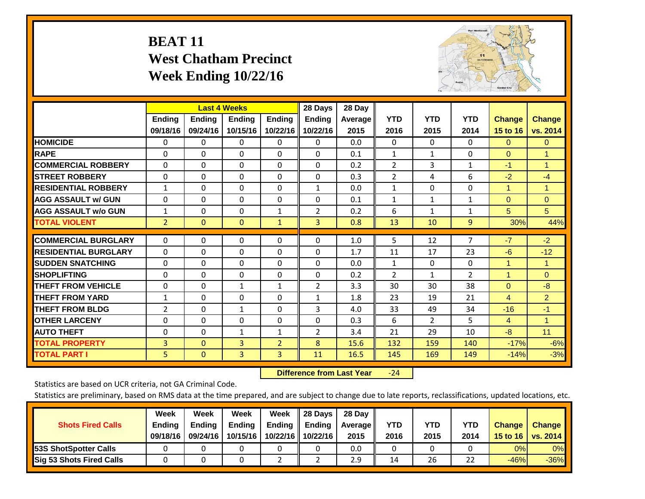# **BEAT 11 West Chatham Precinct Week Ending 10/22/16**



|                             |                | <b>Last 4 Weeks</b> |               |                | 28 Days        | 28 Day     |                |                |                |                      |                      |
|-----------------------------|----------------|---------------------|---------------|----------------|----------------|------------|----------------|----------------|----------------|----------------------|----------------------|
|                             | <b>Ending</b>  | <b>Ending</b>       | <b>Ending</b> | <b>Ending</b>  | <b>Ending</b>  | Average II | <b>YTD</b>     | <b>YTD</b>     | <b>YTD</b>     | <b>Change</b>        | <b>Change</b>        |
|                             | 09/18/16       | 09/24/16            | 10/15/16      | 10/22/16       | 10/22/16       | 2015       | 2016           | 2015           | 2014           | 15 to 16             | vs. 2014             |
| <b>HOMICIDE</b>             | 0              | 0                   | $\Omega$      | $\Omega$       | $\mathbf{0}$   | 0.0        | $\mathbf{0}$   | $\mathbf{0}$   | 0              | $\mathbf{0}$         | $\overline{0}$       |
| <b>RAPE</b>                 | 0              | $\Omega$            | $\Omega$      | $\Omega$       | $\Omega$       | 0.1        | 1              | 1              | 0              | $\Omega$             | 1                    |
| <b>COMMERCIAL ROBBERY</b>   | $\Omega$       | 0                   | $\Omega$      | 0              | $\Omega$       | 0.2        | $\overline{2}$ | 3              | 1              | $-1$                 | $\blacktriangleleft$ |
| <b>ISTREET ROBBERY</b>      | $\Omega$       | $\Omega$            | $\Omega$      | $\Omega$       | $\Omega$       | 0.3        | $\overline{2}$ | 4              | 6              | $-2$                 | $-4$                 |
| <b>RESIDENTIAL ROBBERY</b>  | 1              | $\Omega$            | $\Omega$      | $\Omega$       | 1              | 0.0        | 1              | $\Omega$       | $\Omega$       | $\overline{1}$       | $\blacktriangleleft$ |
| <b>AGG ASSAULT w/ GUN</b>   | $\Omega$       | 0                   | $\mathbf{0}$  | $\mathbf{0}$   | $\Omega$       | 0.1        | 1              | $\mathbf{1}$   | 1              | $\Omega$             | $\mathbf{0}$         |
| <b>AGG ASSAULT w/o GUN</b>  | $\mathbf{1}$   | 0                   | $\Omega$      | $\mathbf{1}$   | $\overline{2}$ | 0.2        | 6              | $\mathbf{1}$   | $\mathbf{1}$   | 5                    | 5                    |
| <b>TOTAL VIOLENT</b>        | $\overline{2}$ | $\mathbf{0}$        | $\mathbf{0}$  | $\mathbf{1}$   | 3              | 0.8        | 13             | 10             | 9              | 30%                  | 44%                  |
|                             |                |                     |               |                |                |            |                |                | 7              |                      |                      |
| <b>COMMERCIAL BURGLARY</b>  | $\Omega$       | 0                   | 0             | 0              | $\Omega$       | 1.0        | 5              | 12             |                | $-7$                 | $-2$                 |
| <b>RESIDENTIAL BURGLARY</b> | $\Omega$       | $\Omega$            | $\Omega$      | $\Omega$       | $\Omega$       | 1.7        | 11             | 17             | 23             | $-6$                 | $-12$                |
| <b>ISUDDEN SNATCHING</b>    | $\Omega$       | 0                   | $\Omega$      | $\mathbf{0}$   | $\Omega$       | 0.0        | 1              | $\Omega$       | 0              | 1                    | 1                    |
| <b>SHOPLIFTING</b>          | 0              | 0                   | $\Omega$      | 0              | $\Omega$       | 0.2        | $\overline{2}$ | $\mathbf{1}$   | $\overline{2}$ | $\blacktriangleleft$ | $\Omega$             |
| <b>THEFT FROM VEHICLE</b>   | $\Omega$       | $\Omega$            | $\mathbf{1}$  | $\mathbf{1}$   | 2              | 3.3        | 30             | 30             | 38             | $\Omega$             | $-8$                 |
| <b>THEFT FROM YARD</b>      | $\mathbf{1}$   | $\Omega$            | $\Omega$      | 0              | 1              | 1.8        | 23             | 19             | 21             | $\overline{4}$       | $\overline{2}$       |
| <b>THEFT FROM BLDG</b>      | 2              | 0                   | $\mathbf{1}$  | $\mathbf{0}$   | 3              | 4.0        | 33             | 49             | 34             | $-16$                | $-1$                 |
| <b>OTHER LARCENY</b>        | 0              | 0                   | $\mathbf{0}$  | $\mathbf{0}$   | 0              | 0.3        | 6              | $\overline{2}$ | 5.             | 4                    | $\blacktriangleleft$ |
| <b>AUTO THEFT</b>           | 0              | 0                   | $\mathbf{1}$  | 1              | 2              | 3.4        | 21             | 29             | 10             | $-8$                 | 11                   |
| <b>TOTAL PROPERTY</b>       | 3              | $\Omega$            | 3             | $\overline{2}$ | 8              | 15.6       | 132            | 159            | 140            | $-17%$               | $-6%$                |
| <b>TOTAL PART I</b>         | 5              | $\Omega$            | 3             | 3              | 11             | 16.5       | 145            | 169            | 149            | $-14%$               | $-3%$                |

 **Difference from Last Year**‐24

Statistics are based on UCR criteria, not GA Criminal Code.

| <b>Shots Fired Calls</b>        | Week<br><b>Ending</b><br>09/18/16 | Week<br><b>Endina</b><br>09/24/16 | Week<br>Ending<br>10/15/16 | Week<br>Ending<br>10/22/16 | 28 Days<br><b>Ending</b><br>10/22/16 | 28 Day<br>Average II<br>2015 | YTD<br>2016 | YTD<br>2015 | YTD<br>2014 | <b>Change</b><br>15 to 16 $\vert$ | <b>Change</b><br>vs. 2014 |
|---------------------------------|-----------------------------------|-----------------------------------|----------------------------|----------------------------|--------------------------------------|------------------------------|-------------|-------------|-------------|-----------------------------------|---------------------------|
| <b>153S ShotSpotter Calls</b>   |                                   |                                   |                            |                            |                                      | 0.0                          |             |             |             | 0%                                | 0%                        |
| <b>Sig 53 Shots Fired Calls</b> |                                   |                                   |                            |                            |                                      | 2.9                          | 14          | 26          | 22          | $-46%$                            | $-36\%$                   |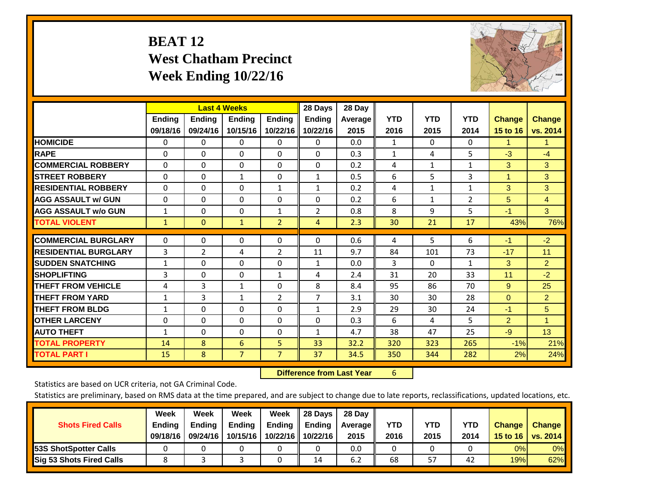# **BEAT 12 West Chatham Precinct Week Ending 10/22/16**



|                             |               | <b>Last 4 Weeks</b> |                |                | 28 Days        | 28 Day  |            |              |              |                |                      |
|-----------------------------|---------------|---------------------|----------------|----------------|----------------|---------|------------|--------------|--------------|----------------|----------------------|
|                             | <b>Ending</b> | <b>Ending</b>       | <b>Endina</b>  | <b>Ending</b>  | <b>Ending</b>  | Average | <b>YTD</b> | <b>YTD</b>   | <b>YTD</b>   | <b>Change</b>  | <b>Change</b>        |
|                             | 09/18/16      | 09/24/16            | 10/15/16       | 10/22/16       | 10/22/16       | 2015    | 2016       | 2015         | 2014         | 15 to 16       | vs. 2014             |
| <b>HOMICIDE</b>             | 0             | 0                   | $\Omega$       | 0              | 0              | 0.0     | 1          | 0            | 0            | 1              | 1.                   |
| <b>RAPE</b>                 | 0             | $\Omega$            | $\Omega$       | $\Omega$       | $\Omega$       | 0.3     | 1          | 4            | 5            | $-3$           | $-4$                 |
| <b>COMMERCIAL ROBBERY</b>   | $\Omega$      | 0                   | $\Omega$       | 0              | $\Omega$       | 0.2     | 4          | $\mathbf{1}$ | $\mathbf{1}$ | 3              | 3                    |
| <b>ISTREET ROBBERY</b>      | $\Omega$      | $\Omega$            | $\mathbf{1}$   | $\Omega$       | $\mathbf{1}$   | 0.5     | 6          | 5            | 3            | $\mathbf{1}$   | 3                    |
| <b>RESIDENTIAL ROBBERY</b>  | $\Omega$      | $\Omega$            | $\Omega$       | 1              | 1              | 0.2     | 4          | 1            | 1            | 3              | 3                    |
| <b>AGG ASSAULT w/ GUN</b>   | $\Omega$      | $\Omega$            | $\Omega$       | $\Omega$       | $\Omega$       | 0.2     | 6          | 1            | 2            | 5              | $\overline{4}$       |
| <b>AGG ASSAULT w/o GUN</b>  | $\mathbf{1}$  | 0                   | $\mathbf 0$    | 1              | $\overline{2}$ | 0.8     | 8          | 9            | 5            | $-1$           | 3 <sup>1</sup>       |
| <b>TOTAL VIOLENT</b>        | 1             | $\Omega$            | $\mathbf{1}$   | $\overline{2}$ | $\overline{4}$ | 2.3     | 30         | 21           | 17           | 43%            | 76%                  |
| <b>COMMERCIAL BURGLARY</b>  | $\Omega$      | $\Omega$            | $\mathbf{0}$   | 0              | $\Omega$       | 0.6     |            | 5            | 6            | $-1$           | $-2$                 |
|                             |               |                     |                |                |                |         | 4          |              |              |                |                      |
| <b>RESIDENTIAL BURGLARY</b> | 3             | 2                   | 4              | 2              | 11             | 9.7     | 84         | 101          | 73           | $-17$          | 11                   |
| <b>SUDDEN SNATCHING</b>     | $\mathbf{1}$  | 0                   | $\mathbf{0}$   | $\mathbf{0}$   | $\mathbf{1}$   | 0.0     | 3          | $\Omega$     | 1            | 3              | $\overline{2}$       |
| <b>SHOPLIFTING</b>          | 3             | 0                   | $\Omega$       | $\mathbf{1}$   | 4              | 2.4     | 31         | 20           | 33           | 11             | $-2$                 |
| <b>THEFT FROM VEHICLE</b>   | 4             | 3                   | $\mathbf{1}$   | 0              | 8              | 8.4     | 95         | 86           | 70           | 9              | 25                   |
| <b>THEFT FROM YARD</b>      | 1             | 3                   | $\mathbf{1}$   | $\overline{2}$ | 7              | 3.1     | 30         | 30           | 28           | $\mathbf{0}$   | $\overline{2}$       |
| <b>THEFT FROM BLDG</b>      | 1             | $\Omega$            | $\Omega$       | $\mathbf{0}$   | $\mathbf{1}$   | 2.9     | 29         | 30           | 24           | $-1$           | 5                    |
| <b>OTHER LARCENY</b>        | $\Omega$      | 0                   | $\Omega$       | $\Omega$       | $\Omega$       | 0.3     | 6          | 4            | 5            | $\overline{2}$ | $\blacktriangleleft$ |
| <b>AUTO THEFT</b>           | 1             | 0                   | $\Omega$       | 0              | 1              | 4.7     | 38         | 47           | 25           | $-9$           | 13                   |
| <b>TOTAL PROPERTY</b>       | 14            | 8                   | 6              | 5 <sup>1</sup> | 33             | 32.2    | 320        | 323          | 265          | $-1%$          | 21%                  |
| <b>TOTAL PART I</b>         | 15            | 8                   | $\overline{7}$ | $\overline{7}$ | 37             | 34.5    | 350        | 344          | 282          | 2%             | 24%                  |

 **Difference from Last Year**r 6

Statistics are based on UCR criteria, not GA Criminal Code.

| <b>Shots Fired Calls</b>        | Week<br><b>Ending</b><br>09/18/16 | Week<br><b>Endina</b><br>09/24/16 | <b>Week</b><br>Ending<br>10/15/16 | Week<br>Ending<br>10/22/16 | 28 Days<br><b>Ending</b><br>10/22/16 | 28 Day<br>Average II<br>2015 | YTD<br>2016 | YTD<br>2015 | YTD<br>2014 | <b>Change</b><br>15 to 16 | <b>Change</b><br>vs. 2014 |
|---------------------------------|-----------------------------------|-----------------------------------|-----------------------------------|----------------------------|--------------------------------------|------------------------------|-------------|-------------|-------------|---------------------------|---------------------------|
| <b>153S ShotSpotter Calls</b>   |                                   |                                   |                                   |                            |                                      | 0.0                          |             |             |             | 0%                        | 0%                        |
| <b>Sig 53 Shots Fired Calls</b> |                                   |                                   |                                   |                            | 14                                   | 6.2                          | 68          | 57          | 42          | 19%                       | 62%                       |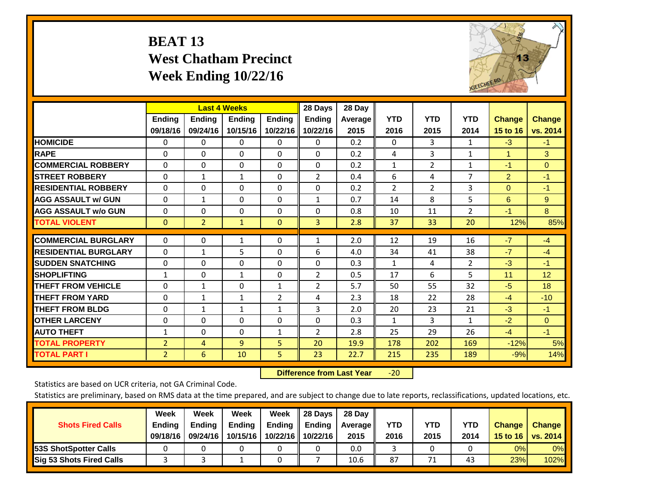# **BEAT 13 West Chatham Precinct Week Ending 10/22/16**



|                             |                | <b>Last 4 Weeks</b> |              |                | 28 Days        | 28 Day         |                |                |                |                |               |
|-----------------------------|----------------|---------------------|--------------|----------------|----------------|----------------|----------------|----------------|----------------|----------------|---------------|
|                             | <b>Ending</b>  | <b>Ending</b>       | Ending       | <b>Ending</b>  | <b>Ending</b>  | <b>Average</b> | <b>YTD</b>     | <b>YTD</b>     | <b>YTD</b>     | <b>Change</b>  | <b>Change</b> |
|                             | 09/18/16       | 09/24/16            | 10/15/16     | 10/22/16       | 10/22/16       | 2015           | 2016           | 2015           | 2014           | 15 to 16       | vs. 2014      |
| <b>HOMICIDE</b>             | 0              | 0                   | $\Omega$     | 0              | 0              | 0.2            | $\Omega$       | 3              | 1              | $-3$           | $-1$          |
| <b>RAPE</b>                 | $\Omega$       | $\Omega$            | $\Omega$     | 0              | $\Omega$       | 0.2            | 4              | 3              | $\mathbf{1}$   | $\mathbf{1}$   | 3             |
| <b>COMMERCIAL ROBBERY</b>   | $\Omega$       | $\Omega$            | $\Omega$     | $\Omega$       | 0              | 0.2            | 1              | 2              | $\mathbf{1}$   | $-1$           | $\Omega$      |
| <b>ISTREET ROBBERY</b>      | $\Omega$       | $\mathbf{1}$        | $\mathbf{1}$ | $\Omega$       | $\overline{2}$ | 0.4            | 6              | 4              | 7              | $\overline{2}$ | $-1$          |
| <b>RESIDENTIAL ROBBERY</b>  | $\Omega$       | $\Omega$            | $\Omega$     | $\Omega$       | 0              | 0.2            | $\overline{2}$ | $\overline{2}$ | 3              | $\mathbf{0}$   | $-1$          |
| <b>AGG ASSAULT w/ GUN</b>   | $\Omega$       | 1                   | $\Omega$     | 0              | $\mathbf{1}$   | 0.7            | 14             | 8              | 5              | 6              | 9             |
| <b>AGG ASSAULT w/o GUN</b>  | 0              | $\Omega$            | $\Omega$     | $\Omega$       | 0              | 0.8            | 10             | 11             | $\overline{2}$ | $-1$           | 8             |
| <b>TOTAL VIOLENT</b>        | $\Omega$       | $\overline{2}$      | $\mathbf{1}$ | $\Omega$       | $\overline{3}$ | 2.8            | 37             | 33             | 20             | 12%            | 85%           |
|                             |                |                     |              |                |                |                |                |                |                |                |               |
| <b>COMMERCIAL BURGLARY</b>  | 0              | 0                   | 1            | 0              | 1              | 2.0            | 12             | 19             | 16             | $-7$           | $-4$          |
| <b>RESIDENTIAL BURGLARY</b> | $\Omega$       | 1                   | 5            | 0              | 6              | 4.0            | 34             | 41             | 38             | $-7$           | $-4$          |
| <b>ISUDDEN SNATCHING</b>    | $\Omega$       | 0                   | $\Omega$     | 0              | 0              | 0.3            | 1              | 4              | 2              | $-3$           | $-1$          |
| <b>SHOPLIFTING</b>          | $\mathbf{1}$   | $\Omega$            | $\mathbf{1}$ | $\Omega$       | 2              | 0.5            | 17             | 6              | 5              | 11             | 12            |
| <b>THEFT FROM VEHICLE</b>   | $\Omega$       | $\mathbf{1}$        | $\Omega$     | $\mathbf{1}$   | 2              | 5.7            | 50             | 55             | 32             | $-5$           | 18            |
| <b>THEFT FROM YARD</b>      | $\Omega$       | $\mathbf{1}$        | $\mathbf{1}$ | $\overline{2}$ | 4              | 2.3            | 18             | 22             | 28             | $-4$           | $-10$         |
| <b>THEFT FROM BLDG</b>      | 0              | 1                   | 1            | $\mathbf{1}$   | 3              | 2.0            | 20             | 23             | 21             | $-3$           | $-1$          |
| <b>OTHER LARCENY</b>        | 0              | $\Omega$            | $\Omega$     | 0              | 0              | 0.3            | 1              | 3              | 1              | $-2$           | $\Omega$      |
| <b>AUTO THEFT</b>           | 1              | $\Omega$            | $\Omega$     | $\mathbf{1}$   | 2              | 2.8            | 25             | 29             | 26             | $-4$           | $-1$          |
| <b>TOTAL PROPERTY</b>       | $\overline{2}$ | 4                   | 9            | 5              | 20             | 19.9           | 178            | 202            | 169            | $-12%$         | 5%            |
| <b>TOTAL PART I</b>         | 2              | 6                   | 10           | 5              | 23             | 22.7           | 215            | 235            | 189            | $-9%$          | 14%           |

 **Difference from Last Year**‐20

Statistics are based on UCR criteria, not GA Criminal Code.

| <b>Shots Fired Calls</b>        | Week<br><b>Ending</b><br>09/18/16 | Week<br><b>Endina</b><br>09/24/16 | Week<br>Ending<br>10/15/16 | Week<br>Ending<br>10/22/16 | 28 Days<br><b>Ending</b><br>10/22/16 | 28 Day<br>Average II<br>2015 | YTD<br>2016 | YTD<br>2015 | YTD<br>2014 | <b>Change</b><br>15 to 16 $\vert$ | <b>Change</b><br>vs. 2014 |
|---------------------------------|-----------------------------------|-----------------------------------|----------------------------|----------------------------|--------------------------------------|------------------------------|-------------|-------------|-------------|-----------------------------------|---------------------------|
| <b>153S ShotSpotter Calls</b>   |                                   |                                   |                            |                            |                                      | 0.0                          |             |             |             | 0%                                | 0%                        |
| <b>Sig 53 Shots Fired Calls</b> |                                   |                                   |                            |                            |                                      | 10.6                         | 87          | 71          | 43          | 23%                               | 102%                      |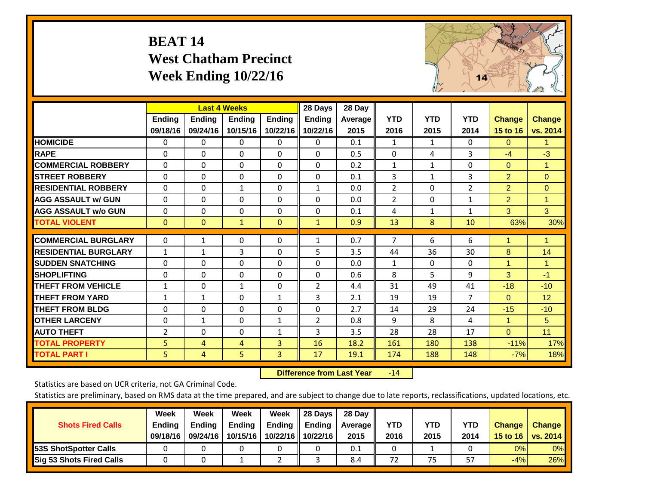# **BEAT 14 West Chatham Precinct Week Ending 10/22/16**



|                             |                | <b>Last 4 Weeks</b> |               |               | 28 Days        | 28 Day         |                |              |              |                |               |
|-----------------------------|----------------|---------------------|---------------|---------------|----------------|----------------|----------------|--------------|--------------|----------------|---------------|
|                             | <b>Ending</b>  | Ending              | <b>Ending</b> | <b>Ending</b> | <b>Ending</b>  | <b>Average</b> | <b>YTD</b>     | <b>YTD</b>   | <b>YTD</b>   | <b>Change</b>  | <b>Change</b> |
|                             | 09/18/16       | 09/24/16            | 10/15/16      | 10/22/16      | 10/22/16       | 2015           | 2016           | 2015         | 2014         | 15 to 16       | vs. 2014      |
| <b>HOMICIDE</b>             | 0              | 0                   | $\Omega$      | 0             | $\Omega$       | 0.1            | 1              | $\mathbf{1}$ | 0            | $\Omega$       | 1.            |
| <b>RAPE</b>                 | $\Omega$       | 0                   | $\Omega$      | 0             | $\Omega$       | 0.5            | $\Omega$       | 4            | 3            | $-4$           | $-3$          |
| <b>COMMERCIAL ROBBERY</b>   | $\Omega$       | $\Omega$            | $\mathbf 0$   | $\Omega$      | $\Omega$       | 0.2            | 1              | 1            | $\Omega$     | $\Omega$       | $\mathbf{1}$  |
| <b>STREET ROBBERY</b>       | $\Omega$       | $\Omega$            | $\Omega$      | $\Omega$      | $\Omega$       | 0.1            | 3              | $\mathbf{1}$ | 3            | $\overline{2}$ | $\Omega$      |
| <b>RESIDENTIAL ROBBERY</b>  | $\Omega$       | 0                   | 1             | $\Omega$      | $\mathbf{1}$   | 0.0            | $\overline{2}$ | $\Omega$     | 2            | $\overline{2}$ | $\Omega$      |
| <b>AGG ASSAULT w/ GUN</b>   | $\Omega$       | $\Omega$            | $\Omega$      | $\Omega$      | $\Omega$       | 0.0            | $\overline{2}$ | 0            | $\mathbf{1}$ | $\overline{2}$ | $\mathbf{1}$  |
| <b>AGG ASSAULT w/o GUN</b>  | 0              | 0                   | 0             | $\Omega$      | 0              | 0.1            | 4              | 1            | 1            | 3              | 3             |
| <b>TOTAL VIOLENT</b>        | $\Omega$       | $\mathbf{0}$        | $\mathbf{1}$  | $\Omega$      | $\mathbf{1}$   | 0.9            | 13             | 8            | 10           | 63%            | 30%           |
| <b>COMMERCIAL BURGLARY</b>  | $\Omega$       | 1                   | 0             | $\Omega$      | $\mathbf{1}$   | 0.7            | 7              | 6            | 6            | 1              | 1             |
| <b>RESIDENTIAL BURGLARY</b> |                |                     | 3             |               | 5              | 3.5            |                | 36           | 30           |                |               |
|                             | $\mathbf{1}$   | $\mathbf{1}$        |               | $\Omega$      |                |                | 44             |              |              | 8              | 14            |
| <b>SUDDEN SNATCHING</b>     | $\Omega$       | 0                   | $\mathbf{0}$  | $\Omega$      | $\Omega$       | 0.0            | 1              | 0            | $\Omega$     | 1              | 1.            |
| <b>SHOPLIFTING</b>          | $\Omega$       | 0                   | $\mathbf{0}$  | $\Omega$      | $\Omega$       | 0.6            | 8              | 5            | 9            | 3              | $-1$          |
| <b>THEFT FROM VEHICLE</b>   | $\mathbf{1}$   | $\Omega$            | 1             | $\Omega$      | $\overline{2}$ | 4.4            | 31             | 49           | 41           | $-18$          | $-10$         |
| <b>THEFT FROM YARD</b>      | $\mathbf{1}$   | $\mathbf{1}$        | $\mathbf 0$   | 1             | 3              | 2.1            | 19             | 19           | 7            | $\Omega$       | 12            |
| <b>THEFT FROM BLDG</b>      | $\Omega$       | 0                   | $\Omega$      | $\Omega$      | $\Omega$       | 2.7            | 14             | 29           | 24           | $-15$          | $-10$         |
| <b>OTHER LARCENY</b>        | $\Omega$       | $\mathbf{1}$        | $\mathbf{0}$  | $\mathbf{1}$  | $\overline{2}$ | 0.8            | 9              | 8            | 4            | 1              | 5             |
| <b>AUTO THEFT</b>           | $\overline{2}$ | $\Omega$            | 0             | $\mathbf{1}$  | 3              | 3.5            | 28             | 28           | 17           | $\Omega$       | 11            |
| <b>TOTAL PROPERTY</b>       | 5              | 4                   | 4             | 3             | 16             | 18.2           | 161            | 180          | 138          | $-11%$         | 17%           |
| <b>TOTAL PART I</b>         | 5              | 4                   | 5             | 3             | 17             | 19.1           | 174            | 188          | 148          | $-7%$          | 18%           |

 **Difference from Last Year**r -14

Statistics are based on UCR criteria, not GA Criminal Code.

| <b>Shots Fired Calls</b>        | Week<br><b>Ending</b><br>09/18/16 | Week<br><b>Endina</b><br>09/24/16 | Week<br>Ending<br>10/15/16 | Week<br>Ending<br>10/22/16 | 28 Days<br><b>Ending</b><br>10/22/16 | 28 Day<br>Average II<br>2015 | YTD<br>2016 | YTD<br>2015 | YTD<br>2014 | <b>Change</b><br>15 to 16 $\vert$ | <b>Change</b><br>vs. 2014 |
|---------------------------------|-----------------------------------|-----------------------------------|----------------------------|----------------------------|--------------------------------------|------------------------------|-------------|-------------|-------------|-----------------------------------|---------------------------|
| <b>153S ShotSpotter Calls</b>   |                                   |                                   |                            |                            |                                      | 0.1                          |             |             |             | 0%                                | 0%                        |
| <b>Sig 53 Shots Fired Calls</b> |                                   |                                   |                            |                            |                                      | 8.4                          | 72          | 75          | 57          | $-4%$                             | 26%                       |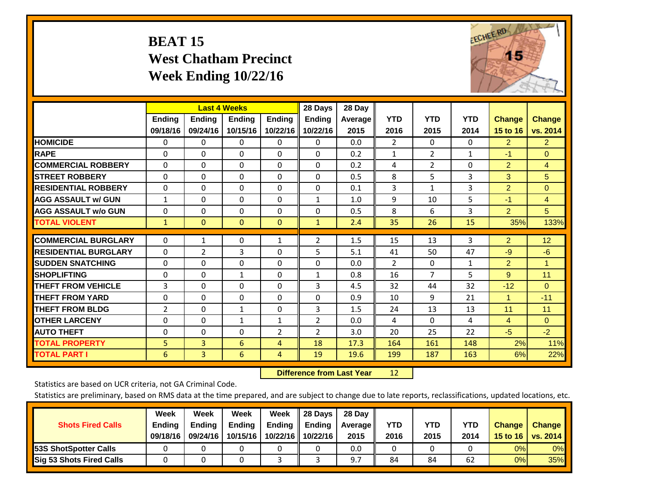# **BEAT 15 West Chatham Precinct Week Ending 10/22/16**



|                             |               | <b>Last 4 Weeks</b> |                |                | 28 Days        | 28 Day  |                |                |              |                      |                |
|-----------------------------|---------------|---------------------|----------------|----------------|----------------|---------|----------------|----------------|--------------|----------------------|----------------|
|                             | <b>Ending</b> | <b>Ending</b>       | <b>Endina</b>  | <b>Ending</b>  | <b>Endina</b>  | Average | <b>YTD</b>     | <b>YTD</b>     | <b>YTD</b>   | <b>Change</b>        | <b>Change</b>  |
|                             | 09/18/16      | 09/24/16            | 10/15/16       | 10/22/16       | 10/22/16       | 2015    | 2016           | 2015           | 2014         | 15 to 16             | vs. 2014       |
| <b>HOMICIDE</b>             | 0             | 0                   | $\Omega$       | 0              | 0              | 0.0     | $\overline{2}$ | $\Omega$       | 0            | $\overline{2}$       | $\overline{2}$ |
| <b>RAPE</b>                 | 0             | $\Omega$            | $\Omega$       | $\Omega$       | 0              | 0.2     | 1              | $\overline{2}$ | $\mathbf{1}$ | $-1$                 | $\Omega$       |
| <b>COMMERCIAL ROBBERY</b>   | $\Omega$      | 0                   | $\Omega$       | $\mathbf 0$    | $\Omega$       | 0.2     | 4              | 2              | $\Omega$     | $\overline{2}$       | $\overline{4}$ |
| <b>STREET ROBBERY</b>       | $\Omega$      | $\Omega$            | $\Omega$       | $\Omega$       | $\Omega$       | 0.5     | 8              | 5              | 3            | 3                    | 5              |
| <b>RESIDENTIAL ROBBERY</b>  | $\Omega$      | $\Omega$            | $\Omega$       | $\mathbf{0}$   | $\Omega$       | 0.1     | 3              | 1              | 3            | $\overline{2}$       | $\Omega$       |
| <b>AGG ASSAULT w/ GUN</b>   | $\mathbf{1}$  | $\Omega$            | $\Omega$       | $\Omega$       | $\mathbf{1}$   | 1.0     | 9              | 10             | 5            | $-1$                 | $\overline{4}$ |
| <b>AGG ASSAULT w/o GUN</b>  | $\Omega$      | $\Omega$            | $\Omega$       | $\Omega$       | $\Omega$       | 0.5     | 8              | 6              | 3            | $\overline{2}$       | 5              |
| <b>TOTAL VIOLENT</b>        | $\mathbf{1}$  | $\mathbf{0}$        | $\overline{0}$ | $\mathbf{0}$   | $\mathbf{1}$   | 2.4     | 35             | 26             | 15           | 35%                  | 133%           |
|                             |               |                     |                |                |                |         |                |                |              |                      |                |
| <b>COMMERCIAL BURGLARY</b>  | $\Omega$      | 1                   | $\Omega$       | 1              | $\overline{2}$ | 1.5     | 15             | 13             | 3            | $\overline{2}$       | 12             |
| <b>RESIDENTIAL BURGLARY</b> | 0             | 2                   | 3              | $\Omega$       | 5              | 5.1     | 41             | 50             | 47           | $-9$                 | $-6$           |
| <b>SUDDEN SNATCHING</b>     | $\Omega$      | $\Omega$            | $\Omega$       | $\Omega$       | $\Omega$       | 0.0     | $\overline{2}$ | $\Omega$       | 1            | $\overline{2}$       | 1.             |
| <b>SHOPLIFTING</b>          | $\Omega$      | $\Omega$            | $\mathbf{1}$   | $\Omega$       | $\mathbf{1}$   | 0.8     | 16             | 7              | 5            | 9                    | 11             |
| <b>THEFT FROM VEHICLE</b>   | 3             | 0                   | $\Omega$       | $\mathbf{0}$   | 3              | 4.5     | 32             | 44             | 32           | $-12$                | $\Omega$       |
| <b>THEFT FROM YARD</b>      | $\Omega$      | $\Omega$            | $\Omega$       | $\mathbf{0}$   | $\Omega$       | 0.9     | 10             | 9              | 21           | $\blacktriangleleft$ | $-11$          |
| <b>THEFT FROM BLDG</b>      | 2             | $\Omega$            | $\mathbf{1}$   | $\Omega$       | 3              | 1.5     | 24             | 13             | 13           | 11                   | 11             |
| <b>OTHER LARCENY</b>        | 0             | $\Omega$            | $\mathbf{1}$   | 1              | $\overline{2}$ | 0.0     | 4              | 0              | 4            | $\overline{4}$       | $\Omega$       |
| <b>AUTO THEFT</b>           | $\mathbf 0$   | 0                   | $\Omega$       | $\overline{2}$ | $\overline{2}$ | 3.0     | 20             | 25             | 22           | $-5$                 | $-2$           |
| <b>TOTAL PROPERTY</b>       | 5             | 3                   | 6              | $\overline{4}$ | 18             | 17.3    | 164            | 161            | 148          | 2%                   | 11%            |
| <b>TOTAL PART I</b>         | 6             | $\overline{3}$      | 6              | 4              | 19             | 19.6    | 199            | 187            | 163          | 6%                   | 22%            |

 **Difference from Last Year**r 12

Statistics are based on UCR criteria, not GA Criminal Code.

| <b>Shots Fired Calls</b>        | Week<br><b>Ending</b><br>09/18/16 | Week<br><b>Endina</b><br>09/24/16 | <b>Week</b><br>Ending<br>10/15/16 | Week<br>Ending<br>10/22/16 | 28 Days<br><b>Ending</b><br>10/22/16 | 28 Day<br>Average II<br>2015 | YTD<br>2016 | YTD<br>2015 | YTD<br>2014 | <b>Change</b><br>15 to 16 $\vert$ | <b>Change</b><br>vs. 2014 |
|---------------------------------|-----------------------------------|-----------------------------------|-----------------------------------|----------------------------|--------------------------------------|------------------------------|-------------|-------------|-------------|-----------------------------------|---------------------------|
| <b>153S ShotSpotter Calls</b>   |                                   |                                   |                                   |                            |                                      | 0.0                          |             |             |             | 0%                                | 0%                        |
| <b>Sig 53 Shots Fired Calls</b> |                                   |                                   |                                   |                            |                                      | 9.7                          | 84          | 84          | 62          | 0%                                | 35%                       |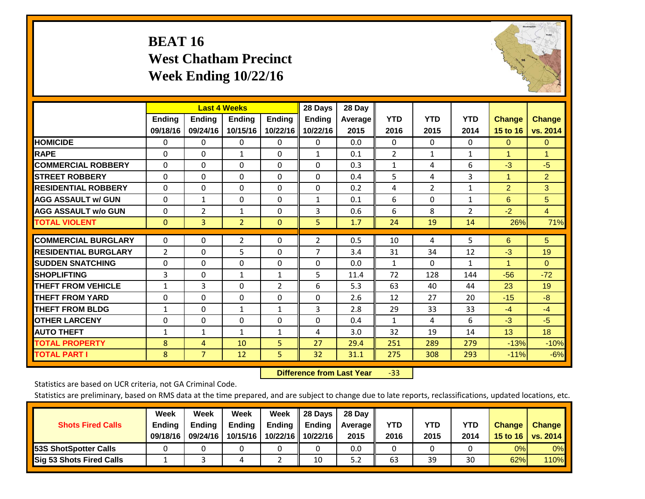# **BEAT 16 West Chatham Precinct Week Ending 10/22/16**



|                             |                           | <b>Last 4 Weeks</b>       |                           |                           | 28 Days                   | 28 Day            |                    |                    |                    |                           |                           |
|-----------------------------|---------------------------|---------------------------|---------------------------|---------------------------|---------------------------|-------------------|--------------------|--------------------|--------------------|---------------------------|---------------------------|
|                             | <b>Ending</b><br>09/18/16 | <b>Ending</b><br>09/24/16 | <b>Endina</b><br>10/15/16 | <b>Endina</b><br>10/22/16 | <b>Endina</b><br>10/22/16 | Average  <br>2015 | <b>YTD</b><br>2016 | <b>YTD</b><br>2015 | <b>YTD</b><br>2014 | <b>Change</b><br>15 to 16 | <b>Change</b><br>vs. 2014 |
| <b>HOMICIDE</b>             | 0                         | 0                         | $\Omega$                  | 0                         | 0                         | 0.0               | 0                  | $\Omega$           | 0                  | $\mathbf{0}$              | $\Omega$                  |
| <b>RAPE</b>                 | 0                         | $\Omega$                  | $\mathbf{1}$              | 0                         | $\mathbf{1}$              | 0.1               | $\overline{2}$     | $\mathbf{1}$       | $\mathbf{1}$       | 1                         | 1                         |
| <b>COMMERCIAL ROBBERY</b>   | $\Omega$                  | $\Omega$                  | $\Omega$                  | 0                         | $\Omega$                  | 0.3               | $\mathbf{1}$       | 4                  | 6                  | $-3$                      | $-5$                      |
| <b>STREET ROBBERY</b>       | $\Omega$                  | $\Omega$                  | $\Omega$                  | $\Omega$                  | $\Omega$                  | 0.4               | 5                  | 4                  | 3                  | $\blacktriangleleft$      | $\overline{2}$            |
| <b>RESIDENTIAL ROBBERY</b>  | 0                         | $\Omega$                  | $\Omega$                  | $\mathbf{0}$              | $\Omega$                  | 0.2               | 4                  | $\overline{2}$     | $\mathbf{1}$       | $\overline{2}$            | 3                         |
| <b>AGG ASSAULT w/ GUN</b>   | 0                         | $\mathbf{1}$              | $\Omega$                  | $\Omega$                  | $\mathbf{1}$              | 0.1               | 6                  | 0                  | 1                  | 6                         | 5                         |
| <b>AGG ASSAULT w/o GUN</b>  | $\Omega$                  | 2                         | 1                         | 0                         | 3                         | 0.6               | 6                  | 8                  | $\overline{2}$     | $-2$                      | $\overline{4}$            |
| <b>TOTAL VIOLENT</b>        | $\mathbf{0}$              | 3                         | $\overline{2}$            | $\mathbf{0}$              | 5                         | 1.7               | 24                 | 19                 | 14                 | 26%                       | 71%                       |
| <b>COMMERCIAL BURGLARY</b>  | $\Omega$                  | 0                         | $\overline{2}$            | $\mathbf{0}$              | 2                         | 0.5               | 10                 | 4                  | 5                  | 6                         | 5 <sup>5</sup>            |
| <b>RESIDENTIAL BURGLARY</b> | 2                         | $\Omega$                  | 5                         | $\Omega$                  | 7                         | 3.4               | 31                 | 34                 | 12                 | $-3$                      | 19                        |
| <b>SUDDEN SNATCHING</b>     | $\Omega$                  | $\Omega$                  | $\Omega$                  | $\mathbf{0}$              | $\Omega$                  | 0.0               | $\mathbf{1}$       | 0                  | 1                  | 1                         | $\Omega$                  |
| <b>SHOPLIFTING</b>          | 3                         | 0                         | $\mathbf{1}$              | 1                         | 5                         | 11.4              | 72                 | 128                | 144                | $-56$                     | $-72$                     |
| <b>THEFT FROM VEHICLE</b>   | $\mathbf{1}$              | 3                         | $\mathbf{0}$              | 2                         | 6                         | 5.3               | 63                 | 40                 | 44                 | 23                        | 19                        |
| <b>THEFT FROM YARD</b>      | $\Omega$                  | 0                         | $\mathbf{0}$              | $\Omega$                  | $\Omega$                  | 2.6               | 12                 | 27                 | 20                 | $-15$                     | $-8$                      |
| <b>THEFT FROM BLDG</b>      | $\mathbf{1}$              | 0                         | 1                         | 1                         | 3                         | 2.8               | 29                 | 33                 | 33                 | $-4$                      | $-4$                      |
| <b>IOTHER LARCENY</b>       | 0                         | 0                         | $\mathbf{0}$              | $\Omega$                  | 0                         | 0.4               | 1                  | 4                  | 6                  | $-3$                      | $-5$                      |
| <b>AUTO THEFT</b>           | $\mathbf{1}$              | $\mathbf{1}$              | 1                         | 1                         | 4                         | 3.0               | 32                 | 19                 | 14                 | 13                        | 18                        |
| <b>TOTAL PROPERTY</b>       | 8                         | 4                         | 10                        | 5 <sup>1</sup>            | 27                        | 29.4              | 251                | 289                | 279                | $-13%$                    | $-10%$                    |
| <b>TOTAL PART I</b>         | 8                         | $\overline{7}$            | 12                        | 5.                        | 32                        | 31.1              | 275                | 308                | 293                | $-11%$                    | $-6%$                     |

 **Difference from Last Year**‐33

Statistics are based on UCR criteria, not GA Criminal Code.

| <b>Shots Fired Calls</b>        | Week<br><b>Ending</b><br>09/18/16 | Week<br><b>Endina</b><br>09/24/16 | <b>Week</b><br>Ending<br>10/15/16 | Week<br>Ending<br>10/22/16 | 28 Days<br><b>Ending</b><br>10/22/16 | 28 Day<br>Average II<br>2015 | YTD<br>2016 | YTD<br>2015 | <b>YTD</b><br>2014 | <b>Change</b><br>15 to 16 $\vert$ | <b>Change</b><br>vs. 2014 |
|---------------------------------|-----------------------------------|-----------------------------------|-----------------------------------|----------------------------|--------------------------------------|------------------------------|-------------|-------------|--------------------|-----------------------------------|---------------------------|
| <b>153S ShotSpotter Calls</b>   |                                   |                                   |                                   |                            |                                      | 0.0                          |             |             |                    | 0%                                | 0%                        |
| <b>Sig 53 Shots Fired Calls</b> |                                   |                                   |                                   |                            | 10                                   | 5.2                          | 63          | 39          | 30                 | 62%                               | 110%l                     |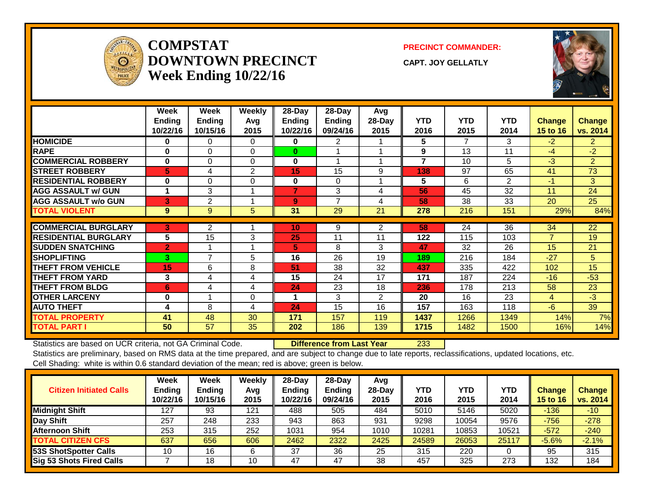

#### **COMPSTATDOWNTOWN PRECINCTWeek Ending 10/22/16**

**PRECINCT COMMANDER:**

**CAPT. JOY GELLATLY**



|                             | Week<br><b>Ending</b><br>10/22/16 | Week<br><b>Endina</b><br>10/15/16 | Weekly<br>Avg<br>2015 | 28-Day<br>Endina<br>10/22/16 | $28$ -Day<br>Ending<br>09/24/16 | Avg<br>$28$ -Day<br>2015 | <b>YTD</b><br>2016 | <b>YTD</b><br>2015 | <b>YTD</b><br>2014 | Change<br>15 to 16 | <b>Change</b><br>vs. 2014 |
|-----------------------------|-----------------------------------|-----------------------------------|-----------------------|------------------------------|---------------------------------|--------------------------|--------------------|--------------------|--------------------|--------------------|---------------------------|
| <b>HOMICIDE</b>             | $\bf{0}$                          | 0                                 | $\Omega$              | 0                            | 2                               |                          | 5                  | 7                  | 3                  | $-2$               | $\overline{2}$            |
| <b>RAPE</b>                 | 0                                 | $\Omega$                          | $\Omega$              | $\bf{0}$                     |                                 |                          | 9                  | 13                 | 11                 | $-4$               | $-2$                      |
| <b>COMMERCIAL ROBBERY</b>   | $\bf{0}$                          | $\Omega$                          | $\Omega$              | $\bf{0}$                     | $\overline{\mathbf{A}}$         |                          | $\overline{7}$     | 10                 | 5                  | $-3$               | $\overline{2}$            |
| <b>STREET ROBBERY</b>       | 5                                 | 4                                 | 2                     | 15                           | 15                              | 9                        | 138                | 97                 | 65                 | 41                 | 73                        |
| <b>RESIDENTIAL ROBBERY</b>  | $\bf{0}$                          | $\Omega$                          | $\Omega$              | 0                            | $\Omega$                        |                          | 5                  | 6                  | 2                  | $-1$               | 3                         |
| <b>AGG ASSAULT w/ GUN</b>   | 1                                 | 3                                 |                       | $\overline{7}$               | 3                               | 4                        | 56                 | 45                 | 32                 | 11                 | 24                        |
| <b>AGG ASSAULT w/o GUN</b>  | 3                                 | 2                                 |                       | 9                            | $\overline{ }$                  | 4                        | 58                 | 38                 | 33                 | 20                 | 25                        |
| <b>TOTAL VIOLENT</b>        | 9                                 | 9                                 | 5                     | 31                           | 29                              | 21                       | 278                | 216                | 151                | 29%                | 84%                       |
|                             |                                   |                                   |                       |                              |                                 |                          |                    |                    |                    |                    |                           |
| <b>COMMERCIAL BURGLARY</b>  | 3                                 | 2                                 |                       | 10                           | 9                               | 2                        | 58                 | 24                 | 36                 | 34                 | $\overline{22}$           |
| <b>RESIDENTIAL BURGLARY</b> | 5                                 | 15                                | 3                     | 25                           | 11                              | 11                       | 122                | 115                | 103                | $\overline{7}$     | 19                        |
| <b>SUDDEN SNATCHING</b>     | $\overline{2}$                    |                                   |                       | 5                            | 8                               | 3                        | 47                 | 32                 | 26                 | 15                 | 21                        |
| <b>SHOPLIFTING</b>          | 3.                                | 7                                 | 5                     | 16                           | 26                              | 19                       | 189                | 216                | 184                | $-27$              | 5                         |
| <b>THEFT FROM VEHICLE</b>   | 15                                | 6                                 | 8                     | 51                           | 38                              | 32                       | 437                | 335                | 422                | 102                | 15                        |
| <b>THEFT FROM YARD</b>      | 3                                 | 4                                 | 4                     | 15                           | 24                              | 17                       | 171                | 187                | 224                | $-16$              | $-53$                     |
| <b>THEFT FROM BLDG</b>      | 6                                 | 4                                 | 4                     | 24                           | 23                              | 18                       | 236                | 178                | 213                | 58                 | 23                        |
| <b>OTHER LARCENY</b>        | $\bf{0}$                          |                                   | $\Omega$              | 1                            | 3                               | $\overline{2}$           | 20                 | 16                 | 23                 | 4                  | $-3$                      |
| <b>AUTO THEFT</b>           | 4                                 | 8                                 | 4                     | 24                           | 15                              | 16                       | 157                | 163                | 118                | $-6$               | 39                        |
| TOTAL PROPERTY              | 41                                | 48                                | 30                    | 171                          | 157                             | 119                      | 1437               | 1266               | 1349               | 14%                | 7%                        |
| <b>TOTAL PART I</b>         | 50                                | 57                                | 35                    | 202                          | 186                             | 139                      | 1715               | 1482               | 1500               | 16%                | 14%                       |

Statistics are based on UCR criteria, not GA Criminal Code. **Difference from Last Year** 233

| <b>Citizen Initiated Calls</b> | Week<br>Ending<br>10/22/16 | <b>Week</b><br><b>Ending</b><br>10/15/16 | Weekly<br>Avg<br>2015 | 28-Day<br><b>Ending</b><br>10/22/16 | $28$ -Day<br><b>Ending</b><br>09/24/16 | Avg<br>28-Dav<br>2015 | <b>YTD</b><br>2016 | <b>YTD</b><br>2015 | YTD<br>2014 | <b>Change</b><br><b>15 to 16</b> | <b>Change</b><br>vs. 2014 |
|--------------------------------|----------------------------|------------------------------------------|-----------------------|-------------------------------------|----------------------------------------|-----------------------|--------------------|--------------------|-------------|----------------------------------|---------------------------|
| <b>Midnight Shift</b>          | 127                        | 93                                       | 121                   | 488                                 | 505                                    | 484                   | 5010               | 5146               | 5020        | $-136$                           | $-10$                     |
| Day Shift                      | 257                        | 248                                      | 233                   | 943                                 | 863                                    | 931                   | 9298               | 10054              | 9576        | $-756$                           | $-278$                    |
| <b>Afternoon Shift</b>         | 253                        | 315                                      | 252                   | 1031                                | 954                                    | 1010                  | 10281              | 10853              | 10521       | $-572$                           | $-240$                    |
| <b>TOTAL CITIZEN CFS</b>       | 637                        | 656                                      | 606                   | 2462                                | 2322                                   | 2425                  | 24589              | 26053              | 25117       | $-5.6%$                          | $-2.1%$                   |
| 53S ShotSpotter Calls          | 10                         | 16                                       | 6                     | 37                                  | 36                                     | 25                    | 315                | 220                |             | 95                               | 315                       |
| Sig 53 Shots Fired Calls       |                            | 18                                       | 10                    | 47                                  | 47                                     | 38                    | 457                | 325                | 273         | 132                              | 184                       |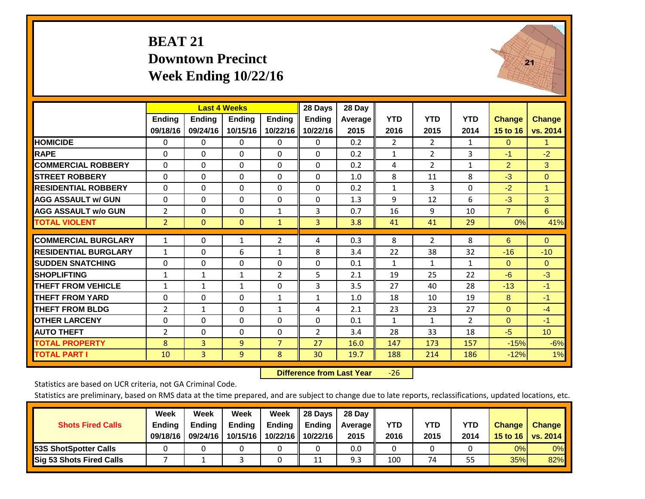### **BEAT 21 Downtown Precinct Week Ending 10/22/16**



|                             |                | <b>Last 4 Weeks</b> |               |                | 28 Days        | 28 Day  |                |                |                |                |                 |
|-----------------------------|----------------|---------------------|---------------|----------------|----------------|---------|----------------|----------------|----------------|----------------|-----------------|
|                             | <b>Ending</b>  | <b>Ending</b>       | <b>Ending</b> | <b>Ending</b>  | <b>Ending</b>  | Average | <b>YTD</b>     | <b>YTD</b>     | <b>YTD</b>     | <b>Change</b>  | <b>Change</b>   |
|                             | 09/18/16       | 09/24/16            | 10/15/16      | 10/22/16       | 10/22/16       | 2015    | 2016           | 2015           | 2014           | 15 to 16       | vs. 2014        |
| <b>HOMICIDE</b>             | 0              | $\mathbf{0}$        | 0             | 0              | $\Omega$       | 0.2     | $\overline{2}$ | $\overline{2}$ | 1              | $\Omega$       | 1.              |
| <b>RAPE</b>                 | $\Omega$       | $\Omega$            | $\Omega$      | 0              | 0              | 0.2     | $\mathbf{1}$   | 2              | 3              | $-1$           | $-2$            |
| <b>COMMERCIAL ROBBERY</b>   | $\Omega$       | $\Omega$            | $\Omega$      | $\Omega$       | 0              | 0.2     | 4              | $\overline{2}$ | $\mathbf{1}$   | $\overline{2}$ | 3               |
| <b>STREET ROBBERY</b>       | $\Omega$       | $\Omega$            | $\Omega$      | $\Omega$       | 0              | 1.0     | 8              | 11             | 8              | $-3$           | $\mathbf{0}$    |
| <b>RESIDENTIAL ROBBERY</b>  | $\Omega$       | $\Omega$            | $\Omega$      | $\Omega$       | 0              | 0.2     | $\mathbf{1}$   | 3              | $\Omega$       | $-2$           | 1               |
| <b>AGG ASSAULT w/ GUN</b>   | $\Omega$       | $\Omega$            | $\Omega$      | $\Omega$       | $\Omega$       | 1.3     | 9              | 12             | 6              | $-3$           | 3               |
| <b>AGG ASSAULT w/o GUN</b>  | 2              | $\Omega$            | $\Omega$      | $\mathbf{1}$   | 3              | 0.7     | 16             | 9              | 10             | $\overline{7}$ | 6               |
| <b>TOTAL VIOLENT</b>        | $\overline{2}$ | $\mathbf{0}$        | $\mathbf{0}$  | $\mathbf{1}$   | 3              | 3.8     | 41             | 41             | 29             | $0\%$          | 41%             |
| <b>COMMERCIAL BURGLARY</b>  | $\mathbf{1}$   | $\Omega$            | $\mathbf{1}$  | $\overline{2}$ | 4              | 0.3     | 8              | 2              | 8              | 6              | $\mathbf{0}$    |
| <b>RESIDENTIAL BURGLARY</b> | $\mathbf{1}$   | $\Omega$            | 6             | $\mathbf{1}$   | 8              | 3.4     | 22             | 38             | 32             | $-16$          | $-10$           |
| <b>ISUDDEN SNATCHING</b>    | $\Omega$       | $\Omega$            | $\Omega$      | $\Omega$       | $\Omega$       | 0.1     | $\mathbf{1}$   | $\mathbf{1}$   | $\mathbf{1}$   | $\Omega$       | $\mathbf{0}$    |
| <b>SHOPLIFTING</b>          | $\mathbf{1}$   | $\mathbf{1}$        | 1             | 2              | 5              | 2.1     | 19             | 25             | 22             | $-6$           | $-3$            |
| <b>THEFT FROM VEHICLE</b>   | $\mathbf{1}$   | $\mathbf{1}$        | $\mathbf{1}$  | $\Omega$       | 3              | 3.5     | 27             | 40             | 28             | $-13$          | $-1$            |
| <b>THEFT FROM YARD</b>      | $\Omega$       | $\Omega$            | $\Omega$      | $\mathbf{1}$   | $\mathbf{1}$   | 1.0     | 18             | 10             | 19             | 8              | $-1$            |
| <b>THEFT FROM BLDG</b>      | 2              | $\mathbf{1}$        | $\Omega$      | $\mathbf{1}$   | 4              | 2.1     | 23             | 23             | 27             | $\Omega$       | $-4$            |
| <b>OTHER LARCENY</b>        | $\Omega$       | $\Omega$            | $\Omega$      | $\Omega$       | 0              | 0.1     | $\mathbf{1}$   | $\mathbf{1}$   | $\overline{2}$ | $\mathbf{0}$   | $-1$            |
| <b>AUTO THEFT</b>           | 2              | $\Omega$            | $\Omega$      | $\Omega$       | $\overline{2}$ | 3.4     | 28             | 33             | 18             | $-5$           | 10 <sup>°</sup> |
| <b>TOTAL PROPERTY</b>       | 8              | 3                   | 9             | $\overline{7}$ | 27             | 16.0    | 147            | 173            | 157            | $-15%$         | $-6%$           |
| <b>TOTAL PART I</b>         | 10             | $\overline{3}$      | 9             | 8              | 30             | 19.7    | 188            | 214            | 186            | $-12%$         | 1%              |

 **Difference from Last Year**‐26

Statistics are based on UCR criteria, not GA Criminal Code.

| <b>Shots Fired Calls</b>        | Week<br><b>Ending</b><br>09/18/16 | Week<br><b>Endina</b><br>09/24/16 | <b>Week</b><br>Ending<br>10/15/16 | Week<br>Ending<br>10/22/16 | 28 Days<br><b>Ending</b><br>10/22/16 | 28 Day<br>Average II<br>2015 | YTD<br>2016 | YTD<br>2015 | YTD<br>2014 | <b>Change</b><br>15 to 16 $\vert$ | <b>Change</b><br>vs. 2014 |
|---------------------------------|-----------------------------------|-----------------------------------|-----------------------------------|----------------------------|--------------------------------------|------------------------------|-------------|-------------|-------------|-----------------------------------|---------------------------|
| <b>153S ShotSpotter Calls</b>   |                                   |                                   |                                   |                            |                                      | 0.0                          |             |             |             | 0%                                | 0%                        |
| <b>Sig 53 Shots Fired Calls</b> |                                   |                                   |                                   |                            | 11                                   | 9.3                          | 100         | 74          | 55          | 35%                               | 82%                       |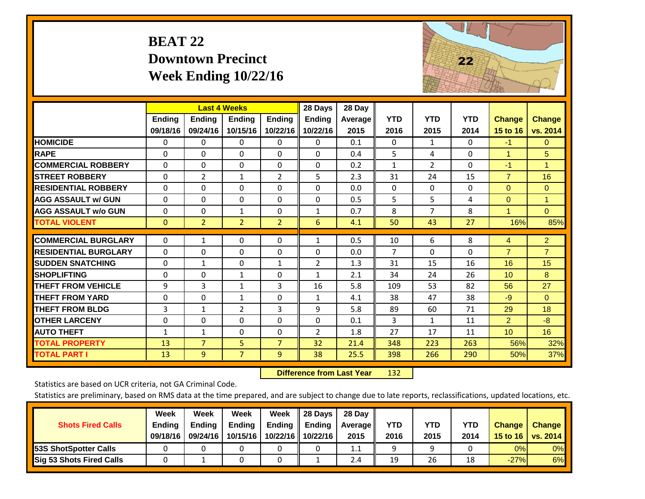| <b>BEAT 22</b>           |
|--------------------------|
| <b>Downtown Precinct</b> |
| Week Ending $10/22/16$   |



|                             |              | <b>Last 4 Weeks</b> |                |                | 28 Days        | 28 Day  |                |                |            |                 |                |
|-----------------------------|--------------|---------------------|----------------|----------------|----------------|---------|----------------|----------------|------------|-----------------|----------------|
|                             | Ending       | <b>Ending</b>       | <b>Ending</b>  | <b>Ending</b>  | Ending         | Average | <b>YTD</b>     | <b>YTD</b>     | <b>YTD</b> | <b>Change</b>   | <b>Change</b>  |
|                             | 09/18/16     | 09/24/16            | 10/15/16       | 10/22/16       | 10/22/16       | 2015    | 2016           | 2015           | 2014       | 15 to 16        | vs. 2014       |
| <b>HOMICIDE</b>             | $\Omega$     | 0                   | 0              | $\Omega$       | $\Omega$       | 0.1     | $\Omega$       | $\mathbf{1}$   | 0          | $-1$            | $\Omega$       |
| <b>RAPE</b>                 | $\Omega$     | $\Omega$            | $\Omega$       | $\Omega$       | $\Omega$       | 0.4     | 5              | 4              | 0          | 1               | 5              |
| <b>COMMERCIAL ROBBERY</b>   | $\Omega$     | 0                   | $\Omega$       | $\Omega$       | $\Omega$       | 0.2     | $\mathbf{1}$   | $\overline{2}$ | 0          | $-1$            | $\mathbf{1}$   |
| <b>STREET ROBBERY</b>       | $\Omega$     | $\overline{2}$      | $\mathbf{1}$   | $\overline{2}$ | 5              | 2.3     | 31             | 24             | 15         | $\overline{7}$  | 16             |
| <b>RESIDENTIAL ROBBERY</b>  | $\Omega$     | 0                   | $\Omega$       | $\Omega$       | $\Omega$       | 0.0     | $\mathbf{0}$   | $\Omega$       | 0          | $\Omega$        | $\overline{0}$ |
| <b>AGG ASSAULT w/ GUN</b>   | $\Omega$     | 0                   | $\Omega$       | $\Omega$       | $\Omega$       | 0.5     | 5              | 5              | 4          | $\Omega$        | $\mathbf{1}$   |
| <b>AGG ASSAULT w/o GUN</b>  | $\Omega$     | 0                   | 1              | $\Omega$       | $\mathbf{1}$   | 0.7     | 8              | $\overline{7}$ | 8          | $\mathbf{1}$    | $\Omega$       |
| <b>TOTAL VIOLENT</b>        | $\mathbf{0}$ | $\overline{2}$      | $\overline{2}$ | $\overline{2}$ | 6              | 4.1     | 50             | 43             | 27         | 16%             | 85%            |
| <b>COMMERCIAL BURGLARY</b>  | $\Omega$     | 1                   | 0              | $\Omega$       | $\mathbf{1}$   | 0.5     | 10             | 6              | 8          | 4               | $\overline{2}$ |
|                             |              |                     |                |                |                |         |                |                |            |                 |                |
| <b>RESIDENTIAL BURGLARY</b> | $\Omega$     | 0                   | 0              | $\Omega$       | $\Omega$       | 0.0     | $\overline{7}$ | $\Omega$       | 0          | $\overline{7}$  | $\overline{7}$ |
| <b>SUDDEN SNATCHING</b>     | $\Omega$     | 1                   | $\mathbf{0}$   | $\mathbf{1}$   | 2              | 1.3     | 31             | 15             | 16         | 16              | 15             |
| <b>SHOPLIFTING</b>          | $\Omega$     | 0                   | $\mathbf{1}$   | $\Omega$       | 1              | 2.1     | 34             | 24             | 26         | 10 <sup>1</sup> | 8              |
| <b>THEFT FROM VEHICLE</b>   | 9            | 3                   | 1              | 3              | 16             | 5.8     | 109            | 53             | 82         | 56              | 27             |
| <b>THEFT FROM YARD</b>      | $\Omega$     | $\Omega$            | $\mathbf{1}$   | $\Omega$       | $\mathbf{1}$   | 4.1     | 38             | 47             | 38         | $-9$            | $\Omega$       |
| <b>THEFT FROM BLDG</b>      | 3            | 1                   | $\overline{2}$ | 3              | 9              | 5.8     | 89             | 60             | 71         | 29              | 18             |
| <b>OTHER LARCENY</b>        | $\Omega$     | $\Omega$            | $\Omega$       | $\Omega$       | $\Omega$       | 0.1     | 3              | $\mathbf{1}$   | 11         | $\overline{2}$  | $-8$           |
| <b>AUTO THEFT</b>           | $\mathbf{1}$ | $\mathbf{1}$        | 0              | $\Omega$       | $\overline{2}$ | 1.8     | 27             | 17             | 11         | 10 <sup>°</sup> | 16             |
| <b>TOTAL PROPERTY</b>       | 13           | $\overline{7}$      | 5              | $\overline{7}$ | 32             | 21.4    | 348            | 223            | 263        | 56%             | 32%            |
| <b>TOTAL PART I</b>         | 13           | 9                   | $\overline{7}$ | 9              | 38             | 25.5    | 398            | 266            | 290        | 50%             | 37%            |

 **Difference from Last Year**r 132

Statistics are based on UCR criteria, not GA Criminal Code.

|                                 | Week          | Week          | Week          | Week | 28 Days                   | 28 Day     |            |            |            |               |               |
|---------------------------------|---------------|---------------|---------------|------|---------------------------|------------|------------|------------|------------|---------------|---------------|
| <b>Shots Fired Calls</b>        | <b>Ending</b> | <b>Endina</b> | <b>Ending</b> |      | Ending $\parallel$ Ending | Average II | <b>YTD</b> | <b>YTD</b> | <b>YTD</b> | <b>Change</b> | <b>Change</b> |
|                                 | 09/18/16      | 09/24/16      | 10/15/16      |      | 10/22/16 10/22/16         | 2015       | 2016       | 2015       | 2014       | 15 to 16      | vs. $2014$    |
| <b>153S ShotSpotter Calls</b>   |               |               |               |      |                           | 1.1        |            |            |            | 0%            | $0\%$         |
| <b>Sig 53 Shots Fired Calls</b> |               |               |               |      |                           | 2.4        | 19         | 26         | 18         | $-27%$        | 6%            |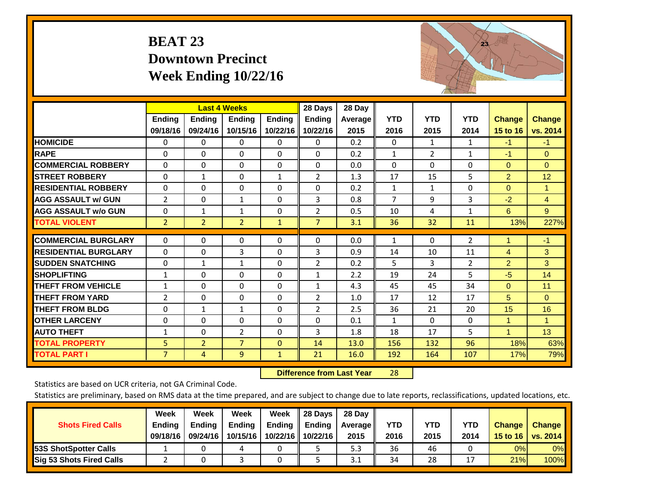# **BEAT 23 Downtown Precinct Week Ending 10/22/16**



|                             |                | <b>Last 4 Weeks</b> |                |               | 28 Days        | 28 Day         |              |              |                |                |                |
|-----------------------------|----------------|---------------------|----------------|---------------|----------------|----------------|--------------|--------------|----------------|----------------|----------------|
|                             | Ending         | <b>Ending</b>       | <b>Endina</b>  | <b>Ending</b> | <b>Ending</b>  | <b>Average</b> | <b>YTD</b>   | <b>YTD</b>   | <b>YTD</b>     | <b>Change</b>  | <b>Change</b>  |
|                             | 09/18/16       | 09/24/16            | 10/15/16       | 10/22/16      | 10/22/16       | 2015           | 2016         | 2015         | 2014           | 15 to 16       | vs. 2014       |
| <b>HOMICIDE</b>             | 0              | 0                   | $\Omega$       | $\Omega$      | $\Omega$       | 0.2            | $\mathbf{0}$ | $\mathbf{1}$ | 1              | $-1$           | $-1$           |
| <b>RAPE</b>                 | $\Omega$       | 0                   | $\mathbf{0}$   | $\Omega$      | $\Omega$       | 0.2            | 1            | 2            | 1              | $-1$           | $\Omega$       |
| <b>COMMERCIAL ROBBERY</b>   | $\Omega$       | $\Omega$            | $\Omega$       | $\Omega$      | $\Omega$       | 0.0            | $\Omega$     | $\Omega$     | $\Omega$       | $\mathbf{0}$   | $\Omega$       |
| <b>STREET ROBBERY</b>       | 0              | $\mathbf{1}$        | $\mathbf 0$    | 1             | $\overline{2}$ | 1.3            | 17           | 15           | 5              | $\overline{2}$ | 12             |
| <b>RESIDENTIAL ROBBERY</b>  | $\Omega$       | 0                   | $\Omega$       | $\Omega$      | $\Omega$       | 0.2            | $\mathbf{1}$ | 1            | $\Omega$       | $\Omega$       | 1              |
| <b>AGG ASSAULT w/ GUN</b>   | $\overline{2}$ | $\Omega$            | 1              | $\Omega$      | 3              | 0.8            | 7            | 9            | 3              | $-2$           | $\overline{4}$ |
| <b>AGG ASSAULT w/o GUN</b>  | $\Omega$       | 1                   | $\mathbf{1}$   | $\Omega$      | $\overline{2}$ | 0.5            | 10           | 4            | $\mathbf{1}$   | 6              | 9              |
| <b>TOTAL VIOLENT</b>        | $\overline{2}$ | $\overline{2}$      | $\overline{2}$ | $\mathbf{1}$  | $\overline{7}$ | 3.1            | 36           | 32           | 11             | 13%            | 227%           |
| <b>COMMERCIAL BURGLARY</b>  | $\Omega$       | $\Omega$            | $\mathbf 0$    | 0             | $\Omega$       | 0.0            | 1            | 0            | $\overline{2}$ | 1              | $-1$           |
|                             |                |                     |                |               |                |                |              |              |                |                |                |
| <b>RESIDENTIAL BURGLARY</b> | $\Omega$       | 0                   | 3              | $\Omega$      | 3              | 0.9            | 14           | 10           | 11             | 4              | 3              |
| <b>SUDDEN SNATCHING</b>     | 0              | 1                   | 1              | $\Omega$      | $\overline{2}$ | 0.2            | 5            | 3            | 2              | $\overline{2}$ | 3              |
| <b>SHOPLIFTING</b>          | $\mathbf{1}$   | $\Omega$            | $\mathbf 0$    | $\Omega$      | $\mathbf{1}$   | 2.2            | 19           | 24           | 5              | $-5$           | 14             |
| <b>THEFT FROM VEHICLE</b>   | $\mathbf{1}$   | $\Omega$            | $\mathbf{0}$   | $\Omega$      | $\mathbf{1}$   | 4.3            | 45           | 45           | 34             | $\Omega$       | 11             |
| <b>THEFT FROM YARD</b>      | $\overline{2}$ | $\Omega$            | $\mathbf 0$    | $\Omega$      | 2              | 1.0            | 17           | 12           | 17             | 5              | $\Omega$       |
| <b>THEFT FROM BLDG</b>      | $\Omega$       | 1                   | 1              | $\Omega$      | $\overline{2}$ | 2.5            | 36           | 21           | 20             | 15             | 16             |
| <b>OTHER LARCENY</b>        | 0              | $\Omega$            | $\mathbf 0$    | $\Omega$      | $\Omega$       | 0.1            | 1            | $\Omega$     | $\Omega$       | $\mathbf{1}$   | $\mathbf{1}$   |
| <b>AUTO THEFT</b>           | $\mathbf{1}$   | $\Omega$            | 2              | $\Omega$      | 3              | 1.8            | 18           | 17           | 5              | $\overline{1}$ | 13             |
| <b>TOTAL PROPERTY</b>       | 5 <sup>1</sup> | $\overline{2}$      | $\overline{7}$ | $\Omega$      | 14             | 13.0           | 156          | 132          | 96             | 18%            | 63%            |
| <b>TOTAL PART I</b>         | $\overline{7}$ | 4                   | 9              | $\mathbf{1}$  | 21             | 16.0           | 192          | 164          | 107            | 17%            | 79%            |

 **Difference from Last Year**r 28

Statistics are based on UCR criteria, not GA Criminal Code.

|                                 | Week          | Week          | Week     | Week     | 28 Days       | 28 Day     |      |      |            |                  |                 |
|---------------------------------|---------------|---------------|----------|----------|---------------|------------|------|------|------------|------------------|-----------------|
| <b>Shots Fired Calls</b>        | <b>Ending</b> | <b>Ending</b> | Ending   | Ending   | <b>Ending</b> | Average II | YTD  | YTD  | <b>YTD</b> | <b>Change</b>    | <b>Change</b>   |
|                                 | 09/18/16      | 09/24/16      | 10/15/16 | 10/22/16 | 10/22/16      | 2015       | 2016 | 2015 | 2014       | 15 to 16 $\vert$ | <b>vs. 2014</b> |
| <b>153S ShotSpotter Calls</b>   |               |               |          |          |               | 5.3        | 36   | 46   |            | 0%               | 0%              |
| <b>Sig 53 Shots Fired Calls</b> |               |               |          |          |               | 3.1        | 34   | 28   |            | 21%              | <b>100%</b>     |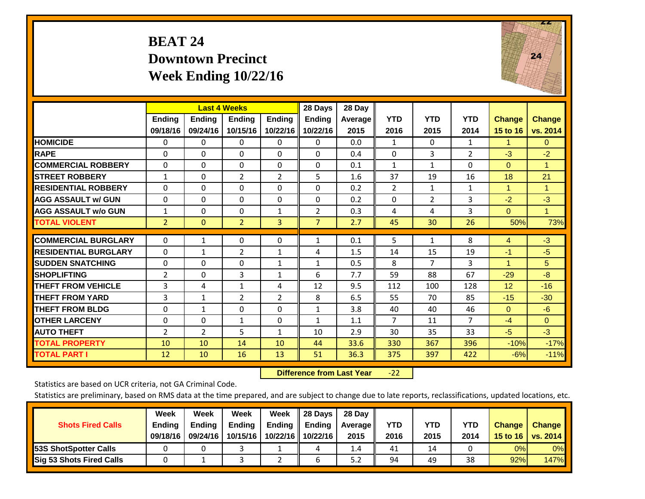## **BEAT 24 Downtown Precinct Week Ending 10/22/16**



|                             |                |               | <b>Last 4 Weeks</b> |                | 28 Days        | 28 Day  |                |                |                |               |                 |
|-----------------------------|----------------|---------------|---------------------|----------------|----------------|---------|----------------|----------------|----------------|---------------|-----------------|
|                             | <b>Ending</b>  | <b>Ending</b> | <b>Endina</b>       | <b>Endina</b>  | <b>Endina</b>  | Average | <b>YTD</b>     | <b>YTD</b>     | <b>YTD</b>     | <b>Change</b> | <b>Change</b>   |
|                             | 09/18/16       | 09/24/16      | 10/15/16            | 10/22/16       | 10/22/16       | 2015    | 2016           | 2015           | 2014           | 15 to 16      | vs. 2014        |
| <b>HOMICIDE</b>             | $\Omega$       | 0             | 0                   | 0              | 0              | 0.0     | 1              | 0              | $\mathbf{1}$   | 1             | $\Omega$        |
| <b>RAPE</b>                 | $\Omega$       | 0             | $\Omega$            | $\Omega$       | $\Omega$       | 0.4     | $\Omega$       | 3              | $\overline{2}$ | $-3$          | $-2$            |
| <b>COMMERCIAL ROBBERY</b>   | $\Omega$       | 0             | $\Omega$            | $\Omega$       | $\Omega$       | 0.1     | $\mathbf{1}$   | $\mathbf{1}$   | $\Omega$       | $\Omega$      | $\overline{1}$  |
| <b>ISTREET ROBBERY</b>      | $\mathbf{1}$   | 0             | $\overline{2}$      | $\overline{2}$ | 5              | 1.6     | 37             | 19             | 16             | 18            | 21              |
| <b>RESIDENTIAL ROBBERY</b>  | $\Omega$       | 0             | $\Omega$            | $\Omega$       | 0              | 0.2     | $\overline{2}$ | 1              | $\mathbf{1}$   | 1             | 1               |
| <b>AGG ASSAULT w/ GUN</b>   | $\Omega$       | $\Omega$      | $\Omega$            | $\Omega$       | $\Omega$       | 0.2     | $\Omega$       | $\overline{2}$ | 3              | $-2$          | $-3$            |
| <b>AGG ASSAULT w/o GUN</b>  | $\mathbf{1}$   | 0             | $\Omega$            | 1              | 2              | 0.3     | 4              | 4              | 3              | $\Omega$      | $\mathbf{1}$    |
| <b>TOTAL VIOLENT</b>        | $\overline{2}$ | $\mathbf{0}$  | $\overline{2}$      | $\overline{3}$ | $\overline{7}$ | 2.7     | 45             | 30             | 26             | 50%           | 73%             |
|                             |                |               |                     |                |                |         |                |                |                |               |                 |
| <b>COMMERCIAL BURGLARY</b>  | $\Omega$       | 1             | 0                   | 0              | 1              | 0.1     | 5              | $\mathbf{1}$   | 8              | 4             | $-3$            |
| <b>RESIDENTIAL BURGLARY</b> | 0              | $\mathbf{1}$  | $\overline{2}$      | 1              | 4              | 1.5     | 14             | 15             | 19             | $-1$          | $-5$            |
| <b>ISUDDEN SNATCHING</b>    | $\Omega$       | $\Omega$      | $\Omega$            | $\mathbf{1}$   | $\mathbf{1}$   | 0.5     | 8              | 7              | 3              | 1             | $5\overline{)}$ |
| <b>SHOPLIFTING</b>          | 2              | 0             | 3                   | 1              | 6              | 7.7     | 59             | 88             | 67             | $-29$         | $-8$            |
| <b>THEFT FROM VEHICLE</b>   | 3              | 4             | $\mathbf{1}$        | 4              | 12             | 9.5     | 112            | 100            | 128            | 12            | $-16$           |
| <b>THEFT FROM YARD</b>      | 3              | 1             | $\overline{2}$      | $\overline{2}$ | 8              | 6.5     | 55             | 70             | 85             | $-15$         | $-30$           |
| <b>THEFT FROM BLDG</b>      | 0              | 1             | $\Omega$            | $\Omega$       | $\mathbf{1}$   | 3.8     | 40             | 40             | 46             | $\Omega$      | $-6$            |
| <b>IOTHER LARCENY</b>       | $\Omega$       | $\Omega$      | $\mathbf{1}$        | $\Omega$       | $\mathbf{1}$   | 1.1     | $\overline{7}$ | 11             | $\overline{7}$ | $-4$          | $\Omega$        |
| <b>AUTO THEFT</b>           | 2              | 2             | 5                   | $\mathbf{1}$   | 10             | 2.9     | 30             | 35             | 33             | $-5$          | $-3$            |
| <b>TOTAL PROPERTY</b>       | 10             | 10            | 14                  | 10             | 44             | 33.6    | 330            | 367            | 396            | $-10%$        | $-17%$          |
| <b>TOTAL PART I</b>         | 12             | 10            | 16                  | 13             | 51             | 36.3    | 375            | 397            | 422            | $-6%$         | $-11%$          |

 **Difference from Last Year**‐22

Statistics are based on UCR criteria, not GA Criminal Code.

|                                 | Week          | Week          | Week          | Week | 28 Days                   | 28 Day  |            |            |      |               |               |
|---------------------------------|---------------|---------------|---------------|------|---------------------------|---------|------------|------------|------|---------------|---------------|
| <b>Shots Fired Calls</b>        | <b>Ending</b> | <b>Endina</b> | <b>Ending</b> |      | Ending $\parallel$ Ending | Average | <b>YTD</b> | <b>YTD</b> | YTD  | <b>Change</b> | <b>Change</b> |
|                                 | 09/18/16      | 09/24/16      | 10/15/16      |      | 10/22/16 10/22/16         | 2015    | 2016       | 2015       | 2014 | 15 to 16      | vs. $2014$    |
| <b>153S ShotSpotter Calls</b>   |               |               |               |      |                           | 1.4     | 41         | 14         |      | 0%            | $0\%$         |
| <b>Sig 53 Shots Fired Calls</b> |               |               |               |      |                           | 5.Z     | 94         | 49         | 38   | 92%           | <b>147%</b>   |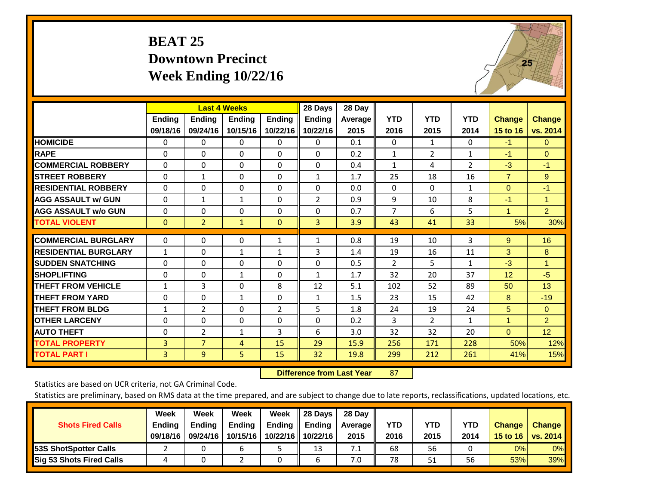# **BEAT 25 Downtown Precinct Week Ending 10/22/16**



|                             |              | <b>Last 4 Weeks</b> |               |               | 28 Days        | 28 Day  |                |                |                |                 |                |
|-----------------------------|--------------|---------------------|---------------|---------------|----------------|---------|----------------|----------------|----------------|-----------------|----------------|
|                             | Ending       | Ending              | <b>Ending</b> | <b>Endina</b> | <b>Ending</b>  | Average | <b>YTD</b>     | <b>YTD</b>     | <b>YTD</b>     | <b>Change</b>   | <b>Change</b>  |
|                             | 09/18/16     | 09/24/16            | 10/15/16      | 10/22/16      | 10/22/16       | 2015    | 2016           | 2015           | 2014           | 15 to 16        | vs. 2014       |
| <b>HOMICIDE</b>             | 0            | 0                   | 0             | 0             | $\Omega$       | 0.1     | $\Omega$       | $\mathbf{1}$   | 0              | $-1$            | 0              |
| <b>RAPE</b>                 | 0            | $\Omega$            | $\Omega$      | $\Omega$      | $\Omega$       | 0.2     | 1              | $\overline{2}$ | 1              | $-1$            | $\Omega$       |
| <b>COMMERCIAL ROBBERY</b>   | $\Omega$     | $\Omega$            | $\mathbf{0}$  | $\Omega$      | $\Omega$       | 0.4     | 1              | 4              | $\overline{2}$ | $-3$            | $-1$           |
| <b>ISTREET ROBBERY</b>      | $\Omega$     | $\mathbf{1}$        | $\Omega$      | $\Omega$      | $\mathbf{1}$   | 1.7     | 25             | 18             | 16             | $\overline{7}$  | 9              |
| <b>RESIDENTIAL ROBBERY</b>  | $\Omega$     | $\Omega$            | $\Omega$      | $\Omega$      | $\Omega$       | 0.0     | $\mathbf{0}$   | $\Omega$       | 1              | $\mathbf{0}$    | $-1$           |
| <b>AGG ASSAULT w/ GUN</b>   | $\Omega$     | $\mathbf{1}$        | $\mathbf{1}$  | 0             | $\overline{2}$ | 0.9     | 9              | 10             | 8              | $-1$            | 1.             |
| <b>AGG ASSAULT w/o GUN</b>  | $\Omega$     | $\Omega$            | $\Omega$      | $\Omega$      | $\Omega$       | 0.7     | 7              | 6              | 5              | $\mathbf{1}$    | $\overline{2}$ |
| <b>TOTAL VIOLENT</b>        | $\mathbf{0}$ | $\overline{2}$      | $\mathbf{1}$  | $\mathbf{0}$  | 3              | 3.9     | 43             | 41             | 33             | 5%              | 30%            |
|                             |              |                     |               |               |                |         |                |                |                |                 |                |
| <b>COMMERCIAL BURGLARY</b>  | 0            | 0                   | 0             | 1             | $\mathbf{1}$   | 0.8     | 19             | 10             | 3              | 9               | 16             |
| <b>RESIDENTIAL BURGLARY</b> | 1            | $\Omega$            | 1             | $\mathbf{1}$  | 3              | 1.4     | 19             | 16             | 11             | 3               | 8              |
| <b>ISUDDEN SNATCHING</b>    | $\Omega$     | 0                   | $\Omega$      | $\Omega$      | 0              | 0.5     | $\overline{2}$ | 5.             | 1              | $-3$            | 1              |
| <b>SHOPLIFTING</b>          | 0            | $\Omega$            | 1             | 0             | $\mathbf{1}$   | 1.7     | 32             | 20             | 37             | 12 <sup>2</sup> | $-5$           |
| <b>THEFT FROM VEHICLE</b>   | $\mathbf{1}$ | 3                   | $\Omega$      | 8             | 12             | 5.1     | 102            | 52             | 89             | 50              | 13             |
| <b>THEFT FROM YARD</b>      | 0            | $\Omega$            | $\mathbf{1}$  | $\Omega$      | $\mathbf{1}$   | 1.5     | 23             | 15             | 42             | 8               | $-19$          |
| <b>THEFT FROM BLDG</b>      | 1            | 2                   | $\Omega$      | 2             | 5              | 1.8     | 24             | 19             | 24             | 5               | $\Omega$       |
| <b>OTHER LARCENY</b>        | $\Omega$     | $\Omega$            | $\Omega$      | 0             | $\Omega$       | 0.2     | 3              | $\overline{2}$ | 1              | $\mathbf{1}$    | $\overline{2}$ |
| <b>AUTO THEFT</b>           | 0            | $\overline{2}$      | $\mathbf{1}$  | 3             | 6              | 3.0     | 32             | 32             | 20             | $\mathbf{0}$    | 12             |
| <b>TOTAL PROPERTY</b>       | 3            | $\overline{7}$      | 4             | 15            | 29             | 15.9    | 256            | 171            | 228            | 50%             | 12%            |
| <b>TOTAL PART I</b>         | 3            | $\overline{9}$      | 5.            | 15            | 32             | 19.8    | 299            | 212            | 261            | 41%             | 15%            |

 **Difference from Last Year**r 87

Statistics are based on UCR criteria, not GA Criminal Code.

| <b>Shots Fired Calls</b>        | Week<br><b>Ending</b><br>09/18/16 | Week<br><b>Endina</b><br>09/24/16 | Week<br>Ending<br>10/15/16 | Week<br>Ending<br>10/22/16 | 28 Days<br><b>Ending</b><br>10/22/16 | 28 Day<br>Average II<br>2015 | YTD<br>2016 | YTD<br>2015 | <b>YTD</b><br>2014 | <b>Change</b><br>15 to $16$ | <b>Change</b><br>vs. 2014 |
|---------------------------------|-----------------------------------|-----------------------------------|----------------------------|----------------------------|--------------------------------------|------------------------------|-------------|-------------|--------------------|-----------------------------|---------------------------|
| <b>153S ShotSpotter Calls</b>   |                                   |                                   | h                          |                            | 13                                   | 7.1                          | 68          | 56          |                    | 0%                          | 0%                        |
| <b>Sig 53 Shots Fired Calls</b> |                                   |                                   |                            |                            |                                      | 7.0                          | 78          | 51          | 56                 | 53%                         | 39%                       |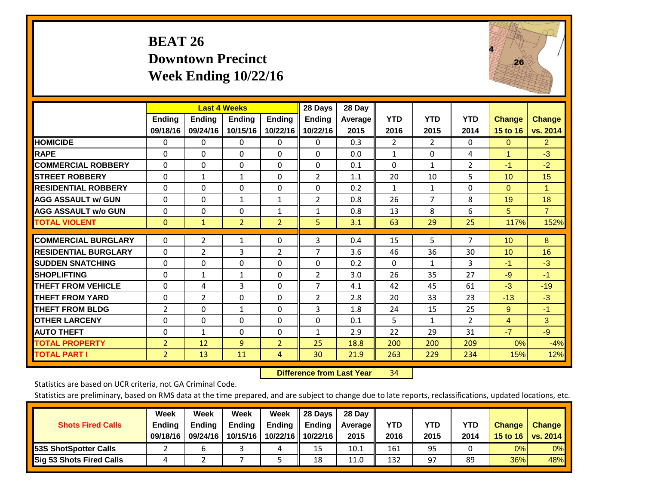# **BEAT 26 Downtown Precinct Week Ending 10/22/16**



|                             |                | <b>Last 4 Weeks</b> |                |                | 28 Days        | 28 Day  |                |                       |                |               |                |
|-----------------------------|----------------|---------------------|----------------|----------------|----------------|---------|----------------|-----------------------|----------------|---------------|----------------|
|                             | <b>Ending</b>  | <b>Ending</b>       | <b>Endina</b>  | <b>Endina</b>  | <b>Endina</b>  | Average | <b>YTD</b>     | <b>YTD</b>            | <b>YTD</b>     | <b>Change</b> | <b>Change</b>  |
|                             | 09/18/16       | 09/24/16            | 10/15/16       | 10/22/16       | 10/22/16       | 2015    | 2016           | 2015                  | 2014           | 15 to 16      | vs. 2014       |
| <b>HOMICIDE</b>             | 0              | 0                   | $\Omega$       | 0              | 0              | 0.3     | $\overline{2}$ | $\mathbf{2}^{\prime}$ | 0              | $\mathbf{0}$  | $\overline{2}$ |
| <b>RAPE</b>                 | 0              | $\Omega$            | $\Omega$       | $\Omega$       | $\Omega$       | 0.0     | $\mathbf{1}$   | $\Omega$              | 4              | 1             | $-3$           |
| <b>COMMERCIAL ROBBERY</b>   | $\Omega$       | 0                   | $\Omega$       | $\mathbf{0}$   | $\Omega$       | 0.1     | $\Omega$       | 1                     | $\overline{2}$ | $-1$          | $-2$           |
| <b>ISTREET ROBBERY</b>      | $\Omega$       | 1                   | $\mathbf{1}$   | $\Omega$       | 2              | 1.1     | 20             | 10                    | 5              | 10            | 15             |
| <b>RESIDENTIAL ROBBERY</b>  | 0              | 0                   | $\mathbf{0}$   | 0              | $\Omega$       | 0.2     | $\mathbf{1}$   | 1                     | 0              | $\mathbf{0}$  | 1              |
| <b>AGG ASSAULT w/ GUN</b>   | $\Omega$       | 0                   | $\mathbf{1}$   | $\mathbf{1}$   | $\overline{2}$ | 0.8     | 26             | 7                     | 8              | 19            | 18             |
| <b>AGG ASSAULT w/o GUN</b>  | $\Omega$       | 0                   | $\mathbf{0}$   | $\mathbf{1}$   | $\mathbf{1}$   | 0.8     | 13             | 8                     | 6              | 5             | $\overline{7}$ |
| <b>TOTAL VIOLENT</b>        | $\Omega$       | $\mathbf{1}$        | $\overline{2}$ | $\overline{2}$ | 5.             | 3.1     | 63             | 29                    | 25             | 117%          | 152%           |
|                             |                |                     |                |                |                |         |                |                       |                |               |                |
| <b>COMMERCIAL BURGLARY</b>  | $\Omega$       | $\overline{2}$      | 1              | $\mathbf{0}$   | 3              | 0.4     | 15             | 5                     | 7              | 10            | 8              |
| <b>RESIDENTIAL BURGLARY</b> | 0              | $\overline{2}$      | 3              | 2              | $\overline{7}$ | 3.6     | 46             | 36                    | 30             | 10            | 16             |
| <b>SUDDEN SNATCHING</b>     | 0              | 0                   | $\Omega$       | $\mathbf{0}$   | $\Omega$       | 0.2     | 0              | 1                     | 3              | $-1$          | $-3$           |
| <b>SHOPLIFTING</b>          | 0              | 1                   | 1              | 0              | $\overline{2}$ | 3.0     | 26             | 35                    | 27             | $-9$          | $-1$           |
| <b>THEFT FROM VEHICLE</b>   | $\Omega$       | 4                   | 3              | $\mathbf{0}$   | 7              | 4.1     | 42             | 45                    | 61             | -3            | $-19$          |
| <b>THEFT FROM YARD</b>      | $\Omega$       | $\overline{2}$      | $\mathbf{0}$   | $\mathbf{0}$   | 2              | 2.8     | 20             | 33                    | 23             | $-13$         | $-3$           |
| <b>THEFT FROM BLDG</b>      | 2              | $\Omega$            | $\mathbf{1}$   | $\Omega$       | 3              | 1.8     | 24             | 15                    | 25             | 9             | $-1$           |
| <b>OTHER LARCENY</b>        | $\Omega$       | $\Omega$            | $\Omega$       | $\Omega$       | $\Omega$       | 0.1     | 5              | $\mathbf{1}$          | $\overline{2}$ | 4             | 3              |
| <b>AUTO THEFT</b>           | 0              | 1                   | $\Omega$       | $\mathbf 0$    | 1              | 2.9     | 22             | 29                    | 31             | $-7$          | $-9$           |
| <b>TOTAL PROPERTY</b>       | $\overline{2}$ | 12                  | 9              | $\overline{2}$ | 25             | 18.8    | 200            | 200                   | 209            | 0%            | $-4%$          |
| <b>TOTAL PART I</b>         | $\overline{2}$ | 13                  | 11             | 4              | 30             | 21.9    | 263            | 229                   | 234            | 15%           | 12%            |

 **Difference from Last Year**r 34

Statistics are based on UCR criteria, not GA Criminal Code.

| <b>Shots Fired Calls</b>        | Week<br><b>Ending</b><br>09/18/16 | Week<br><b>Endina</b><br>09/24/16 | Week<br>Ending<br>10/15/16 | Week<br>Ending<br>10/22/16 | 28 Days<br><b>Ending</b><br>10/22/16 | 28 Day<br>Average II<br>2015 | YTD<br>2016 | YTD<br>2015 | <b>YTD</b><br>2014 | <b>Change</b><br>15 to 16 | <b>Change</b><br>vs. 2014 |
|---------------------------------|-----------------------------------|-----------------------------------|----------------------------|----------------------------|--------------------------------------|------------------------------|-------------|-------------|--------------------|---------------------------|---------------------------|
| <b>153S ShotSpotter Calls</b>   |                                   |                                   |                            | 4                          | 15                                   | 10.1                         | 161         | 95          |                    | 0%                        | 0%                        |
| <b>Sig 53 Shots Fired Calls</b> |                                   |                                   |                            |                            | 18                                   | 11.0                         | 132         | 97          | 89                 | 36%                       | 48%                       |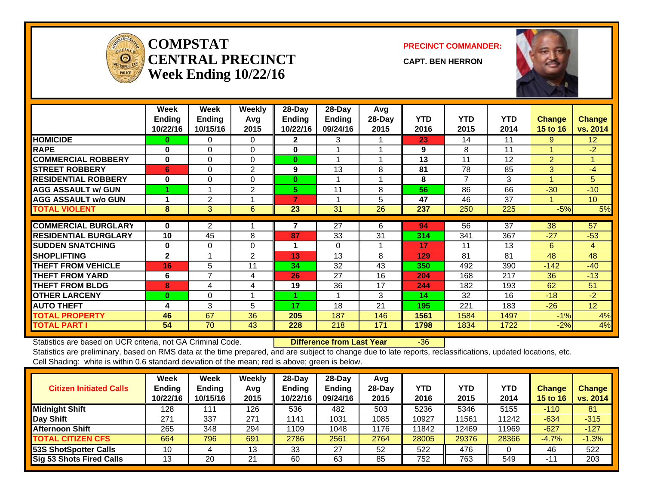

#### **COMPSTATCENTRAL PRECINCTWeek Ending 10/22/16**

**PRECINCT COMMANDER:**

**CAPT. BEN HERRON**



|                             | Week<br><b>Ending</b> | Week<br><b>Ending</b> | Weekly<br>Avg | 28-Day<br><b>Ending</b> | 28-Day<br><b>Ending</b> | Avg<br>28-Day | <b>YTD</b> | <b>YTD</b> | <b>YTD</b>      | <b>Change</b>  | <b>Change</b>   |
|-----------------------------|-----------------------|-----------------------|---------------|-------------------------|-------------------------|---------------|------------|------------|-----------------|----------------|-----------------|
|                             | 10/22/16              | 10/15/16              | 2015          | 10/22/16                | 09/24/16                | 2015          | 2016       | 2015       | 2014            | 15 to 16       | vs. 2014        |
| <b>HOMICIDE</b>             | 0                     | 0                     | $\Omega$      | $\mathbf{2}$            | 3                       |               | 23         | 14         | 11              | 9              | 12 <sup>2</sup> |
| <b>RAPE</b>                 | $\bf{0}$              | $\Omega$              | $\Omega$      | 0                       |                         |               | 9          | 8          | 11              |                | $-2$            |
| <b>COMMERCIAL ROBBERY</b>   | $\bf{0}$              | $\Omega$              | $\Omega$      | $\bf{0}$                |                         |               | 13         | 11         | 12              | $\overline{2}$ | $\mathbf{1}$    |
| <b>STREET ROBBERY</b>       | 6                     | 0                     | 2             | 9                       | 13                      | 8             | 81         | 78         | 85              | 3              | $-4$            |
| <b>RESIDENTIAL ROBBERY</b>  | $\bf{0}$              | $\Omega$              | $\Omega$      | $\bf{0}$                |                         |               | 8          | 7          | 3               | 4              | 5               |
| <b>AGG ASSAULT w/ GUN</b>   |                       |                       | 2             | 5.                      | 11                      | 8             | 56         | 86         | 66              | $-30$          | $-10$           |
| <b>AGG ASSAULT w/o GUN</b>  |                       | 2                     |               | 7                       |                         | 5             | 47         | 46         | 37              |                | 10 <sup>°</sup> |
| <b>TOTAL VIOLENT</b>        | 8                     | 3                     | 6             | 23                      | 31                      | 26            | 237        | 250        | 225             | $-5%$          | 5%              |
|                             |                       |                       |               |                         |                         |               |            |            |                 |                | 57              |
| <b>COMMERCIAL BURGLARY</b>  | $\bf{0}$              | $\overline{2}$        |               |                         | $\overline{27}$         | 6             | 94         | 56         | $\overline{37}$ | 38             |                 |
| <b>RESIDENTIAL BURGLARY</b> | 10                    | 45                    | 8             | 87                      | 33                      | 31            | 314        | 341        | 367             | $-27$          | $-53$           |
| <b>SUDDEN SNATCHING</b>     | $\bf{0}$              | $\Omega$              | $\Omega$      |                         | $\Omega$                |               | 17         | 11         | 13              | 6              | 4               |
| <b>SHOPLIFTING</b>          | $\overline{2}$        |                       | 2             | 13                      | 13                      | 8             | 129        | 81         | 81              | 48             | 48              |
| <b>THEFT FROM VEHICLE</b>   | 16                    | 5                     | 11            | 34                      | 32                      | 43            | 350        | 492        | 390             | $-142$         | $-40$           |
| <b>THEFT FROM YARD</b>      | 6                     | $\overline{7}$        | 4             | 26                      | 27                      | 16            | 204        | 168        | 217             | 36             | $-13$           |
| <b>THEFT FROM BLDG</b>      | 8                     | 4                     | 4             | 19                      | 36                      | 17            | 244        | 182        | 193             | 62             | 51              |
| <b>OTHER LARCENY</b>        | $\bf{0}$              | $\Omega$              |               |                         |                         | 3             | 14         | 32         | 16              | $-18$          | $-2$            |
| <b>AUTO THEFT</b>           | 4                     | 3                     | 5             | 17                      | 18                      | 21            | 195        | 221        | 183             | $-26$          | 12 <sup>2</sup> |
| <b>TOTAL PROPERTY</b>       | 46                    | 67                    | 36            | 205                     | 187                     | 146           | 1561       | 1584       | 1497            | $-1%$          | 4%              |
| <b>TOTAL PART I</b>         | 54                    | 70                    | 43            | 228                     | 218                     | 171           | 1798       | 1834       | 1722            | $-2%$          | 4%              |

Statistics are based on UCR criteria, not GA Criminal Code. **Difference from Last Year** -36

| <b>Citizen Initiated Calls</b>  | Week<br><b>Ending</b><br>10/22/16 | <b>Week</b><br><b>Ending</b><br>10/15/16 | Weekly<br>Avg<br>2015 | $28$ -Day<br><b>Ending</b><br>10/22/16 | 28-Dav<br><b>Ending</b><br>09/24/16 | Avg<br>$28-Dav$<br>2015 | YTD<br>2016 | <b>YTD</b><br>2015 | YTD<br>2014 | <b>Change</b><br><b>15 to 16</b> | <b>Change</b><br>vs. 2014 |
|---------------------------------|-----------------------------------|------------------------------------------|-----------------------|----------------------------------------|-------------------------------------|-------------------------|-------------|--------------------|-------------|----------------------------------|---------------------------|
| <b>Midnight Shift</b>           | 128                               | 111                                      | 126                   | 536                                    | 482                                 | 503                     | 5236        | 5346               | 5155        | $-110$                           | 81                        |
| Day Shift                       | 271                               | 337                                      | 271                   | 1141                                   | 1031                                | 1085                    | 10927       | 11561              | 11242       | $-634$                           | $-315$                    |
| <b>Afternoon Shift</b>          | 265                               | 348                                      | 294                   | 1109                                   | 1048                                | 1176                    | 11842       | 12469              | 11969       | $-627$                           | $-127$                    |
| <b>TOTAL CITIZEN CFS</b>        | 664                               | 796                                      | 691                   | 2786                                   | 2561                                | 2764                    | 28005       | 29376              | 28366       | $-4.7%$                          | $-1.3%$                   |
| <b>53S ShotSpotter Calls</b>    | 10                                |                                          | 13                    | 33                                     | 27                                  | 52                      | 522         | 476                |             | 46                               | 522                       |
| <b>Sig 53 Shots Fired Calls</b> | 13                                | 20                                       | 21                    | 60                                     | 63                                  | 85                      | 752         | 763                | 549         | $-12$                            | 203                       |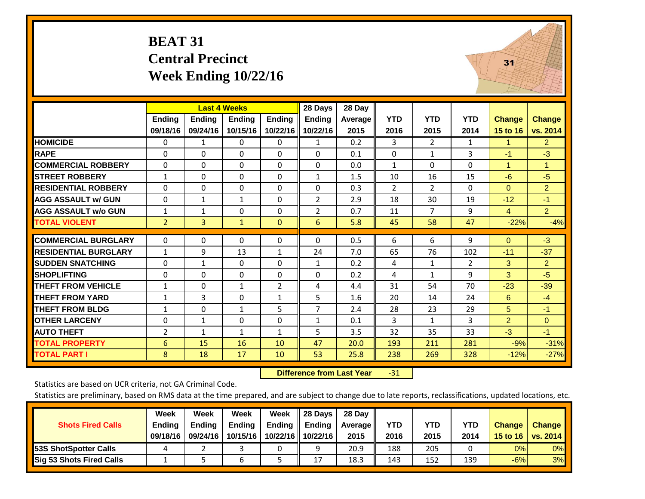#### **BEAT 31 Central Precinct Week Ending 10/22/16**



|                             |                |               | <b>Last 4 Weeks</b> |                | 28 Days        | 28 Day  |                |                |            |                |                |
|-----------------------------|----------------|---------------|---------------------|----------------|----------------|---------|----------------|----------------|------------|----------------|----------------|
|                             | <b>Ending</b>  | <b>Ending</b> | <b>Ending</b>       | <b>Endina</b>  | <b>Ending</b>  | Average | <b>YTD</b>     | <b>YTD</b>     | <b>YTD</b> | Change         | <b>Change</b>  |
|                             | 09/18/16       | 09/24/16      | 10/15/16            | 10/22/16       | 10/22/16       | 2015    | 2016           | 2015           | 2014       | 15 to 16       | vs. 2014       |
| <b>HOMICIDE</b>             | 0              | 1             | 0                   | 0              | $\mathbf{1}$   | 0.2     | 3              | $\overline{2}$ | 1          | $\mathbf{1}$   | 2 <sup>1</sup> |
| <b>RAPE</b>                 | 0              | $\Omega$      | 0                   | $\Omega$       | $\Omega$       | 0.1     | $\Omega$       | 1              | 3          | $-1$           | $-3$           |
| <b>COMMERCIAL ROBBERY</b>   | $\Omega$       | 0             | 0                   | $\mathbf{0}$   | $\mathbf{0}$   | 0.0     | $\mathbf{1}$   | $\Omega$       | 0          | 1              | $\mathbf{1}$   |
| <b>STREET ROBBERY</b>       | $\mathbf{1}$   | $\Omega$      | $\Omega$            | $\Omega$       | $\mathbf{1}$   | 1.5     | 10             | 16             | 15         | $-6$           | $-5$           |
| <b>RESIDENTIAL ROBBERY</b>  | $\mathbf 0$    | $\Omega$      | 0                   | $\Omega$       | $\Omega$       | 0.3     | $\overline{2}$ | 2              | 0          | $\Omega$       | $\overline{2}$ |
| <b>AGG ASSAULT w/ GUN</b>   | $\Omega$       | $\mathbf{1}$  | $\mathbf{1}$        | $\mathbf{0}$   | $\overline{2}$ | 2.9     | 18             | 30             | 19         | $-12$          | $-1$           |
| <b>AGG ASSAULT w/o GUN</b>  | 1              | 1             | $\Omega$            | $\Omega$       | $\overline{2}$ | 0.7     | 11             | $\overline{7}$ | 9          | 4              | 2 <sup>1</sup> |
| <b>TOTAL VIOLENT</b>        | $\overline{2}$ | 3             | $\mathbf{1}$        | $\mathbf{0}$   | 6              | 5.8     | 45             | 58             | 47         | $-22%$         | $-4%$          |
|                             |                |               |                     |                |                |         |                |                |            |                |                |
| <b>COMMERCIAL BURGLARY</b>  | $\mathbf 0$    | $\Omega$      | 0                   | $\mathbf{0}$   | $\Omega$       | 0.5     | 6              | 6              | 9          | $\mathbf{0}$   | $-3$           |
| <b>RESIDENTIAL BURGLARY</b> | $\mathbf{1}$   | 9             | 13                  | $\mathbf{1}$   | 24             | 7.0     | 65             | 76             | 102        | $-11$          | $-37$          |
| <b>SUDDEN SNATCHING</b>     | $\Omega$       | $\mathbf{1}$  | 0                   | $\mathbf{0}$   | $\mathbf{1}$   | 0.2     | 4              | $\mathbf{1}$   | 2          | 3              | $\overline{2}$ |
| <b>SHOPLIFTING</b>          | $\mathbf 0$    | $\Omega$      | $\Omega$            | $\Omega$       | $\Omega$       | 0.2     | 4              | $\mathbf{1}$   | 9          | 3              | $-5$           |
| <b>THEFT FROM VEHICLE</b>   | $\mathbf{1}$   | $\Omega$      | $\mathbf{1}$        | $\overline{2}$ | 4              | 4.4     | 31             | 54             | 70         | $-23$          | $-39$          |
| <b>THEFT FROM YARD</b>      | $\mathbf{1}$   | 3             | $\Omega$            | $\mathbf{1}$   | 5              | 1.6     | 20             | 14             | 24         | 6              | $-4$           |
| <b>THEFT FROM BLDG</b>      | 1              | 0             | $\mathbf{1}$        | 5              | 7              | 2.4     | 28             | 23             | 29         | 5              | $-1$           |
| <b>OTHER LARCENY</b>        | 0              | $\mathbf{1}$  | 0                   | $\mathbf{0}$   | $\mathbf{1}$   | 0.1     | 3              | $\mathbf{1}$   | 3          | $\overline{2}$ | $\mathbf{0}$   |
| <b>AUTO THEFT</b>           | $\overline{2}$ | $\mathbf{1}$  | $\mathbf{1}$        | $\mathbf{1}$   | 5              | 3.5     | 32             | 35             | 33         | $-3$           | $-1$           |
| <b>TOTAL PROPERTY</b>       | 6              | 15            | 16                  | 10             | 47             | 20.0    | 193            | 211            | 281        | $-9%$          | $-31%$         |
| <b>TOTAL PART I</b>         | 8              | 18            | 17                  | 10             | 53             | 25.8    | 238            | 269            | 328        | $-12%$         | $-27%$         |

 **Difference from Last Year**‐31

Statistics are based on UCR criteria, not GA Criminal Code.

|                                 | Week          | Week          | Week          | Week   | 28 Days           | 28 Dav     |            |      |            |               |                                    |
|---------------------------------|---------------|---------------|---------------|--------|-------------------|------------|------------|------|------------|---------------|------------------------------------|
| <b>Shots Fired Calls</b>        | <b>Ending</b> | <b>Endina</b> | <b>Ending</b> | Ending | Ending            | Average II | <b>YTD</b> | YTD  | <b>YTD</b> | <b>Change</b> | <b>Change</b>                      |
|                                 | 09/18/16      | 09/24/16      | 10/15/16      |        | 10/22/16 10/22/16 | 2015       | 2016       | 2015 | 2014       |               | 15 to 16   vs. 2014 $\blacksquare$ |
| <b>153S ShotSpotter Calls</b>   |               |               |               |        |                   | 20.9       | 188        | 205  |            | 0%            | 0%                                 |
| <b>Sig 53 Shots Fired Calls</b> |               |               |               |        | 17                | 18.3       | 143        | 152  | 139        | $-6%$         | 3%                                 |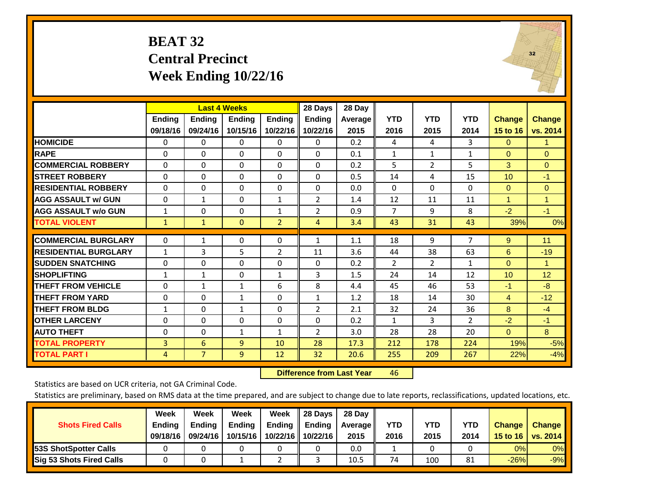# **BEAT 32 Central Precinct Week Ending 10/22/16**



|                             |               |                | <b>Last 4 Weeks</b> |                | 28 Days        | 28 Day  |                |                |                |               |                      |
|-----------------------------|---------------|----------------|---------------------|----------------|----------------|---------|----------------|----------------|----------------|---------------|----------------------|
|                             | <b>Ending</b> | <b>Ending</b>  | Ending              | <b>Ending</b>  | <b>Ending</b>  | Average | <b>YTD</b>     | <b>YTD</b>     | <b>YTD</b>     | <b>Change</b> | <b>Change</b>        |
|                             | 09/18/16      | 09/24/16       | 10/15/16            | 10/22/16       | 10/22/16       | 2015    | 2016           | 2015           | 2014           | 15 to 16      | vs. 2014             |
| <b>HOMICIDE</b>             | 0             | 0              | $\Omega$            | $\Omega$       | $\Omega$       | 0.2     | 4              | 4              | 3              | $\Omega$      | -1                   |
| <b>RAPE</b>                 | $\Omega$      | $\Omega$       | $\Omega$            | $\Omega$       | $\Omega$       | 0.1     | $\mathbf{1}$   | $\mathbf{1}$   | $\mathbf{1}$   | $\Omega$      | $\Omega$             |
| <b>COMMERCIAL ROBBERY</b>   | 0             | 0              | $\Omega$            | $\mathbf{0}$   | $\Omega$       | 0.2     | 5              | 2              | 5              | 3             | $\mathbf{0}$         |
| <b>STREET ROBBERY</b>       | $\Omega$      | $\Omega$       | $\Omega$            | $\Omega$       | $\Omega$       | 0.5     | 14             | 4              | 15             | 10            | $-1$                 |
| <b>RESIDENTIAL ROBBERY</b>  | $\Omega$      | $\Omega$       | 0                   | $\mathbf{0}$   | $\Omega$       | 0.0     | $\Omega$       | $\Omega$       | $\Omega$       | $\Omega$      | $\mathbf{0}$         |
| <b>AGG ASSAULT w/ GUN</b>   | 0             | 1              | 0                   | 1              | $\overline{2}$ | 1.4     | 12             | 11             | 11             | $\mathbf{1}$  | $\blacktriangleleft$ |
| <b>AGG ASSAULT w/o GUN</b>  | $\mathbf{1}$  | $\Omega$       | $\Omega$            | $\mathbf{1}$   | $\overline{2}$ | 0.9     | $\overline{7}$ | 9              | 8              | $-2$          | $-1$                 |
| <b>TOTAL VIOLENT</b>        | $\mathbf{1}$  | $\mathbf{1}$   | $\mathbf{0}$        | $\overline{2}$ | $\overline{4}$ | 3.4     | 43             | 31             | 43             | 39%           | 0%                   |
|                             |               |                |                     |                |                |         |                |                |                |               |                      |
| <b>COMMERCIAL BURGLARY</b>  | $\Omega$      | 1              | 0                   | $\mathbf{0}$   | $\mathbf{1}$   | 1.1     | 18             | 9              | 7              | 9             | 11                   |
| <b>RESIDENTIAL BURGLARY</b> | $\mathbf{1}$  | 3              | 5                   | $\overline{2}$ | 11             | 3.6     | 44             | 38             | 63             | 6             | $-19$                |
| <b>SUDDEN SNATCHING</b>     | $\Omega$      | $\Omega$       | $\Omega$            | $\mathbf{0}$   | $\Omega$       | 0.2     | 2              | $\overline{2}$ | 1              | $\Omega$      | 1                    |
| <b>SHOPLIFTING</b>          | $\mathbf{1}$  | 1              | 0                   | 1              | 3              | 1.5     | 24             | 14             | 12             | 10            | 12                   |
| <b>THEFT FROM VEHICLE</b>   | $\Omega$      | $\mathbf{1}$   | $\mathbf{1}$        | 6              | 8              | 4.4     | 45             | 46             | 53             | $-1$          | $-8$                 |
| <b>THEFT FROM YARD</b>      | $\Omega$      | $\Omega$       | 1                   | $\mathbf{0}$   | $\mathbf{1}$   | 1.2     | 18             | 14             | 30             | 4             | $-12$                |
| <b>THEFT FROM BLDG</b>      | 1             | 0              | $\mathbf{1}$        | $\mathbf{0}$   | $\overline{2}$ | 2.1     | 32             | 24             | 36             | 8             | $-4$                 |
| <b>OTHER LARCENY</b>        | 0             | $\Omega$       | $\Omega$            | $\Omega$       | $\Omega$       | 0.2     | $\mathbf{1}$   | 3              | $\overline{2}$ | $-2$          | $-1$                 |
| <b>AUTO THEFT</b>           | 0             | $\Omega$       | $\mathbf{1}$        | 1              | $\overline{2}$ | 3.0     | 28             | 28             | 20             | $\Omega$      | 8                    |
| <b>TOTAL PROPERTY</b>       | 3             | 6              | 9                   | 10             | 28             | 17.3    | 212            | 178            | 224            | 19%           | $-5%$                |
| <b>TOTAL PART I</b>         | 4             | $\overline{7}$ | 9                   | 12             | 32             | 20.6    | 255            | 209            | 267            | 22%           | $-4%$                |

 **Difference from Last Year**r 46

Statistics are based on UCR criteria, not GA Criminal Code.

|                                 | Week          | Week          | Week          | Week          | II 28 Davs            | 28 Day         |      |      |      |               |               |
|---------------------------------|---------------|---------------|---------------|---------------|-----------------------|----------------|------|------|------|---------------|---------------|
| <b>Shots Fired Calls</b>        | <b>Ending</b> | <b>Endina</b> | <b>Ending</b> | <b>Ending</b> | $\blacksquare$ Ending | <b>Average</b> | YTD  | YTD  | YTD  | <b>Change</b> | <b>Change</b> |
|                                 | 09/18/16      | 09/24/16      | 10/15/16      |               | 10/22/16 10/22/16     | 2015           | 2016 | 2015 | 2014 | 15 to 16      | vs. $2014$    |
| <b>153S ShotSpotter Calls</b>   |               |               |               |               |                       | 0.0            |      |      |      | 0%            | $0\%$         |
| <b>Sig 53 Shots Fired Calls</b> |               |               |               |               |                       | 10.5           | 74   | 100  | 81   | $-26%$        | $-9%$         |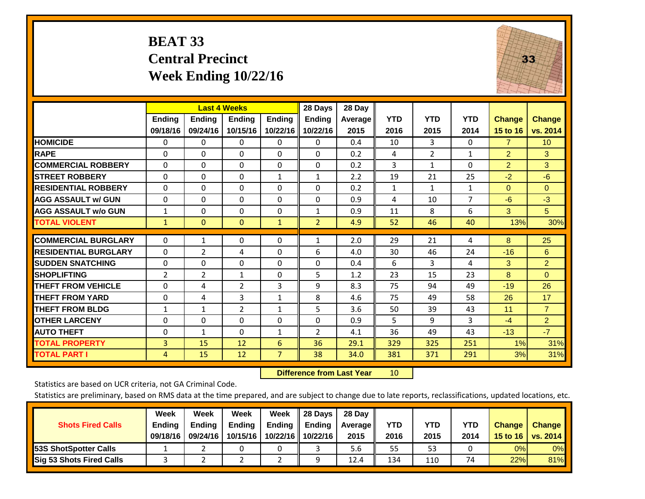#### **BEAT 33 Central Precinct Week Ending 10/22/16**



|                             |               | <b>Last 4 Weeks</b> |                |               | 28 Days        | 28 Day  |              |                |              |                |                 |
|-----------------------------|---------------|---------------------|----------------|---------------|----------------|---------|--------------|----------------|--------------|----------------|-----------------|
|                             | <b>Ending</b> | <b>Ending</b>       | <b>Ending</b>  | <b>Ending</b> | <b>Ending</b>  | Average | <b>YTD</b>   | <b>YTD</b>     | <b>YTD</b>   | <b>Change</b>  | <b>Change</b>   |
|                             | 09/18/16      | 09/24/16            | 10/15/16       | 10/22/16      | 10/22/16       | 2015    | 2016         | 2015           | 2014         | 15 to 16       | vs. 2014        |
| <b>HOMICIDE</b>             | 0             | $\mathbf{0}$        | $\Omega$       | 0             | $\mathbf{0}$   | 0.4     | 10           | 3              | 0            | $\overline{7}$ | 10 <sup>°</sup> |
| <b>RAPE</b>                 | $\Omega$      | 0                   | $\mathbf{0}$   | $\Omega$      | $\Omega$       | 0.2     | 4            | $\overline{2}$ | 1            | 2              | 3               |
| <b>COMMERCIAL ROBBERY</b>   | $\Omega$      | 0                   | $\Omega$       | $\Omega$      | $\Omega$       | 0.2     | 3            | 1              | 0            | $\overline{2}$ | 3               |
| <b>STREET ROBBERY</b>       | $\Omega$      | $\Omega$            | $\Omega$       | $\mathbf{1}$  | $\mathbf{1}$   | 2.2     | 19           | 21             | 25           | $-2$           | $-6$            |
| <b>RESIDENTIAL ROBBERY</b>  | $\Omega$      | 0                   | $\mathbf{0}$   | $\Omega$      | $\Omega$       | 0.2     | $\mathbf{1}$ | $\mathbf{1}$   | $\mathbf{1}$ | $\mathbf{0}$   | $\Omega$        |
| <b>AGG ASSAULT w/ GUN</b>   | 0             | 0                   | $\mathbf{0}$   | $\mathbf{0}$  | $\Omega$       | 0.9     | 4            | 10             | 7            | -6             | $-3$            |
| <b>AGG ASSAULT w/o GUN</b>  | 1             | 0                   | $\Omega$       | $\Omega$      | 1              | 0.9     | 11           | 8              | 6            | 3              | 5 <sup>5</sup>  |
| <b>TOTAL VIOLENT</b>        | $\mathbf{1}$  | $\mathbf{0}$        | $\mathbf{0}$   | $\mathbf{1}$  | $\overline{2}$ | 4.9     | 52           | 46             | 40           | 13%            | 30%             |
|                             |               |                     |                |               |                |         |              |                |              |                |                 |
| <b>COMMERCIAL BURGLARY</b>  | $\Omega$      | 1                   | $\mathbf 0$    | 0             | 1              | 2.0     | 29           | 21             | 4            | 8              | 25              |
| <b>RESIDENTIAL BURGLARY</b> | 0             | 2                   | 4              | $\mathbf{0}$  | 6              | 4.0     | 30           | 46             | 24           | $-16$          | 6               |
| <b>SUDDEN SNATCHING</b>     | 0             | 0                   | $\mathbf{0}$   | $\mathbf{0}$  | $\Omega$       | 0.4     | 6            | 3              | 4            | 3              | $\overline{2}$  |
| <b>SHOPLIFTING</b>          | 2             | $\overline{2}$      | 1              | $\Omega$      | 5              | 1.2     | 23           | 15             | 23           | 8              | $\mathbf{0}$    |
| <b>THEFT FROM VEHICLE</b>   | 0             | 4                   | $\overline{2}$ | 3             | 9              | 8.3     | 75           | 94             | 49           | $-19$          | 26              |
| <b>THEFT FROM YARD</b>      | $\Omega$      | 4                   | 3              | $\mathbf{1}$  | 8              | 4.6     | 75           | 49             | 58           | 26             | 17              |
| <b>THEFT FROM BLDG</b>      | 1             | 1                   | $\overline{2}$ | 1             | 5              | 3.6     | 50           | 39             | 43           | 11             | $\overline{7}$  |
| <b>OTHER LARCENY</b>        | 0             | 0                   | $\Omega$       | $\mathbf{0}$  | $\Omega$       | 0.9     | 5            | 9              | 3            | $-4$           | $\overline{2}$  |
| <b>AUTO THEFT</b>           | 0             | 1                   | $\Omega$       | 1             | 2              | 4.1     | 36           | 49             | 43           | $-13$          | $-7$            |
| <b>TOTAL PROPERTY</b>       | 3             | 15                  | 12             | 6             | 36             | 29.1    | 329          | 325            | 251          | 1%             | 31%             |
| <b>TOTAL PART I</b>         | 4             | 15                  | 12             | 7             | 38             | 34.0    | 381          | 371            | 291          | 3%             | 31%             |

 **Difference from Last Year**r 10

Statistics are based on UCR criteria, not GA Criminal Code.

|                                 | Week          | Week          | Week     | Week     | 28 Days       | 28 Day            |      |      |            |               |               |
|---------------------------------|---------------|---------------|----------|----------|---------------|-------------------|------|------|------------|---------------|---------------|
| <b>Shots Fired Calls</b>        | <b>Ending</b> | <b>Endina</b> | Ending   | Ending   | <b>Ending</b> | <b>Average</b> II | YTD  | YTD  | <b>YTD</b> | <b>Change</b> | <b>Change</b> |
|                                 | 09/18/16      | 09/24/16      | 10/15/16 | 10/22/16 | 10/22/16      | 2015              | 2016 | 2015 | 2014       | 15 to 16      | vs. 2014      |
| <b>153S ShotSpotter Calls</b>   |               |               |          |          |               | 5.6               | 55   | 53   |            | 0%            | 0%            |
| <b>Sig 53 Shots Fired Calls</b> |               |               |          | ▃        |               | 12.4              | 134  | 110  | 74         | 22%           | 81%           |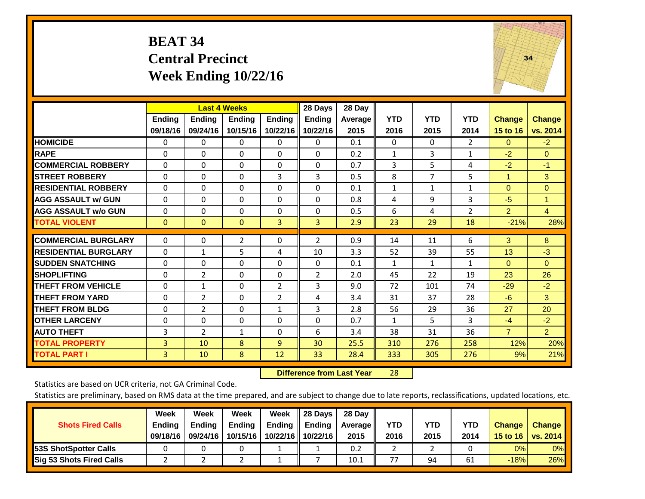#### **BEAT 34 Central Precinct Week Ending 10/22/16**



|                              |                           | <b>Last 4 Weeks</b>       |                    |                           | 28 Days                   | 28 Day          |                    |                    |                    |                           |                    |
|------------------------------|---------------------------|---------------------------|--------------------|---------------------------|---------------------------|-----------------|--------------------|--------------------|--------------------|---------------------------|--------------------|
|                              | <b>Ending</b><br>09/18/16 | <b>Ending</b><br>09/24/16 | Ending<br>10/15/16 | <b>Endina</b><br>10/22/16 | <b>Ending</b><br>10/22/16 | Average<br>2015 | <b>YTD</b><br>2016 | <b>YTD</b><br>2015 | <b>YTD</b><br>2014 | <b>Change</b><br>15 to 16 | Change<br>vs. 2014 |
| <b>HOMICIDE</b>              | 0                         | 0                         | $\Omega$           | 0                         | $\Omega$                  | 0.1             | $\Omega$           | $\Omega$           | $\overline{2}$     | $\mathbf{0}$              | $-2$               |
| <b>RAPE</b>                  | $\Omega$                  | 0                         | $\Omega$           | $\Omega$                  | $\Omega$                  | 0.2             | $\mathbf{1}$       | 3                  | 1                  | $-2$                      | $\Omega$           |
| <b>COMMERCIAL ROBBERY</b>    | $\Omega$                  | $\Omega$                  | $\Omega$           | $\Omega$                  | $\Omega$                  | 0.7             | 3                  | 5                  | 4                  | $-2$                      | $-1$               |
| <b>STREET ROBBERY</b>        | $\mathbf 0$               | $\Omega$                  | $\Omega$           | 3                         | 3                         | 0.5             | 8                  | $\overline{7}$     | 5                  | 1                         | 3                  |
| <b>RESIDENTIAL ROBBERY</b>   | $\Omega$                  | $\Omega$                  | $\mathbf{0}$       | $\Omega$                  | $\Omega$                  | 0.1             | $\mathbf{1}$       | 1                  | 1                  | $\Omega$                  | $\mathbf{0}$       |
| <b>AGG ASSAULT w/ GUN</b>    | $\Omega$                  | $\Omega$                  | $\Omega$           | $\Omega$                  | $\Omega$                  | 0.8             | $\overline{4}$     | 9                  | 3                  | $-5$                      | 1                  |
| <b>AGG ASSAULT w/o GUN</b>   | $\Omega$                  | 0                         | $\Omega$           | $\Omega$                  | $\Omega$                  | 0.5             | 6                  | 4                  | $\overline{2}$     | $\overline{2}$            | $\overline{4}$     |
| <b>TOTAL VIOLENT</b>         | $\mathbf{0}$              | $\mathbf{0}$              | $\overline{0}$     | 3                         | $\overline{3}$            | 2.9             | 23                 | 29                 | 18                 | $-21%$                    | 28%                |
| <b>COMMERCIAL BURGLARY</b>   | $\mathbf 0$               | $\Omega$                  | $\overline{2}$     | 0                         | 2                         | 0.9             | 14                 | 11                 | 6                  | 3                         | 8                  |
| <b>IRESIDENTIAL BURGLARY</b> | $\Omega$                  | $\mathbf{1}$              | 5                  | 4                         | 10                        | 3.3             | 52                 | 39                 | 55                 | 13                        | $-3$               |
| <b>SUDDEN SNATCHING</b>      | $\Omega$                  | $\Omega$                  | $\mathbf{0}$       | $\mathbf{0}$              | $\Omega$                  | 0.1             | $\mathbf{1}$       | $\mathbf{1}$       | $\mathbf{1}$       | $\mathbf{0}$              | $\Omega$           |
| <b>SHOPLIFTING</b>           | $\Omega$                  | $\overline{2}$            | $\Omega$           | $\Omega$                  | $\overline{2}$            | 2.0             | 45                 | 22                 | 19                 | 23                        | 26                 |
| <b>THEFT FROM VEHICLE</b>    | $\Omega$                  | 1                         | $\mathbf{0}$       | $\overline{2}$            | 3                         | 9.0             | 72                 | 101                | 74                 | $-29$                     | $-2$               |
| <b>THEFT FROM YARD</b>       | $\Omega$                  | $\overline{2}$            | $\Omega$           | $\overline{2}$            | 4                         | 3.4             | 31                 | 37                 | 28                 | $-6$                      | 3                  |
| <b>THEFT FROM BLDG</b>       | $\Omega$                  | 2                         | $\Omega$           | 1                         | 3                         | 2.8             | 56                 | 29                 | 36                 | 27                        | 20                 |
| <b>OTHER LARCENY</b>         | $\Omega$                  | $\Omega$                  | $\mathbf{0}$       | $\Omega$                  | $\Omega$                  | 0.7             | $\mathbf{1}$       | 5.                 | 3                  | $-4$                      | $-2$               |
| <b>AUTO THEFT</b>            | 3                         | 2                         | $\mathbf{1}$       | $\Omega$                  | 6                         | 3.4             | 38                 | 31                 | 36                 | $\overline{7}$            | $\overline{2}$     |
| <b>TOTAL PROPERTY</b>        | 3                         | 10                        | 8                  | 9                         | 30                        | 25.5            | 310                | 276                | 258                | 12%                       | 20%                |
| <b>TOTAL PART I</b>          | 3                         | 10                        | 8                  | 12                        | 33                        | 28.4            | 333                | 305                | 276                | 9%                        | 21%                |

 **Difference from Last Year**r 28

Statistics are based on UCR criteria, not GA Criminal Code.

| <b>Shots Fired Calls</b>        | Week<br><b>Ending</b><br>09/18/16 | Week<br><b>Endina</b><br>09/24/16 | Week<br>Ending<br>10/15/16 | Week<br>Ending<br>10/22/16 | 28 Days<br><b>Ending</b><br>10/22/16 | 28 Day<br>Average II<br>2015 | YTD<br>2016 | YTD<br>2015 | <b>YTD</b><br>2014 | <b>Change</b><br>15 to 16 $\vert$ | <b>Change</b><br>vs. 2014 |
|---------------------------------|-----------------------------------|-----------------------------------|----------------------------|----------------------------|--------------------------------------|------------------------------|-------------|-------------|--------------------|-----------------------------------|---------------------------|
| <b>153S ShotSpotter Calls</b>   |                                   |                                   |                            |                            |                                      | 0.2                          |             |             |                    | 0%                                | 0%                        |
| <b>Sig 53 Shots Fired Calls</b> |                                   |                                   |                            |                            |                                      | 10.1                         | 77          | 94          | 61                 | $-18%$                            | 26%                       |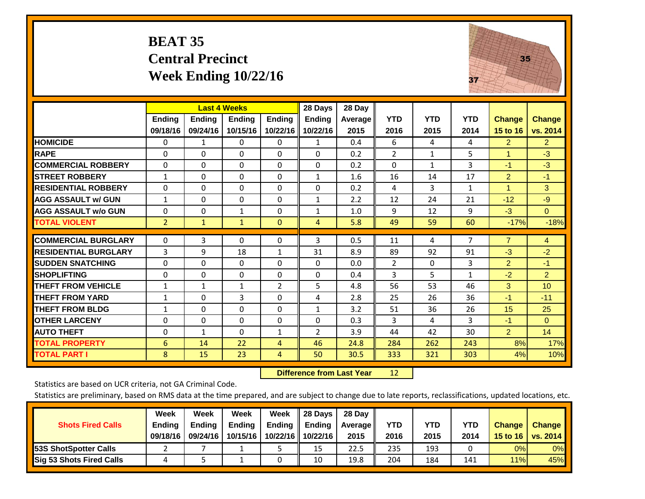#### **BEAT 35 Central Precinct Week Ending 10/22/16**



|                             |                | <b>Last 4 Weeks</b> |               |                | 28 Days       | 28 Day  |                |            |                |                      |                |
|-----------------------------|----------------|---------------------|---------------|----------------|---------------|---------|----------------|------------|----------------|----------------------|----------------|
|                             | <b>Ending</b>  | <b>Ending</b>       | <b>Ending</b> | <b>Endina</b>  | <b>Ending</b> | Average | <b>YTD</b>     | <b>YTD</b> | <b>YTD</b>     | <b>Change</b>        | <b>Change</b>  |
|                             | 09/18/16       | 09/24/16            | 10/15/16      | 10/22/16       | 10/22/16      | 2015    | 2016           | 2015       | 2014           | 15 to 16             | vs. 2014       |
| <b>HOMICIDE</b>             | 0              | 1                   | 0             | 0              | $\mathbf{1}$  | 0.4     | 6              | 4          | 4              | $\overline{2}$       | 2 <sup>1</sup> |
| <b>RAPE</b>                 | 0              | 0                   | $\Omega$      | $\Omega$       | $\Omega$      | 0.2     | $\overline{2}$ | 1          | 5              | 1                    | $-3$           |
| <b>COMMERCIAL ROBBERY</b>   | 0              | 0                   | $\Omega$      | $\Omega$       | 0             | 0.2     | $\Omega$       | 1          | 3              | $-1$                 | $-3$           |
| <b>ISTREET ROBBERY</b>      | $\mathbf{1}$   | 0                   | $\Omega$      | 0              | $\mathbf{1}$  | 1.6     | 16             | 14         | 17             | $\overline{2}$       | $-1$           |
| <b>RESIDENTIAL ROBBERY</b>  | $\Omega$       | 0                   | $\Omega$      | 0              | $\Omega$      | 0.2     | 4              | 3          | $\mathbf{1}$   | $\blacktriangleleft$ | 3              |
| <b>AGG ASSAULT w/ GUN</b>   | $\mathbf{1}$   | $\Omega$            | 0             | $\mathbf 0$    | 1             | 2.2     | 12             | 24         | 21             | $-12$                | $-9$           |
| <b>AGG ASSAULT w/o GUN</b>  | 0              | $\Omega$            | 1             | $\mathbf{0}$   | 1             | 1.0     | 9              | 12         | 9              | $-3$                 | $\Omega$       |
| <b>TOTAL VIOLENT</b>        | $\overline{2}$ | $\mathbf{1}$        | $\mathbf{1}$  | $\mathbf{0}$   | 4             | 5.8     | 49             | 59         | 60             | $-17%$               | $-18%$         |
| <b>COMMERCIAL BURGLARY</b>  | $\mathbf 0$    | 3                   | $\Omega$      | 0              | 3             | 0.5     | 11             | 4          | $\overline{7}$ | $\overline{7}$       | $\overline{4}$ |
|                             |                |                     |               |                |               |         |                |            |                |                      |                |
| <b>RESIDENTIAL BURGLARY</b> | 3              | 9                   | 18            | 1              | 31            | 8.9     | 89             | 92         | 91             | $-3$                 | $-2$           |
| <b>ISUDDEN SNATCHING</b>    | $\Omega$       | 0                   | $\Omega$      | $\mathbf{0}$   | $\Omega$      | 0.0     | $\overline{2}$ | $\Omega$   | 3              | $\overline{2}$       | $-1$           |
| <b>SHOPLIFTING</b>          | 0              | 0                   | $\Omega$      | $\Omega$       | $\Omega$      | 0.4     | 3              | 5          | $\mathbf{1}$   | $-2$                 | $\overline{2}$ |
| <b>THEFT FROM VEHICLE</b>   | $\mathbf{1}$   | 1                   | $\mathbf{1}$  | $\overline{2}$ | 5             | 4.8     | 56             | 53         | 46             | 3                    | 10             |
| <b>THEFT FROM YARD</b>      | $\mathbf{1}$   | $\Omega$            | 3             | 0              | 4             | 2.8     | 25             | 26         | 36             | $-1$                 | $-11$          |
| <b>THEFT FROM BLDG</b>      | $\mathbf{1}$   | $\Omega$            | $\Omega$      | $\mathbf{0}$   | $\mathbf{1}$  | 3.2     | 51             | 36         | 26             | 15                   | 25             |
| <b>OTHER LARCENY</b>        | 0              | 0                   | $\Omega$      | $\Omega$       | 0             | 0.3     | 3              | 4          | 3              | $-1$                 | $\Omega$       |
| <b>AUTO THEFT</b>           | 0              | $\mathbf{1}$        | $\Omega$      | 1              | 2             | 3.9     | 44             | 42         | 30             | $\overline{2}$       | 14             |
| <b>TOTAL PROPERTY</b>       | 6              | 14                  | 22            | 4              | 46            | 24.8    | 284            | 262        | 243            | 8%                   | 17%            |
| <b>TOTAL PART I</b>         | 8              | 15                  | 23            | 4              | 50            | 30.5    | 333            | 321        | 303            | 4%                   | 10%            |

 **Difference from Last Year**r 12

Statistics are based on UCR criteria, not GA Criminal Code.

|                                 | Week          | Week          | Week          | Week          | II 28 Davs        | 28 Day     |      |      |      |               |               |
|---------------------------------|---------------|---------------|---------------|---------------|-------------------|------------|------|------|------|---------------|---------------|
| <b>Shots Fired Calls</b>        | <b>Ending</b> | <b>Endina</b> | <b>Ending</b> | <b>Ending</b> | Ending            | Average II | YTD  | YTD  | YTD  | <b>Change</b> | <b>Change</b> |
|                                 | 09/18/16      | 09/24/16      | 10/15/16      |               | 10/22/16 10/22/16 | 2015       | 2016 | 2015 | 2014 | 15 to 16      | vs. $2014$    |
| <b>153S ShotSpotter Calls</b>   |               |               |               |               | 15                | 22.5       | 235  | 193  |      | 0%            | $0\%$         |
| <b>Sig 53 Shots Fired Calls</b> | 4             |               |               |               | 10                | 19.8       | 204  | 184  | 141  | 11%           | 45%           |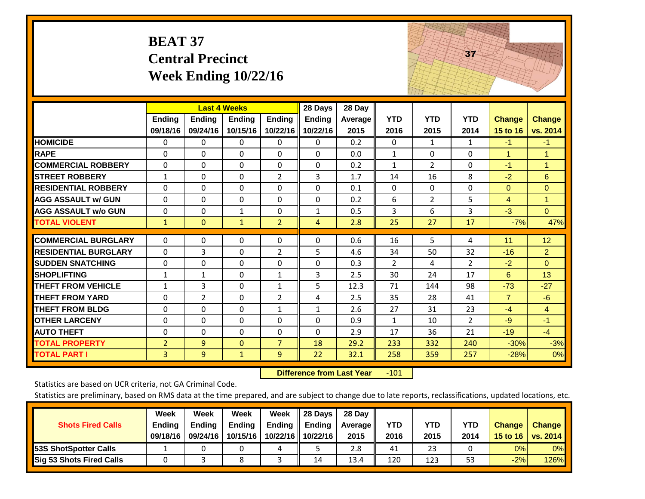|                             | <b>BEAT 37</b>            | <b>Central Precinct</b>                          | Week Ending $10/22/16$ |                           |                                      |                           |                    |                    | 37                 |                           |                           |
|-----------------------------|---------------------------|--------------------------------------------------|------------------------|---------------------------|--------------------------------------|---------------------------|--------------------|--------------------|--------------------|---------------------------|---------------------------|
|                             | <b>Ending</b><br>09/18/16 | <b>Last 4 Weeks</b><br><b>Ending</b><br>09/24/16 | Ending<br>10/15/16     | <b>Ending</b><br>10/22/16 | 28 Days<br><b>Ending</b><br>10/22/16 | 28 Day<br>Average<br>2015 | <b>YTD</b><br>2016 | <b>YTD</b><br>2015 | <b>YTD</b><br>2014 | <b>Change</b><br>15 to 16 | <b>Change</b><br>vs. 2014 |
| <b>HOMICIDE</b>             | 0                         | 0                                                | $\mathbf 0$            | 0                         | 0                                    | 0.2                       | $\Omega$           | 1                  | $\mathbf{1}$       | $-1$                      | $-1$                      |
| <b>RAPE</b>                 | $\Omega$                  | $\Omega$                                         | $\overline{0}$         | $\Omega$                  | $\Omega$                             | 0.0                       | $\mathbf{1}$       | $\Omega$           | $\Omega$           | $\mathbf{1}$              | $\mathbf{1}$              |
| <b>COMMERCIAL ROBBERY</b>   | $\Omega$                  | $\Omega$                                         | $\Omega$               | $\Omega$                  | $\Omega$                             | 0.2                       | $\mathbf{1}$       | $\overline{2}$     | $\Omega$           | $-1$                      | 1                         |
| <b>STREET ROBBERY</b>       | $\mathbf{1}$              | 0                                                | $\Omega$               | $\overline{2}$            | 3                                    | 1.7                       | 14                 | 16                 | 8                  | $-2$                      | 6                         |
| <b>RESIDENTIAL ROBBERY</b>  | $\Omega$                  | $\Omega$                                         | $\Omega$               | $\Omega$                  | $\Omega$                             | 0.1                       | $\mathbf{0}$       | $\Omega$           | $\Omega$           | $\mathbf{0}$              | $\overline{0}$            |
| <b>AGG ASSAULT w/ GUN</b>   | $\mathbf{0}$              | $\Omega$                                         | $\Omega$               | $\Omega$                  | 0                                    | 0.2                       | 6                  | $\overline{2}$     | 5                  | 4                         | $\mathbf{1}$              |
| <b>AGG ASSAULT w/o GUN</b>  | $\Omega$                  | $\Omega$                                         | $\mathbf{1}$           | 0                         | $\mathbf{1}$                         | 0.5                       | 3                  | 6                  | 3                  | $-3$                      | $\overline{0}$            |
| <b>TOTAL VIOLENT</b>        | $\mathbf{1}$              | $\Omega$                                         | $\mathbf{1}$           | $\overline{2}$            | $\overline{4}$                       | 2.8                       | 25                 | 27                 | 17                 | $-7%$                     | 47%                       |
| <b>COMMERCIAL BURGLARY</b>  | 0                         | 0                                                | $\mathbf 0$            | 0                         | $\Omega$                             | 0.6                       | 16                 | 5                  | 4                  | 11                        | 12                        |
| <b>RESIDENTIAL BURGLARY</b> | $\Omega$                  | 3                                                | $\Omega$               | $\overline{2}$            | 5                                    | 4.6                       | 34                 | 50                 | 32                 | $-16$                     | $\overline{2}$            |
| <b>SUDDEN SNATCHING</b>     | $\Omega$                  | $\Omega$                                         | $\Omega$               | $\Omega$                  | $\Omega$                             | 0.3                       | $\overline{2}$     | 4                  | $\overline{2}$     | $-2$                      | $\Omega$                  |
| <b>SHOPLIFTING</b>          | $\mathbf{1}$              | $\mathbf 1$                                      | $\overline{0}$         | $\mathbf{1}$              | 3                                    | 2.5                       | 30                 | 24                 | 17                 | 6                         | 13                        |
| <b>THEFT FROM VEHICLE</b>   | $\mathbf{1}$              | 3                                                | $\Omega$               | $\mathbf{1}$              | 5                                    | 12.3                      | 71                 | 144                | 98                 | $-73$                     | $-27$                     |
| <b>THEFT FROM YARD</b>      | 0                         | $\overline{2}$                                   | $\Omega$               | $\overline{2}$            | 4                                    | 2.5                       | 35                 | 28                 | 41                 | $\overline{7}$            | $-6$                      |
| <b>THEFT FROM BLDG</b>      | $\Omega$                  | $\Omega$                                         | $\Omega$               | $\mathbf{1}$              | $\mathbf{1}$                         | 2.6                       | 27                 | 31                 | 23                 | $-4$                      | $\overline{4}$            |
| <b>OTHER LARCENY</b>        | $\Omega$                  | $\Omega$                                         | $\Omega$               | $\Omega$                  | $\Omega$                             | 0.9                       | $\mathbf{1}$       | 10                 | $\overline{2}$     | $-9$                      | $-1$                      |
| <b>AUTO THEFT</b>           | 0                         | 0                                                | $\mathbf 0$            | $\Omega$                  | $\Omega$                             | 2.9                       | 17                 | 36                 | 21                 | $-19$                     | $-4$                      |
| <b>TOTAL PROPERTY</b>       | $\overline{2}$            | 9                                                | $\mathbf{0}$           | $\overline{7}$            | 18                                   | 29.2                      | 233                | 332                | 240                | $-30%$                    | $-3%$                     |
| <b>TOTAL PART I</b>         | 3                         | 9                                                | $\mathbf{1}$           | 9                         | 22                                   | 32.1                      | 258                | 359                | 257                | $-28%$                    | 0%                        |

 **Difference from Last Year**‐101 The state of the state of the state

Statistics are based on UCR criteria, not GA Criminal Code.

|                                 | Week          | Week          | Week          | Week | 28 Days                   | 28 Day  |      |            |      |               |               |
|---------------------------------|---------------|---------------|---------------|------|---------------------------|---------|------|------------|------|---------------|---------------|
| <b>Shots Fired Calls</b>        | <b>Ending</b> | <b>Endina</b> | <b>Ending</b> |      | Ending $\parallel$ Ending | Average | YTD  | <b>YTD</b> | YTD  | <b>Change</b> | <b>Change</b> |
|                                 | 09/18/16      | 09/24/16      | 10/15/16      |      | 10/22/16 10/22/16         | 2015    | 2016 | 2015       | 2014 | 15 to 16      | vs. $2014$    |
| <b>153S ShotSpotter Calls</b>   |               |               |               | 4    |                           | 2.8     | 41   | 23         |      | 0%            | $0\%$         |
| <b>Sig 53 Shots Fired Calls</b> |               |               | ິດ            |      | 14                        | 13.4    | 120  | 123        | 53   | $-2%$         | 126%          |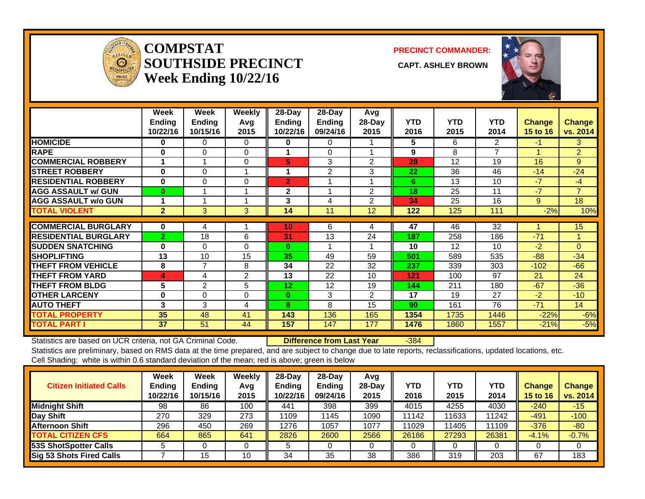

**COMPSTATSOUTHSIDE PRECINCT** CAPT. ASHLEY BROWN **Week Ending 10/22/16**

**PRECINCT COMMANDER:**



|                             | Week<br><b>Ending</b><br>10/22/16 | <b>Week</b><br><b>Ending</b><br>10/15/16 | <b>Weekly</b><br>Avq<br>2015 | 28-Day<br><b>Ending</b><br>10/22/16 | $28$ -Day<br><b>Ending</b><br>09/24/16 | Avg<br>28-Day<br>2015 | <b>YTD</b><br>2016 | <b>YTD</b><br>2015 | <b>YTD</b><br>2014 | <b>Change</b><br>15 to 16 | <b>Change</b><br>vs. 2014 |
|-----------------------------|-----------------------------------|------------------------------------------|------------------------------|-------------------------------------|----------------------------------------|-----------------------|--------------------|--------------------|--------------------|---------------------------|---------------------------|
| <b>HOMICIDE</b>             | 0                                 | 0                                        | 0                            | 0                                   | 0                                      |                       | 5                  | 6                  | 2                  | -1                        | 3                         |
| <b>RAPE</b>                 | 0                                 | $\Omega$                                 | 0                            | 1                                   | $\Omega$                               |                       | 9                  | 8                  | $\overline{7}$     |                           | $\overline{2}$            |
| <b>COMMERCIAL ROBBERY</b>   |                                   |                                          | $\Omega$                     | 5                                   | 3                                      | 2                     | 28                 | 12                 | 19                 | 16                        | 9                         |
| <b>STREET ROBBERY</b>       | $\bf{0}$                          | 0                                        |                              | 1                                   | $\overline{2}$                         | 3                     | 22                 | 36                 | 46                 | $-14$                     | $-24$                     |
| <b>RESIDENTIAL ROBBERY</b>  | $\bf{0}$                          | 0                                        | 0                            | $\overline{2}$                      |                                        |                       | 6                  | 13                 | 10                 | $-7$                      | $-4$                      |
| <b>AGG ASSAULT w/ GUN</b>   | $\bf{0}$                          |                                          |                              | $\mathbf{2}$                        |                                        | $\overline{2}$        | 18                 | 25                 | 11                 | $-7$                      | $\overline{7}$            |
| <b>AGG ASSAULT w/o GUN</b>  |                                   |                                          |                              | 3                                   | 4                                      | 2                     | 34                 | 25                 | 16                 | 9                         | 18                        |
| <b>TOTAL VIOLENT</b>        | $\overline{2}$                    | 3                                        | 3                            | 14                                  | 11                                     | 12                    | 122                | 125                | 111                | $-2%$                     | 10%                       |
|                             |                                   |                                          |                              |                                     |                                        |                       |                    |                    |                    |                           |                           |
| <b>COMMERCIAL BURGLARY</b>  | $\bf{0}$                          | 4                                        |                              | 10 <sup>1</sup>                     | 6                                      | 4                     | 47                 | 46                 | 32                 |                           | 15                        |
| <b>RESIDENTIAL BURGLARY</b> | $\overline{2}$                    | 18                                       | 6                            | 31                                  | 13                                     | 24                    | 187                | 258                | 186                | $-71$                     | 1                         |
| <b>ISUDDEN SNATCHING</b>    | $\bf{0}$                          | $\Omega$                                 | $\Omega$                     | $\bf{0}$                            |                                        |                       | 10                 | 12                 | 10                 | $-2$                      | $\Omega$                  |
| <b>ISHOPLIFTING</b>         | 13                                | 10                                       | 15                           | 35                                  | 49                                     | 59                    | 501                | 589                | 535                | $-88-$                    | $-34$                     |
| <b>THEFT FROM VEHICLE</b>   | 8                                 | $\overline{7}$                           | 8                            | 34                                  | 22                                     | 32                    | 237                | 339                | 303                | $-102$                    | $-66$                     |
| <b>THEFT FROM YARD</b>      | 4                                 | 4                                        | $\overline{2}$               | 13                                  | 22                                     | 10                    | 121                | 100                | 97                 | 21                        | 24                        |
| <b>THEFT FROM BLDG</b>      | 5                                 | $\overline{2}$                           | 5                            | 12                                  | 12                                     | 19                    | 144                | 211                | 180                | $-67$                     | $-36$                     |
| <b>OTHER LARCENY</b>        | $\bf{0}$                          | 0                                        | 0                            | 0                                   | 3                                      | $\overline{2}$        | 17                 | 19                 | 27                 | $-2$                      | $-10$                     |
| <b>AUTO THEFT</b>           | 3                                 | 3                                        | 4                            | 8                                   | 8                                      | 15                    | 90                 | 161                | 76                 | $-71$                     | 14                        |
| <b>TOTAL PROPERTY</b>       | 35                                | 48                                       | 41                           | 143                                 | 136                                    | 165                   | 1354               | 1735               | 1446               | $-22%$                    | $-6%$                     |
| <b>TOTAL PART I</b>         | 37                                | 51                                       | 44                           | 157                                 | 147                                    | 177                   | 1476               | 1860               | 1557               | $-21%$                    | $-5%$                     |

Statistics are based on UCR criteria, not GA Criminal Code. **Difference from Last Year** -384 Statistics are preliminary, based on RMS data at the time prepared, and are subject to change due to late reports, reclassifications, updated locations, etc.

Cell Shading: white is within 0.6 standard deviation of the mean; red is above; green is below

| <b>Citizen Initiated Calls</b> | Week<br>Ending<br>10/22/16 | <b>Week</b><br><b>Ending</b><br>10/15/16 | Weekly<br>Avg<br>2015 | $28$ -Dav<br><b>Ending</b><br>10/22/16 | $28$ -Day<br><b>Ending</b><br>09/24/16 | Avg<br>$28-Day$<br>2015 | YTD<br>2016 | YTD<br>2015 | <b>YTD</b><br>2014 | <b>Change</b><br>15 to 16 | <b>Change</b><br>vs. 2014 |
|--------------------------------|----------------------------|------------------------------------------|-----------------------|----------------------------------------|----------------------------------------|-------------------------|-------------|-------------|--------------------|---------------------------|---------------------------|
| Midnight Shift                 | 98                         | 86                                       | 100                   | 441                                    | 398                                    | 399                     | 4015        | 4255        | 4030               | $-240$                    | $-15$                     |
| Day Shift                      | 270                        | 329                                      | 273                   | 1109                                   | 1145                                   | 1090                    | 11142       | 11633       | 11242              | $-491$                    | $-100$                    |
| <b>Afternoon Shift</b>         | 296                        | 450                                      | 269                   | 1276                                   | 1057                                   | 1077                    | 11029       | 11405       | 11109              | $-376$                    | $-80$                     |
| <b>TOTAL CITIZEN CFS</b>       | 664                        | 865                                      | 641                   | 2826                                   | 2600                                   | 2566                    | 26186       | 27293       | 26381              | $-4.1%$                   | $-0.7%$                   |
| <b>53S ShotSpotter Calls</b>   |                            |                                          |                       |                                        |                                        |                         |             |             |                    |                           |                           |
| Sig 53 Shots Fired Calls       |                            | 15                                       | 10                    | 34                                     | 35                                     | 38                      | 386         | 319         | 203                | 67                        | 183                       |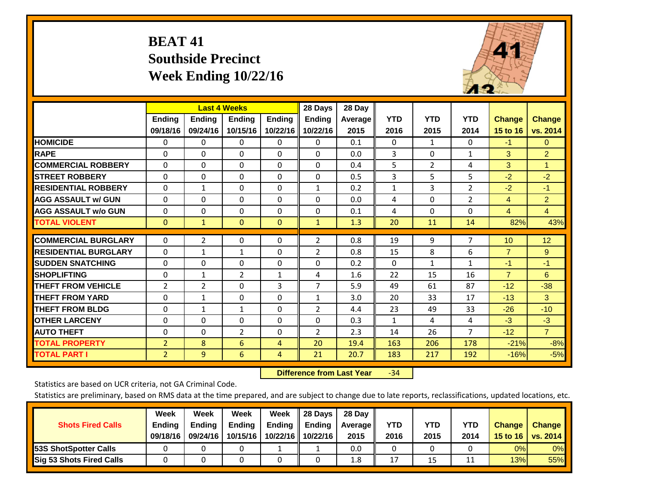# **BEAT 41 Southside Precinct Week Ending 10/22/16**



|                             |                | <b>Last 4 Weeks</b> |                |               | 28 Days        | 28 Day  |              |              |                |                |                |
|-----------------------------|----------------|---------------------|----------------|---------------|----------------|---------|--------------|--------------|----------------|----------------|----------------|
|                             | <b>Ending</b>  | <b>Ending</b>       | <b>Endina</b>  | <b>Ending</b> | <b>Ending</b>  | Average | <b>YTD</b>   | <b>YTD</b>   | <b>YTD</b>     | <b>Change</b>  | Change         |
|                             | 09/18/16       | 09/24/16            | 10/15/16       | 10/22/16      | 10/22/16       | 2015    | 2016         | 2015         | 2014           | 15 to 16       | vs. 2014       |
| <b>HOMICIDE</b>             | 0              | 0                   | $\Omega$       | $\Omega$      | 0              | 0.1     | $\mathbf{0}$ | 1            | 0              | $-1$           | 0              |
| <b>RAPE</b>                 | 0              | $\Omega$            | $\Omega$       | $\Omega$      | $\Omega$       | 0.0     | 3            | $\Omega$     | $\mathbf{1}$   | 3              | $\overline{2}$ |
| <b>COMMERCIAL ROBBERY</b>   | $\Omega$       | 0                   | $\Omega$       | $\mathbf{0}$  | $\Omega$       | 0.4     | 5            | 2            | 4              | 3              | 1              |
| <b>STREET ROBBERY</b>       | $\Omega$       | $\Omega$            | $\Omega$       | $\mathbf{0}$  | $\mathbf 0$    | 0.5     | 3            | 5            | 5              | $-2$           | $-2$           |
| <b>RESIDENTIAL ROBBERY</b>  | 0              | $\mathbf{1}$        | $\Omega$       | $\Omega$      | $\mathbf{1}$   | 0.2     | $\mathbf{1}$ | 3            | $\overline{2}$ | $-2$           | $-1$           |
| <b>AGG ASSAULT w/ GUN</b>   | 0              | $\Omega$            | $\Omega$       | $\Omega$      | $\Omega$       | 0.0     | 4            | $\Omega$     | $\overline{2}$ | $\overline{4}$ | $\overline{2}$ |
| <b>AGG ASSAULT w/o GUN</b>  | $\Omega$       | $\Omega$            | $\Omega$       | $\mathbf{0}$  | $\Omega$       | 0.1     | 4            | $\Omega$     | $\Omega$       | $\overline{4}$ | $\overline{4}$ |
| <b>TOTAL VIOLENT</b>        | $\mathbf{0}$   | $\mathbf{1}$        | $\overline{0}$ | $\mathbf{0}$  | $\mathbf{1}$   | 1.3     | 20           | 11           | 14             | 82%            | 43%            |
|                             |                |                     |                |               |                |         |              |              |                |                |                |
| <b>COMMERCIAL BURGLARY</b>  | $\mathbf 0$    | $\overline{2}$      | 0              | $\mathbf 0$   | $\overline{2}$ | 0.8     | 19           | 9            | 7              | 10             | 12             |
| <b>RESIDENTIAL BURGLARY</b> | $\Omega$       | 1                   | $\mathbf{1}$   | $\Omega$      | $\overline{2}$ | 0.8     | 15           | 8            | 6              | $\overline{7}$ | 9              |
| <b>ISUDDEN SNATCHING</b>    | $\Omega$       | 0                   | $\Omega$       | $\Omega$      | $\Omega$       | 0.2     | $\mathbf{0}$ | $\mathbf{1}$ | $\mathbf{1}$   | $-1$           | $-1$           |
| <b>SHOPLIFTING</b>          | $\Omega$       | $\mathbf{1}$        | $\overline{2}$ | 1             | 4              | 1.6     | 22           | 15           | 16             | $\overline{7}$ | 6              |
| <b>THEFT FROM VEHICLE</b>   | $\overline{2}$ | $\overline{2}$      | $\Omega$       | 3             | 7              | 5.9     | 49           | 61           | 87             | $-12$          | $-38$          |
| <b>THEFT FROM YARD</b>      | $\Omega$       | 1                   | $\Omega$       | $\Omega$      | $\mathbf{1}$   | 3.0     | 20           | 33           | 17             | $-13$          | 3              |
| <b>THEFT FROM BLDG</b>      | $\mathbf 0$    | $\mathbf{1}$        | $\mathbf{1}$   | $\Omega$      | $\overline{2}$ | 4.4     | 23           | 49           | 33             | $-26$          | $-10$          |
| <b>OTHER LARCENY</b>        | 0              | 0                   | $\Omega$       | $\mathbf 0$   | 0              | 0.3     | $\mathbf{1}$ | 4            | 4              | $-3$           | $-3$           |
| <b>AUTO THEFT</b>           | $\Omega$       | $\Omega$            | $\overline{2}$ | $\Omega$      | $\overline{2}$ | 2.3     | 14           | 26           | 7              | $-12$          | $\overline{7}$ |
| <b>TOTAL PROPERTY</b>       | $\overline{2}$ | 8                   | 6              | 4             | 20             | 19.4    | 163          | 206          | 178            | $-21%$         | $-8%$          |
| <b>TOTAL PART I</b>         | $\overline{2}$ | 9                   | 6              | 4             | 21             | 20.7    | 183          | 217          | 192            | $-16%$         | $-5%$          |

 **Difference from Last Year**‐34

Statistics are based on UCR criteria, not GA Criminal Code.

| <b>Shots Fired Calls</b>        | Week<br><b>Ending</b><br>09/18/16 | Week<br><b>Endina</b><br>09/24/16 | Week<br>Ending<br>10/15/16 | Week<br>Ending<br>10/22/16 | 28 Days<br><b>Ending</b><br>10/22/16 | 28 Day<br>Average II<br>2015 | YTD<br>2016 | YTD<br>2015 | YTD<br>2014 | <b>Change</b><br>15 to 16 $\vert$ | <b>Change</b><br>vs. 2014 |
|---------------------------------|-----------------------------------|-----------------------------------|----------------------------|----------------------------|--------------------------------------|------------------------------|-------------|-------------|-------------|-----------------------------------|---------------------------|
| <b>153S ShotSpotter Calls</b>   |                                   |                                   |                            |                            |                                      | 0.0                          |             |             |             | 0%                                | 0%                        |
| <b>Sig 53 Shots Fired Calls</b> |                                   |                                   |                            |                            |                                      | 1.8                          | 17          | 15          |             | 13%                               | 55%                       |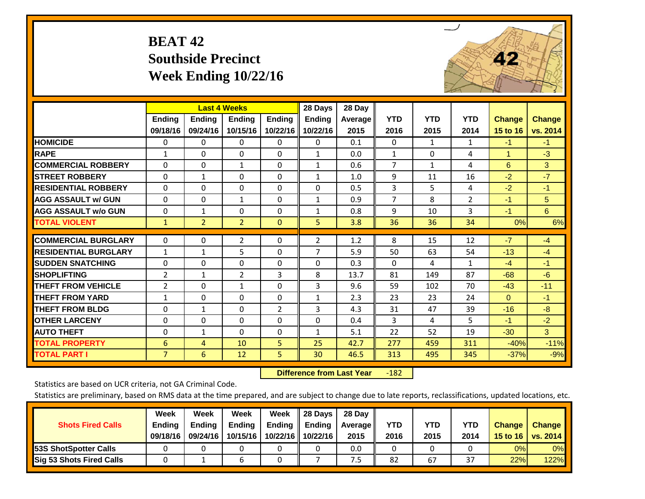# **BEAT 42 Southside Precinct Week Ending 10/22/16**



|                             |                | <b>Last 4 Weeks</b> |                |                | 28 Days       | 28 Day  |                |              |                |               |                |
|-----------------------------|----------------|---------------------|----------------|----------------|---------------|---------|----------------|--------------|----------------|---------------|----------------|
|                             | Ending         | <b>Ending</b>       | <b>Endina</b>  | <b>Endina</b>  | <b>Ending</b> | Average | <b>YTD</b>     | <b>YTD</b>   | <b>YTD</b>     | <b>Change</b> | <b>Change</b>  |
|                             | 09/18/16       | 09/24/16            | 10/15/16       | 10/22/16       | 10/22/16      | 2015    | 2016           | 2015         | 2014           | 15 to 16      | vs. 2014       |
| <b>HOMICIDE</b>             | 0              | $\Omega$            | 0              | 0              | $\Omega$      | 0.1     | $\Omega$       | $\mathbf{1}$ | $\mathbf{1}$   | $-1$          | $-1$           |
| <b>RAPE</b>                 | $\mathbf{1}$   | 0                   | $\Omega$       | 0              | $\mathbf{1}$  | 0.0     | $\mathbf{1}$   | $\Omega$     | 4              | 1             | $-3$           |
| <b>COMMERCIAL ROBBERY</b>   | $\Omega$       | $\Omega$            | 1              | 0              | $\mathbf{1}$  | 0.6     | $\overline{7}$ | 1            | 4              | 6             | 3              |
| <b>STREET ROBBERY</b>       | 0              | $\mathbf{1}$        | $\Omega$       | 0              | $\mathbf{1}$  | 1.0     | 9              | 11           | 16             | $-2$          | $-7$           |
| <b>RESIDENTIAL ROBBERY</b>  | $\Omega$       | $\Omega$            | $\Omega$       | 0              | $\Omega$      | 0.5     | 3              | 5            | 4              | $-2$          | $-1$           |
| <b>AGG ASSAULT w/ GUN</b>   | $\Omega$       | $\Omega$            | 1              | $\Omega$       | $\mathbf{1}$  | 0.9     | $\overline{7}$ | 8            | $\overline{2}$ | $-1$          | 5              |
| <b>AGG ASSAULT w/o GUN</b>  | 0              | $\mathbf{1}$        | $\Omega$       | 0              | $\mathbf{1}$  | 0.8     | 9              | 10           | 3              | $-1$          | 6              |
| <b>TOTAL VIOLENT</b>        | $\mathbf{1}$   | $\overline{2}$      | $\overline{2}$ | $\mathbf{0}$   | 5             | 3.8     | 36             | 36           | 34             | 0%            | 6%             |
| <b>COMMERCIAL BURGLARY</b>  | 0              | 0                   | $\overline{2}$ | 0              | 2             | 1.2     | 8              | 15           | 12             | $-7$          | $-4$           |
|                             |                |                     |                |                |               |         |                |              |                |               |                |
| <b>RESIDENTIAL BURGLARY</b> | $\mathbf{1}$   | $\mathbf{1}$        | 5              | 0              | 7             | 5.9     | 50             | 63           | 54             | $-13$         | $-4$           |
| <b>ISUDDEN SNATCHING</b>    | $\Omega$       | $\Omega$            | $\Omega$       | $\Omega$       | 0             | 0.3     | $\Omega$       | 4            | $\mathbf{1}$   | $-4$          | $-1$           |
| <b>SHOPLIFTING</b>          | $\overline{2}$ | 1                   | $\overline{2}$ | 3              | 8             | 13.7    | 81             | 149          | 87             | $-68$         | $-6$           |
| <b>THEFT FROM VEHICLE</b>   | $\overline{2}$ | $\Omega$            | $\mathbf{1}$   | $\Omega$       | 3             | 9.6     | 59             | 102          | 70             | $-43$         | $-11$          |
| <b>THEFT FROM YARD</b>      | $\mathbf{1}$   | $\Omega$            | $\Omega$       | $\Omega$       | $\mathbf{1}$  | 2.3     | 23             | 23           | 24             | $\Omega$      | $-1$           |
| <b>THEFT FROM BLDG</b>      | $\mathbf 0$    | $\mathbf{1}$        | $\Omega$       | $\overline{2}$ | 3             | 4.3     | 31             | 47           | 39             | $-16$         | $-8$           |
| <b>OTHER LARCENY</b>        | $\Omega$       | $\Omega$            | $\Omega$       | 0              | 0             | 0.4     | 3              | 4            | 5              | $-1$          | $-2$           |
| <b>AUTO THEFT</b>           | $\mathbf 0$    | $\mathbf{1}$        | $\Omega$       | 0              | $\mathbf{1}$  | 5.1     | 22             | 52           | 19             | $-30$         | 3 <sup>1</sup> |
| <b>TOTAL PROPERTY</b>       | 6              | 4                   | 10             | 5              | 25            | 42.7    | 277            | 459          | 311            | $-40%$        | $-11%$         |
| <b>TOTAL PART I</b>         | $\overline{7}$ | 6                   | 12             | 5              | 30            | 46.5    | 313            | 495          | 345            | $-37%$        | $-9%$          |

 **Difference from Last Year**‐182

Statistics are based on UCR criteria, not GA Criminal Code.

| <b>Shots Fired Calls</b>        | Week<br><b>Ending</b><br>09/18/16 | Week<br><b>Endina</b><br>09/24/16 | Week<br>Ending<br>10/15/16 | Week<br>Ending<br>10/22/16 | 28 Days<br><b>Ending</b><br>10/22/16 | 28 Day<br>Average II<br>2015 | YTD<br>2016 | YTD<br>2015 | YTD<br>2014 | <b>Change</b><br>15 to 16 $\vert$ | <b>Change</b><br>vs. 2014 |
|---------------------------------|-----------------------------------|-----------------------------------|----------------------------|----------------------------|--------------------------------------|------------------------------|-------------|-------------|-------------|-----------------------------------|---------------------------|
| <b>153S ShotSpotter Calls</b>   |                                   |                                   |                            |                            |                                      | 0.0                          |             |             |             | 0%                                | 0%                        |
| <b>Sig 53 Shots Fired Calls</b> |                                   |                                   |                            |                            |                                      | ט.                           | 82          | 67          | 37          | 22%                               | 122%                      |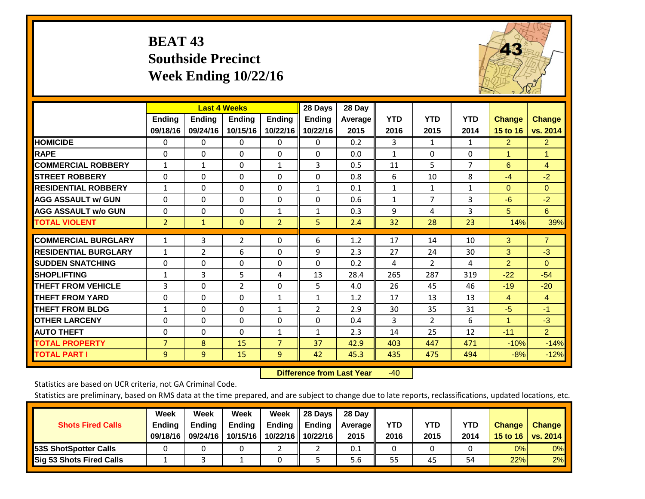# **BEAT 43 Southside Precinct Week Ending 10/22/16**



|                             |                | <b>Last 4 Weeks</b> |                |                | 28 Days        | 28 Day  |              |                |                |                      |                |
|-----------------------------|----------------|---------------------|----------------|----------------|----------------|---------|--------------|----------------|----------------|----------------------|----------------|
|                             | <b>Ending</b>  | <b>Ending</b>       | <b>Ending</b>  | <b>Ending</b>  | <b>Ending</b>  | Average | <b>YTD</b>   | <b>YTD</b>     | <b>YTD</b>     | <b>Change</b>        | <b>Change</b>  |
|                             | 09/18/16       | 09/24/16            | 10/15/16       | 10/22/16       | 10/22/16       | 2015    | 2016         | 2015           | 2014           | 15 to 16             | vs. 2014       |
| <b>HOMICIDE</b>             | $\Omega$       | $\mathbf{0}$        | 0              | 0              | $\Omega$       | 0.2     | 3            | 1              | $\mathbf{1}$   | 2                    | $\overline{2}$ |
| <b>RAPE</b>                 | $\Omega$       | $\Omega$            | $\Omega$       | 0              | 0              | 0.0     | $\mathbf{1}$ | $\Omega$       | $\Omega$       | 1                    | 1              |
| <b>COMMERCIAL ROBBERY</b>   | $\mathbf{1}$   | $\mathbf{1}$        | $\mathbf{0}$   | $\mathbf{1}$   | 3              | 0.5     | 11           | 5              | $\overline{7}$ | 6                    | 4              |
| <b>STREET ROBBERY</b>       | $\mathbf 0$    | $\Omega$            | $\Omega$       | 0              | 0              | 0.8     | 6            | 10             | 8              | $-4$                 | $-2$           |
| <b>RESIDENTIAL ROBBERY</b>  | $\mathbf{1}$   | $\Omega$            | $\Omega$       | $\Omega$       | $\mathbf{1}$   | 0.1     | $\mathbf{1}$ | $\mathbf{1}$   | $\mathbf{1}$   | $\Omega$             | $\mathbf{0}$   |
| <b>AGG ASSAULT w/ GUN</b>   | $\Omega$       | $\Omega$            | $\Omega$       | $\Omega$       | 0              | 0.6     | $\mathbf{1}$ | 7              | 3              | $-6$                 | $-2$           |
| <b>AGG ASSAULT w/o GUN</b>  | $\Omega$       | $\Omega$            | $\Omega$       | $\mathbf{1}$   | $\mathbf{1}$   | 0.3     | 9            | 4              | 3              | 5                    | 6              |
| <b>TOTAL VIOLENT</b>        | $\overline{2}$ | $\mathbf{1}$        | $\mathbf{0}$   | $\overline{2}$ | 5 <sup>1</sup> | 2.4     | 32           | 28             | 23             | 14%                  | 39%            |
|                             |                |                     |                |                |                |         |              |                |                |                      |                |
| <b>COMMERCIAL BURGLARY</b>  | $\mathbf{1}$   | 3                   | $\overline{2}$ | $\Omega$       | 6              | 1.2     | 17           | 14             | 10             | 3                    | $\overline{7}$ |
| <b>RESIDENTIAL BURGLARY</b> | $\mathbf{1}$   | $\overline{2}$      | 6              | 0              | 9              | 2.3     | 27           | 24             | 30             | 3                    | $-3$           |
| <b>SUDDEN SNATCHING</b>     | $\Omega$       | $\Omega$            | $\Omega$       | $\Omega$       | 0              | 0.2     | 4            | $\overline{2}$ | 4              | $\overline{2}$       | $\Omega$       |
| <b>SHOPLIFTING</b>          | 1              | 3                   | 5              | 4              | 13             | 28.4    | 265          | 287            | 319            | $-22$                | $-54$          |
| <b>THEFT FROM VEHICLE</b>   | 3              | $\Omega$            | $\overline{2}$ | $\Omega$       | 5              | 4.0     | 26           | 45             | 46             | $-19$                | $-20$          |
| <b>THEFT FROM YARD</b>      | $\Omega$       | $\Omega$            | $\Omega$       | $\mathbf{1}$   | $\mathbf{1}$   | 1.2     | 17           | 13             | 13             | $\overline{4}$       | $\overline{4}$ |
| <b>THEFT FROM BLDG</b>      | $\mathbf{1}$   | $\Omega$            | $\Omega$       | $\mathbf{1}$   | 2              | 2.9     | 30           | 35             | 31             | $-5$                 | $-1$           |
| <b>OTHER LARCENY</b>        | $\Omega$       | $\Omega$            | $\Omega$       | $\Omega$       | 0              | 0.4     | 3            | $\overline{2}$ | 6              | $\blacktriangleleft$ | $-3$           |
| <b>AUTO THEFT</b>           | $\Omega$       | $\Omega$            | $\Omega$       | $\mathbf{1}$   | $\mathbf{1}$   | 2.3     | 14           | 25             | 12             | $-11$                | $\overline{2}$ |
| <b>TOTAL PROPERTY</b>       | $\overline{7}$ | 8                   | 15             | $\overline{7}$ | 37             | 42.9    | 403          | 447            | 471            | $-10%$               | $-14%$         |
| <b>TOTAL PART I</b>         | 9              | $\overline{9}$      | 15             | 9              | 42             | 45.3    | 435          | 475            | 494            | $-8%$                | $-12%$         |

 **Difference from Last Year**r -40

Statistics are based on UCR criteria, not GA Criminal Code.

| <b>Shots Fired Calls</b>        | Week<br><b>Ending</b><br>09/18/16 | Week<br><b>Endina</b><br>09/24/16 | Week<br>Ending<br>10/15/16 | Week<br>Ending<br>10/22/16 | 28 Days<br><b>Ending</b><br>10/22/16 | 28 Day<br>Average II<br>2015 | YTD<br>2016 | YTD<br>2015 | <b>YTD</b><br>2014 | <b>Change</b><br>15 to 16 $\vert$ | <b>Change</b><br>vs. 2014 |
|---------------------------------|-----------------------------------|-----------------------------------|----------------------------|----------------------------|--------------------------------------|------------------------------|-------------|-------------|--------------------|-----------------------------------|---------------------------|
| <b>153S ShotSpotter Calls</b>   |                                   |                                   |                            |                            |                                      | 0.1                          |             |             |                    | 0%                                | 0%                        |
| <b>Sig 53 Shots Fired Calls</b> |                                   |                                   |                            |                            |                                      | 5.6                          | 55          | 45          | 54                 | 22%                               | 2%                        |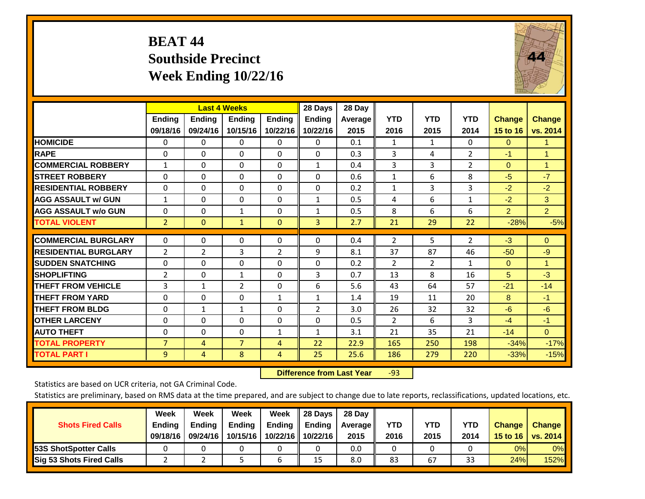# **BEAT 44 Southside Precinct Week Ending 10/22/16**



|                             |                           | <b>Last 4 Weeks</b>       |                    |                           | 28 Days                   | 28 Day          |                    |                    |                    |                           |                           |
|-----------------------------|---------------------------|---------------------------|--------------------|---------------------------|---------------------------|-----------------|--------------------|--------------------|--------------------|---------------------------|---------------------------|
|                             | <b>Ending</b><br>09/18/16 | <b>Ending</b><br>09/24/16 | Ending<br>10/15/16 | <b>Ending</b><br>10/22/16 | <b>Ending</b><br>10/22/16 | Average<br>2015 | <b>YTD</b><br>2016 | <b>YTD</b><br>2015 | <b>YTD</b><br>2014 | <b>Change</b><br>15 to 16 | <b>Change</b><br>vs. 2014 |
| <b>HOMICIDE</b>             | $\Omega$                  | 0                         | 0                  | $\Omega$                  | 0                         | 0.1             | 1                  | $\mathbf{1}$       | 0                  | $\Omega$                  | 1.                        |
| <b>RAPE</b>                 | $\Omega$                  | $\Omega$                  | $\Omega$           | $\Omega$                  | $\Omega$                  | 0.3             | 3                  | 4                  | $\overline{2}$     | $-1$                      | $\mathbf{1}$              |
| <b>COMMERCIAL ROBBERY</b>   | $\mathbf{1}$              | 0                         | $\Omega$           | 0                         | 1                         | 0.4             | 3                  | 3                  | $\overline{2}$     | $\Omega$                  | $\mathbf{1}$              |
| <b>STREET ROBBERY</b>       | $\Omega$                  | $\Omega$                  | $\Omega$           | $\Omega$                  | $\Omega$                  | 0.6             | $\mathbf{1}$       | 6                  | 8                  | $-5$                      | $-7$                      |
| <b>RESIDENTIAL ROBBERY</b>  | $\Omega$                  | $\Omega$                  | $\Omega$           | $\mathbf{0}$              | $\Omega$                  | 0.2             | $\mathbf{1}$       | 3                  | 3                  | $-2$                      | $-2$                      |
| <b>AGG ASSAULT w/ GUN</b>   | $\mathbf{1}$              | 0                         | $\Omega$           | $\Omega$                  | $\mathbf{1}$              | 0.5             | 4                  | 6                  | $\mathbf{1}$       | $-2$                      | 3                         |
| <b>AGG ASSAULT w/o GUN</b>  | $\Omega$                  | $\Omega$                  | $\mathbf{1}$       | $\Omega$                  | $\mathbf{1}$              | 0.5             | 8                  | 6                  | 6                  | $\overline{2}$            | $\overline{2}$            |
| <b>TOTAL VIOLENT</b>        | $\overline{2}$            | $\Omega$                  | $\mathbf{1}$       | $\mathbf{0}$              | 3                         | 2.7             | 21                 | 29                 | 22                 | $-28%$                    | $-5%$                     |
| <b>COMMERCIAL BURGLARY</b>  | 0                         | $\Omega$                  | 0                  | 0                         | 0                         | 0.4             | 2                  | 5.                 | $\overline{2}$     | $-3$                      | $\mathbf{0}$              |
|                             |                           |                           |                    |                           |                           |                 |                    |                    |                    |                           |                           |
| <b>RESIDENTIAL BURGLARY</b> | 2                         | 2                         | 3                  | $\overline{2}$            | 9                         | 8.1             | 37                 | 87                 | 46                 | $-50$                     | $-9$                      |
| <b>ISUDDEN SNATCHING</b>    | 0                         | 0                         | $\Omega$           | $\mathbf{0}$              | $\Omega$                  | 0.2             | 2                  | $\overline{2}$     | $\mathbf{1}$       | $\Omega$                  | 1.                        |
| <b>SHOPLIFTING</b>          | 2                         | $\Omega$                  | $\mathbf{1}$       | $\Omega$                  | 3                         | 0.7             | 13                 | 8                  | 16                 | 5                         | $-3$                      |
| <b>THEFT FROM VEHICLE</b>   | 3                         | $\mathbf{1}$              | $\overline{2}$     | $\Omega$                  | 6                         | 5.6             | 43                 | 64                 | 57                 | $-21$                     | $-14$                     |
| <b>THEFT FROM YARD</b>      | $\Omega$                  | $\Omega$                  | $\Omega$           | 1                         | 1                         | 1.4             | 19                 | 11                 | 20                 | 8                         | $-1$                      |
| <b>THEFT FROM BLDG</b>      | 0                         | 1                         | 1                  | $\Omega$                  | $\overline{2}$            | 3.0             | 26                 | 32                 | 32                 | $-6$                      | $-6$                      |
| <b>OTHER LARCENY</b>        | 0                         | 0                         | $\Omega$           | $\Omega$                  | 0                         | 0.5             | $\overline{2}$     | 6                  | 3                  | $-4$                      | $-1$                      |
| <b>AUTO THEFT</b>           | $\Omega$                  | 0                         | $\Omega$           | $\mathbf{1}$              | $\mathbf{1}$              | 3.1             | 21                 | 35                 | 21                 | $-14$                     | $\mathbf{0}$              |
| <b>TOTAL PROPERTY</b>       | $\overline{7}$            | 4                         | $\overline{7}$     | 4                         | 22                        | 22.9            | 165                | 250                | 198                | $-34%$                    | $-17%$                    |
| <b>TOTAL PART I</b>         | 9                         | 4                         | 8                  | 4                         | 25                        | 25.6            | 186                | 279                | 220                | $-33%$                    | $-15%$                    |

 **Difference from Last Year**r -93

Statistics are based on UCR criteria, not GA Criminal Code.

| <b>Shots Fired Calls</b>        | Week<br><b>Ending</b><br>09/18/16 | Week<br><b>Endina</b><br>09/24/16 | Week<br>Ending<br>10/15/16 | Week<br>Ending<br>10/22/16 | 28 Days<br><b>Ending</b><br>10/22/16 | 28 Day<br>Average II<br>2015 | YTD<br>2016 | YTD<br>2015 | <b>YTD</b><br>2014 | <b>Change</b><br>15 to 16 $\vert$ | <b>Change</b><br>vs. 2014 |
|---------------------------------|-----------------------------------|-----------------------------------|----------------------------|----------------------------|--------------------------------------|------------------------------|-------------|-------------|--------------------|-----------------------------------|---------------------------|
| <b>153S ShotSpotter Calls</b>   |                                   |                                   |                            |                            |                                      | 0.0                          |             |             |                    | 0%                                | 0%                        |
| <b>Sig 53 Shots Fired Calls</b> |                                   |                                   |                            |                            | 15                                   | 8.0                          | 83          | 67          | າາ<br>33           | 24%                               | 152%                      |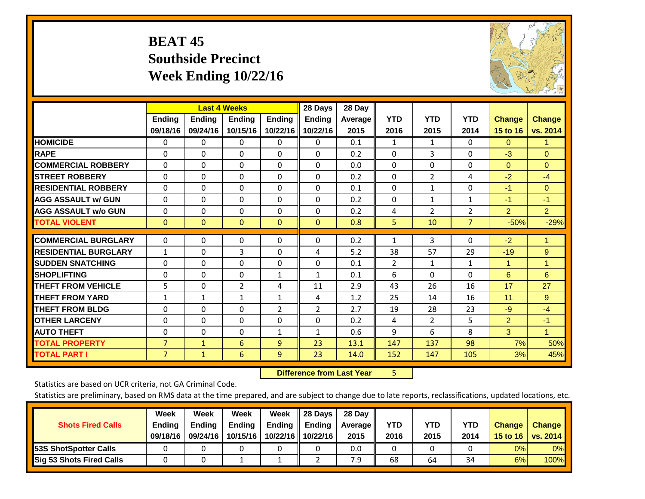# **BEAT 45 Southside Precinct Week Ending 10/22/16**



|                             |                           | <b>Last 4 Weeks</b> |                           |                           | 28 Days                   | 28 Day          |                    |                    |                    |                           |                           |
|-----------------------------|---------------------------|---------------------|---------------------------|---------------------------|---------------------------|-----------------|--------------------|--------------------|--------------------|---------------------------|---------------------------|
|                             | <b>Ending</b><br>09/18/16 | Ending<br>09/24/16  | <b>Ending</b><br>10/15/16 | <b>Ending</b><br>10/22/16 | <b>Ending</b><br>10/22/16 | Average<br>2015 | <b>YTD</b><br>2016 | <b>YTD</b><br>2015 | <b>YTD</b><br>2014 | <b>Change</b><br>15 to 16 | <b>Change</b><br>vs. 2014 |
| <b>HOMICIDE</b>             | 0                         | $\Omega$            | 0                         | $\Omega$                  | $\Omega$                  | 0.1             | 1                  | $\mathbf{1}$       | 0                  | $\Omega$                  | 1.                        |
| <b>RAPE</b>                 | 0                         | $\Omega$            | $\Omega$                  | $\Omega$                  | $\Omega$                  | 0.2             | $\Omega$           | 3                  | $\Omega$           | $-3$                      | $\Omega$                  |
| <b>COMMERCIAL ROBBERY</b>   | $\Omega$                  | $\Omega$            | $\mathbf{0}$              | $\Omega$                  | $\Omega$                  | 0.0             | $\Omega$           | $\Omega$           | 0                  | $\mathbf{0}$              | $\Omega$                  |
| <b>STREET ROBBERY</b>       | $\Omega$                  | $\Omega$            | $\Omega$                  | $\Omega$                  | $\Omega$                  | 0.2             | $\mathbf{0}$       | $\overline{2}$     | 4                  | $-2$                      | $-4$                      |
| <b>RESIDENTIAL ROBBERY</b>  | $\Omega$                  | $\Omega$            | $\mathbf{0}$              | $\Omega$                  | $\Omega$                  | 0.1             | $\mathbf{0}$       | $\mathbf{1}$       | 0                  | $-1$                      | $\Omega$                  |
| <b>AGG ASSAULT w/ GUN</b>   | $\Omega$                  | 0                   | $\Omega$                  | $\Omega$                  | 0                         | 0.2             | $\Omega$           | 1                  | $\mathbf{1}$       | -1                        | $-1$                      |
| <b>AGG ASSAULT w/o GUN</b>  | $\Omega$                  | $\Omega$            | $\Omega$                  | $\Omega$                  | 0                         | 0.2             | 4                  | $\overline{2}$     | $\overline{2}$     | $\overline{2}$            | $\overline{2}$            |
| <b>TOTAL VIOLENT</b>        | $\mathbf{0}$              | 0                   | $\mathbf{0}$              | $\Omega$                  | $\Omega$                  | 0.8             | 5                  | 10                 | $\overline{7}$     | $-50%$                    | $-29%$                    |
| <b>COMMERCIAL BURGLARY</b>  | $\Omega$                  | $\Omega$            | $\mathbf 0$               | 0                         | $\Omega$                  | 0.2             | 1                  | 3                  | 0                  | $-2$                      | $\mathbf{1}$              |
| <b>RESIDENTIAL BURGLARY</b> | $\mathbf{1}$              | 0                   | 3                         | 0                         | 4                         | 5.2             | 38                 | 57                 | 29                 | $-19$                     | 9                         |
| <b>ISUDDEN SNATCHING</b>    | $\Omega$                  | 0                   | $\Omega$                  | 0                         | 0                         | 0.1             | 2                  | 1                  | $\mathbf{1}$       | 1                         | $\mathbf{1}$              |
| <b>SHOPLIFTING</b>          | $\Omega$                  | $\Omega$            | $\Omega$                  | $\mathbf{1}$              | $\mathbf{1}$              | 0.1             | 6                  | $\Omega$           | $\Omega$           | 6                         | 6                         |
| <b>THEFT FROM VEHICLE</b>   | 5                         | $\Omega$            | $\overline{2}$            | 4                         | 11                        | 2.9             | 43                 | 26                 | 16                 | 17                        | 27                        |
| <b>THEFT FROM YARD</b>      | $\mathbf{1}$              | $\mathbf{1}$        | $\mathbf{1}$              | $\mathbf{1}$              | 4                         | 1.2             | 25                 | 14                 | 16                 | 11                        | 9                         |
| <b>THEFT FROM BLDG</b>      | $\Omega$                  | $\Omega$            | $\mathbf{0}$              | $\overline{2}$            | $\overline{2}$            | 2.7             | 19                 | 28                 | 23                 | $-9$                      | $-4$                      |
| <b>OTHER LARCENY</b>        | 0                         | $\Omega$            | $\Omega$                  | $\Omega$                  | 0                         | 0.2             | 4                  | $\overline{2}$     | 5                  | $\overline{2}$            | $-1$                      |
| <b>AUTO THEFT</b>           | $\Omega$                  | $\Omega$            | $\mathbf{0}$              | $\mathbf{1}$              | $\mathbf{1}$              | 0.6             | 9                  | 6                  | 8                  | 3                         | $\mathbf{1}$              |
| <b>TOTAL PROPERTY</b>       | $\overline{7}$            | $\mathbf{1}$        | 6                         | 9                         | 23                        | 13.1            | 147                | 137                | 98                 | 7%                        | 50%                       |
| <b>TOTAL PART I</b>         | 7                         | $\mathbf{1}$        | 6                         | 9                         | 23                        | 14.0            | 152                | 147                | 105                | 3%                        | 45%                       |

 **Difference from Last Year**r 5

Statistics are based on UCR criteria, not GA Criminal Code.

| <b>Shots Fired Calls</b>        | Week<br><b>Ending</b><br>09/18/16 | Week<br><b>Endina</b><br>09/24/16 | Week<br>Ending<br>10/15/16 | Week<br>Ending<br>10/22/16 | 28 Days<br><b>Ending</b><br>10/22/16 | 28 Day<br>Average II<br>2015 | YTD<br>2016 | YTD<br>2015 | <b>YTD</b><br>2014 | <b>Change</b><br>15 to $16$ | <b>Change</b><br>vs. 2014 |
|---------------------------------|-----------------------------------|-----------------------------------|----------------------------|----------------------------|--------------------------------------|------------------------------|-------------|-------------|--------------------|-----------------------------|---------------------------|
| <b>153S ShotSpotter Calls</b>   |                                   |                                   |                            |                            |                                      | 0.0                          |             |             |                    | 0%                          | 0%                        |
| <b>Sig 53 Shots Fired Calls</b> |                                   |                                   |                            |                            |                                      | 7.9                          | 68          | 64          | 34                 | 6%                          | 100%                      |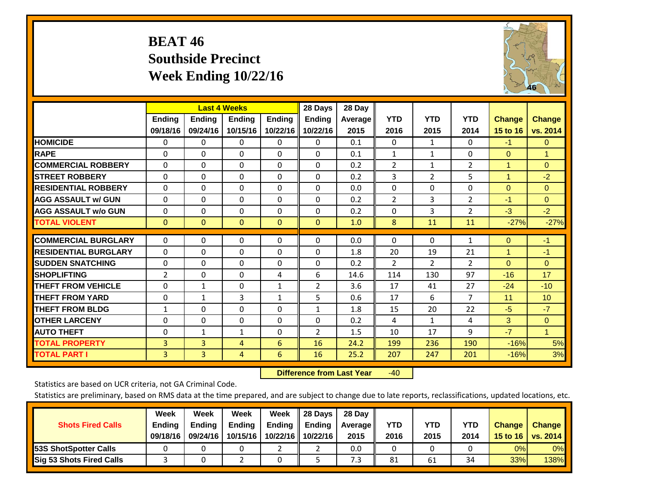# **BEAT 46 Southside Precinct Week Ending 10/22/16**



|                             |                | <b>Last 4 Weeks</b> |              |               | 28 Days        | 28 Day  |                |                |                |                      |               |
|-----------------------------|----------------|---------------------|--------------|---------------|----------------|---------|----------------|----------------|----------------|----------------------|---------------|
|                             | Ending         | <b>Ending</b>       | Ending       | <b>Endina</b> | <b>Endina</b>  | Average | <b>YTD</b>     | <b>YTD</b>     | <b>YTD</b>     | <b>Change</b>        | <b>Change</b> |
|                             | 09/18/16       | 09/24/16            | 10/15/16     | 10/22/16      | 10/22/16       | 2015    | 2016           | 2015           | 2014           | 15 to 16             | vs. 2014      |
| <b>HOMICIDE</b>             | 0              | 0                   | 0            | $\Omega$      | 0              | 0.1     | $\Omega$       | $\mathbf{1}$   | 0              | $-1$                 | $\Omega$      |
| <b>RAPE</b>                 | $\Omega$       | 0                   | $\Omega$     | $\Omega$      | $\Omega$       | 0.1     | 1              | 1              | $\Omega$       | $\mathbf{0}$         | $\mathbf{1}$  |
| <b>COMMERCIAL ROBBERY</b>   | $\Omega$       | 0                   | $\Omega$     | $\Omega$      | $\Omega$       | 0.2     | $\overline{2}$ | 1              | $\overline{2}$ | 1                    | $\Omega$      |
| <b>STREET ROBBERY</b>       | $\Omega$       | 0                   | $\Omega$     | $\mathbf{0}$  | $\Omega$       | 0.2     | 3              | 2              | 5              | $\blacktriangleleft$ | $-2$          |
| <b>RESIDENTIAL ROBBERY</b>  | $\Omega$       | 0                   | $\Omega$     | $\mathbf{0}$  | $\Omega$       | 0.0     | $\Omega$       | $\Omega$       | 0              | $\mathbf{0}$         | $\Omega$      |
| <b>AGG ASSAULT w/ GUN</b>   | $\Omega$       | $\Omega$            | $\Omega$     | $\Omega$      | $\Omega$       | 0.2     | 2              | 3              | 2              | $-1$                 | $\mathbf{0}$  |
| <b>AGG ASSAULT w/o GUN</b>  | $\mathbf 0$    | 0                   | $\Omega$     | $\Omega$      | $\Omega$       | 0.2     | $\Omega$       | 3              | $\overline{2}$ | $-3$                 | $-2$          |
| <b>TOTAL VIOLENT</b>        | $\mathbf{0}$   | $\mathbf{0}$        | $\mathbf{0}$ | $\mathbf{0}$  | $\Omega$       | 1.0     | 8              | 11             | 11             | $-27%$               | $-27%$        |
|                             |                |                     |              |               |                |         |                |                |                |                      |               |
| <b>COMMERCIAL BURGLARY</b>  | $\mathbf 0$    | $\Omega$            | 0            | 0             | $\Omega$       | 0.0     | $\mathbf 0$    | $\Omega$       | 1              | $\mathbf{0}$         | $-1$          |
| <b>RESIDENTIAL BURGLARY</b> | $\Omega$       | 0                   | $\Omega$     | $\mathbf{0}$  | $\Omega$       | 1.8     | 20             | 19             | 21             | 1                    | $-1$          |
| <b>SUDDEN SNATCHING</b>     | $\Omega$       | $\Omega$            | $\Omega$     | $\Omega$      | $\Omega$       | 0.2     | 2              | $\overline{2}$ | $\overline{2}$ | $\mathbf{0}$         | $\mathbf{0}$  |
| <b>SHOPLIFTING</b>          | $\overline{2}$ | 0                   | $\Omega$     | 4             | 6              | 14.6    | 114            | 130            | 97             | $-16$                | 17            |
| <b>THEFT FROM VEHICLE</b>   | 0              | 1                   | 0            | 1             | $\overline{2}$ | 3.6     | 17             | 41             | 27             | $-24$                | $-10$         |
| <b>THEFT FROM YARD</b>      | $\Omega$       | 1                   | 3            | $\mathbf{1}$  | 5              | 0.6     | 17             | 6              | $\overline{7}$ | 11                   | 10            |
| <b>THEFT FROM BLDG</b>      | $\mathbf{1}$   | 0                   | $\Omega$     | $\Omega$      | 1              | 1.8     | 15             | 20             | 22             | $-5$                 | $-7$          |
| <b>OTHER LARCENY</b>        | $\Omega$       | 0                   | $\Omega$     | $\Omega$      | $\Omega$       | 0.2     | 4              | $\mathbf{1}$   | 4              | 3                    | $\Omega$      |
| <b>AUTO THEFT</b>           | 0              | 1                   | $\mathbf{1}$ | $\mathbf{0}$  | 2              | 1.5     | 10             | 17             | 9              | $-7$                 | $\mathbf{1}$  |
| <b>TOTAL PROPERTY</b>       | 3              | 3                   | 4            | 6             | 16             | 24.2    | 199            | 236            | 190            | $-16%$               | 5%            |
| <b>TOTAL PART I</b>         | 3              | 3                   | 4            | 6             | 16             | 25.2    | 207            | 247            | 201            | $-16%$               | 3%            |

 **Difference from Last Year**r -40

Statistics are based on UCR criteria, not GA Criminal Code.

| <b>Shots Fired Calls</b>        | Week<br><b>Ending</b><br>09/18/16 | Week<br><b>Endina</b><br>09/24/16 | Week<br>Ending<br>10/15/16 | Week<br>Ending<br>10/22/16 | 28 Days<br><b>Ending</b><br>10/22/16 | 28 Day<br>Average II<br>2015 | YTD<br>2016 | YTD<br>2015 | YTD<br>2014 | <b>Change</b><br>15 to 16 $\vert$ | <b>Change</b><br>vs. 2014 |
|---------------------------------|-----------------------------------|-----------------------------------|----------------------------|----------------------------|--------------------------------------|------------------------------|-------------|-------------|-------------|-----------------------------------|---------------------------|
| <b>153S ShotSpotter Calls</b>   |                                   |                                   |                            |                            |                                      | 0.0                          |             |             |             | 0%                                | 0%                        |
| <b>Sig 53 Shots Fired Calls</b> |                                   |                                   |                            |                            |                                      | 7.3                          | 81          | 61          | 34          | 33%                               | 138%                      |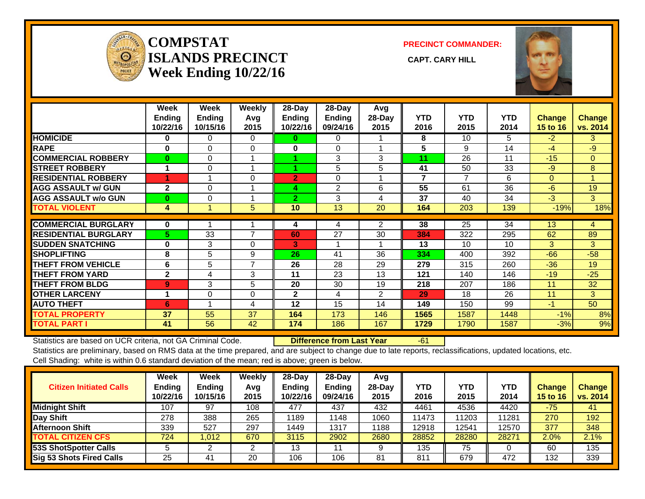

#### **COMPSTATISLANDS PRECINCT** CAPT. CARY HILL **Week Ending 10/22/16**

**PRECINCT COMMANDER:**



|                             | Week<br><b>Ending</b><br>10/22/16 | Week<br><b>Ending</b><br>10/15/16 | Weekly<br>Avq<br>2015 | 28-Day<br><b>Ending</b><br>10/22/16 | 28-Day<br><b>Ending</b><br>09/24/16 | Avg<br>28-Day<br>2015 | <b>YTD</b><br>2016 | <b>YTD</b><br>2015 | <b>YTD</b><br>2014 | <b>Change</b><br>15 to 16 | <b>Change</b><br>vs. 2014 |
|-----------------------------|-----------------------------------|-----------------------------------|-----------------------|-------------------------------------|-------------------------------------|-----------------------|--------------------|--------------------|--------------------|---------------------------|---------------------------|
| <b>HOMICIDE</b>             | 0                                 | $\Omega$                          | $\Omega$              | 0                                   | 0                                   |                       | 8                  | 10                 | 5                  | $-2$                      | 3                         |
| <b>RAPE</b>                 | $\bf{0}$                          | $\Omega$                          | $\Omega$              | 0                                   | $\Omega$                            |                       | 5                  | 9                  | 14                 | $-4$                      | $-9$                      |
| <b>COMMERCIAL ROBBERY</b>   | $\bf{0}$                          | $\Omega$                          |                       |                                     | 3                                   | 3                     | 11                 | 26                 | 11                 | $-15$                     | $\Omega$                  |
| <b>STREET ROBBERY</b>       | 1                                 | 0                                 |                       |                                     | 5                                   | 5                     | 41                 | 50                 | 33                 | $-9$                      | 8                         |
| <b>RESIDENTIAL ROBBERY</b>  |                                   |                                   | $\Omega$              | $\overline{2}$                      | $\Omega$                            |                       | 7                  | 7                  | 6                  | $\Omega$                  | 4                         |
| <b>AGG ASSAULT w/ GUN</b>   | $\overline{2}$                    | 0                                 |                       | 4                                   | $\overline{2}$                      | 6                     | 55                 | 61                 | 36                 | $-6$                      | 19                        |
| <b>AGG ASSAULT w/o GUN</b>  | $\bf{0}$                          | $\Omega$                          |                       | $\overline{2}$                      | 3                                   | 4                     | 37                 | 40                 | 34                 | $-3$                      | 3                         |
| <b>TOTAL VIOLENT</b>        | 4                                 |                                   | 5                     | 10 <sup>°</sup>                     | 13                                  | 20                    | 164                | 203                | 139                | $-19%$                    | 18%                       |
| <b>COMMERCIAL BURGLARY</b>  | $\bf{0}$                          |                                   |                       | 4                                   | 4                                   | $\overline{2}$        | 38                 | 25                 | 34                 | 13                        | 4                         |
| <b>RESIDENTIAL BURGLARY</b> | 5                                 | 33                                | 7                     | 60                                  | 27                                  | 30                    | 384                | 322                | 295                | 62                        | 89                        |
| <b>SUDDEN SNATCHING</b>     | $\bf{0}$                          | 3                                 | $\Omega$              | 3                                   |                                     |                       | 13                 | 10                 | 10                 | 3                         | 3                         |
| <b>SHOPLIFTING</b>          | 8                                 | 5                                 | 9                     | 26                                  | 41                                  | 36                    | 334                | 400                | 392                | $-66$                     | $-58$                     |
| <b>THEFT FROM VEHICLE</b>   | 6                                 | 5                                 | 7                     | 26                                  | 28                                  | 29                    | 279                | 315                | 260                | $-36$                     | 19                        |
| <b>THEFT FROM YARD</b>      | $\mathbf{2}$                      | 4                                 | 3                     | 11                                  | 23                                  | 13                    | 121                | 140                | 146                | $-19$                     | $-25$                     |
| <b>THEFT FROM BLDG</b>      | 9                                 | 3                                 | 5                     | 20                                  | 30                                  | 19                    | 218                | 207                | 186                | 11                        | 32                        |
| <b>OTHER LARCENY</b>        | 1                                 | $\Omega$                          | $\Omega$              | $\mathbf{2}$                        | 4                                   | 2                     | 29                 | 18                 | 26                 | 11                        | 3                         |
| <b>AUTO THEFT</b>           | 6                                 |                                   | 4                     | 12                                  | 15                                  | 14                    | 149                | 150                | 99                 | $-1$                      | 50                        |
| <b>TOTAL PROPERTY</b>       | 37                                | 55                                | 37                    | 164                                 | 173                                 | 146                   | 1565               | 1587               | 1448               | $-1%$                     | 8%                        |
| <b>TOTAL PART I</b>         | 41                                | 56                                | 42                    | 174                                 | 186                                 | 167                   | 1729               | 1790               | 1587               | $-3%$                     | 9%                        |

Statistics are based on UCR criteria, not GA Criminal Code. **Difference from Last Year** -61 Statistics are preliminary, based on RMS data at the time prepared, and are subject to change due to late reports, reclassifications, updated locations, etc. Cell Shading: white is within 0.6 standard deviation of the mean; red is above; green is below.

| <b>Citizen Initiated Calls</b>  | Week<br><b>Ending</b><br>10/22/16 | Week<br><b>Ending</b><br>10/15/16 | Weekly<br>Avg<br>2015 | 28-Dav<br><b>Ending</b><br>10/22/16 | 28-Day<br>Ending<br>09/24/16 | Avg<br>$28-Dav$<br>2015 | YTD<br>2016 | <b>YTD</b><br>2015 | YTD<br>2014 | <b>Change</b><br><b>15 to 16</b> | <b>Change</b><br>vs. 2014 |
|---------------------------------|-----------------------------------|-----------------------------------|-----------------------|-------------------------------------|------------------------------|-------------------------|-------------|--------------------|-------------|----------------------------------|---------------------------|
| <b>Midnight Shift</b>           | 107                               | 97                                | 108                   | 477                                 | 437                          | 432                     | 4461        | 4536               | 4420        | $-75$                            | 41                        |
| Day Shift                       | 278                               | 388                               | 265                   | 1189                                | 1148                         | 1060                    | 11473       | 11203              | 11281       | 270                              | 192                       |
| <b>Afternoon Shift</b>          | 339                               | 527                               | 297                   | 1449                                | 1317                         | 1188                    | 12918       | 12541              | 12570       | 377                              | 348                       |
| <b>TOTAL CITIZEN CFS</b>        | 724                               | 1.012                             | 670                   | 3115                                | 2902                         | 2680                    | 28852       | 28280              | 28271       | 2.0%                             | 2.1%                      |
| <b>53S ShotSpotter Calls</b>    |                                   |                                   |                       | 13                                  |                              |                         | 135         | 75                 |             | 60                               | 135                       |
| <b>Sig 53 Shots Fired Calls</b> | 25                                | 41                                | 20                    | 106                                 | 106                          | 81                      | 811         | 679                | 472         | 132                              | 339                       |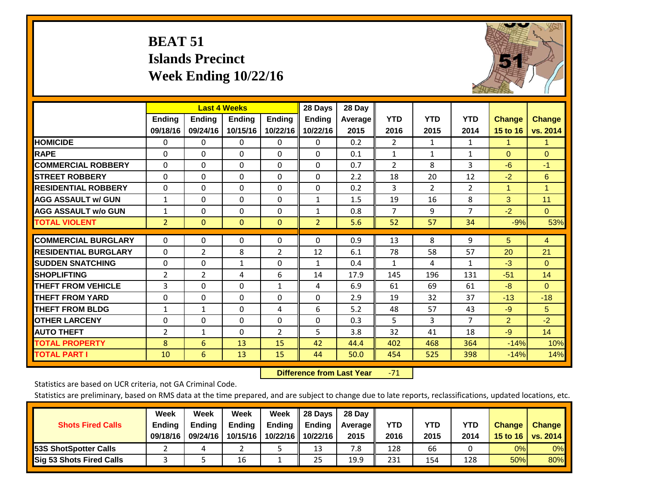# **BEAT 51 Islands Precinct Week Ending 10/22/16**



|                             |                | <b>Last 4 Weeks</b> |              |                | 28 Days        | 28 Day  |                |                |                |                |                |
|-----------------------------|----------------|---------------------|--------------|----------------|----------------|---------|----------------|----------------|----------------|----------------|----------------|
|                             | <b>Ending</b>  | <b>Ending</b>       | Ending       | <b>Ending</b>  | <b>Ending</b>  | Average | <b>YTD</b>     | <b>YTD</b>     | <b>YTD</b>     | <b>Change</b>  | <b>Change</b>  |
|                             | 09/18/16       | 09/24/16            | 10/15/16     | 10/22/16       | 10/22/16       | 2015    | 2016           | 2015           | 2014           | 15 to 16       | vs. 2014       |
| <b>HOMICIDE</b>             | $\mathbf{0}$   | $\mathbf{0}$        | $\mathbf{0}$ | $\Omega$       | 0              | 0.2     | $\overline{2}$ | $\mathbf{1}$   | 1              | 1              | 1.             |
| <b>RAPE</b>                 | 0              | $\Omega$            | $\Omega$     | $\Omega$       | $\Omega$       | 0.1     | 1              | 1              | 1              | $\Omega$       | $\Omega$       |
| <b>COMMERCIAL ROBBERY</b>   | $\Omega$       | 0                   | $\Omega$     | $\Omega$       | $\Omega$       | 0.7     | 2              | 8              | 3              | $-6$           | $-1$           |
| <b>STREET ROBBERY</b>       | $\Omega$       | $\Omega$            | $\Omega$     | $\Omega$       | $\Omega$       | 2.2     | 18             | 20             | 12             | $-2$           | 6              |
| <b>RESIDENTIAL ROBBERY</b>  | $\Omega$       | $\Omega$            | $\Omega$     | $\mathbf{0}$   | $\Omega$       | 0.2     | 3              | $\overline{2}$ | $\overline{2}$ | $\overline{1}$ | $\mathbf{1}$   |
| <b>AGG ASSAULT w/ GUN</b>   | $\mathbf{1}$   | 0                   | $\Omega$     | $\mathbf{0}$   | $\mathbf{1}$   | 1.5     | 19             | 16             | 8              | 3              | 11             |
| <b>AGG ASSAULT w/o GUN</b>  | $\mathbf{1}$   | 0                   | $\mathbf{0}$ | $\Omega$       | $\mathbf{1}$   | 0.8     | 7              | 9              | $\overline{7}$ | $-2$           | $\Omega$       |
| <b>TOTAL VIOLENT</b>        | $\overline{2}$ | $\mathbf{0}$        | $\mathbf{0}$ | $\mathbf{0}$   | $\overline{2}$ | 5.6     | 52             | 57             | 34             | $-9%$          | 53%            |
|                             |                |                     |              |                |                |         |                |                |                |                |                |
| <b>COMMERCIAL BURGLARY</b>  | $\Omega$       | 0                   | 0            | 0              | $\Omega$       | 0.9     | 13             | 8              | 9              | 5              | $\overline{4}$ |
| <b>RESIDENTIAL BURGLARY</b> | $\Omega$       | 2                   | 8            | $\overline{2}$ | 12             | 6.1     | 78             | 58             | 57             | 20             | 21             |
| <b>ISUDDEN SNATCHING</b>    | $\Omega$       | 0                   | $\mathbf{1}$ | $\Omega$       | $\mathbf{1}$   | 0.4     | $\mathbf{1}$   | 4              | 1              | $-3$           | $\Omega$       |
| <b>SHOPLIFTING</b>          | 2              | $\overline{2}$      | 4            | 6              | 14             | 17.9    | 145            | 196            | 131            | $-51$          | 14             |
| <b>THEFT FROM VEHICLE</b>   | 3              | $\Omega$            | $\Omega$     | $\mathbf{1}$   | 4              | 6.9     | 61             | 69             | 61             | $-8$           | $\Omega$       |
| <b>THEFT FROM YARD</b>      | $\Omega$       | $\Omega$            | $\Omega$     | $\mathbf{0}$   | $\Omega$       | 2.9     | 19             | 32             | 37             | $-13$          | $-18$          |
| <b>THEFT FROM BLDG</b>      | 1              | 1                   | $\Omega$     | 4              | 6              | 5.2     | 48             | 57             | 43             | $-9$           | 5              |
| <b>OTHER LARCENY</b>        | 0              | 0                   | $\mathbf{0}$ | $\Omega$       | $\Omega$       | 0.3     | 5              | 3              | 7              | 2              | $-2$           |
| <b>AUTO THEFT</b>           | $\overline{2}$ | $\mathbf{1}$        | $\Omega$     | $\overline{2}$ | 5              | 3.8     | 32             | 41             | 18             | $-9$           | 14             |
| <b>TOTAL PROPERTY</b>       | 8              | 6                   | 13           | 15             | 42             | 44.4    | 402            | 468            | 364            | $-14%$         | 10%            |
| <b>TOTAL PART I</b>         | 10             | 6                   | 13           | 15             | 44             | 50.0    | 454            | 525            | 398            | $-14%$         | 14%            |

 **Difference from Last Year**‐71

Statistics are based on UCR criteria, not GA Criminal Code.

|                                 | Week          | Week          | Week     | Week     | 28 Days       | 28 Day            |      |      |            |               |                 |
|---------------------------------|---------------|---------------|----------|----------|---------------|-------------------|------|------|------------|---------------|-----------------|
| <b>Shots Fired Calls</b>        | <b>Ending</b> | <b>Endina</b> | Ending   | Ending   | <b>Ending</b> | <b>Average</b> II | YTD  | YTD  | <b>YTD</b> | <b>Change</b> | <b>Change</b>   |
|                                 | 09/18/16      | 09/24/16      | 10/15/16 | 10/22/16 | 10/22/16      | 2015              | 2016 | 2015 | 2014       | 15 to 16      | <b>VS. 2014</b> |
| <b>153S ShotSpotter Calls</b>   |               |               |          |          | 13            | 7.8               | 128  | 66   |            | 0%            | 0%              |
| <b>Sig 53 Shots Fired Calls</b> |               |               | 16       |          | 25            | 19.9              | 231  | 154  | 128        | 50%           | 80%             |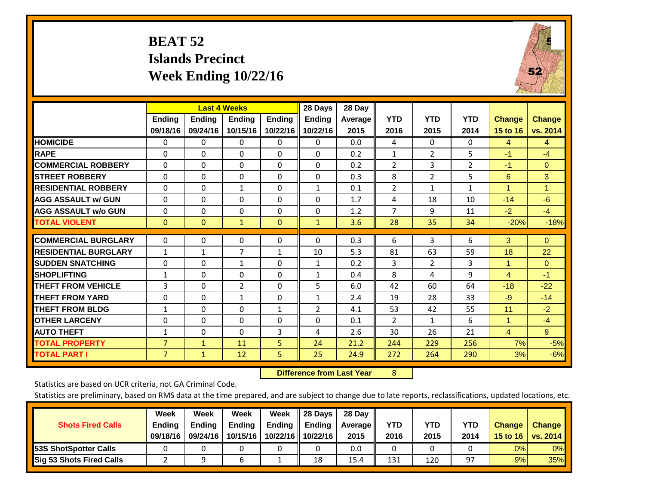# **BEAT 52 Islands Precinct Week Ending 10/22/16**



|                             |                    | <b>Last 4 Weeks</b>       |                    |                           | 28 Days                   | 28 Day          |                    |                    |                    |                                  |                    |
|-----------------------------|--------------------|---------------------------|--------------------|---------------------------|---------------------------|-----------------|--------------------|--------------------|--------------------|----------------------------------|--------------------|
|                             | Ending<br>09/18/16 | <b>Ending</b><br>09/24/16 | Ending<br>10/15/16 | <b>Ending</b><br>10/22/16 | <b>Endina</b><br>10/22/16 | Average<br>2015 | <b>YTD</b><br>2016 | <b>YTD</b><br>2015 | <b>YTD</b><br>2014 | <b>Change</b><br><b>15 to 16</b> | Change<br>vs. 2014 |
| <b>HOMICIDE</b>             | $\Omega$           | 0                         | 0                  | $\Omega$                  | 0                         | 0.0             | 4                  | $\Omega$           | 0                  | 4                                | $\overline{4}$     |
| <b>RAPE</b>                 | $\Omega$           | 0                         | $\Omega$           | $\Omega$                  | $\Omega$                  | 0.2             | 1                  | $\overline{2}$     | 5                  | $-1$                             | $-4$               |
| <b>COMMERCIAL ROBBERY</b>   | $\Omega$           | 0                         | 0                  | $\Omega$                  | $\Omega$                  | 0.2             | $\overline{2}$     | 3                  | 2                  | $-1$                             | $\Omega$           |
| <b>STREET ROBBERY</b>       | $\Omega$           | $\Omega$                  | $\Omega$           | $\Omega$                  | $\Omega$                  | 0.3             | 8                  | $\overline{2}$     | 5                  | 6                                | 3                  |
| <b>RESIDENTIAL ROBBERY</b>  | $\Omega$           | 0                         | $\mathbf{1}$       | $\Omega$                  | 1                         | 0.1             | $\overline{2}$     | $\mathbf{1}$       | 1                  | 4                                | 1                  |
| <b>AGG ASSAULT w/ GUN</b>   | $\Omega$           | 0                         | $\Omega$           | $\Omega$                  | $\Omega$                  | 1.7             | 4                  | 18                 | 10                 | $-14$                            | $-6$               |
| <b>AGG ASSAULT w/o GUN</b>  | $\Omega$           | 0                         | $\Omega$           | $\Omega$                  | $\Omega$                  | 1.2             | $\overline{7}$     | 9                  | 11                 | $-2$                             | $-4$               |
| <b>TOTAL VIOLENT</b>        | $\mathbf{0}$       | $\Omega$                  | $\mathbf{1}$       | $\mathbf{0}$              | $\mathbf{1}$              | 3.6             | 28                 | 35                 | 34                 | $-20%$                           | $-18%$             |
| <b>COMMERCIAL BURGLARY</b>  | 0                  | $\Omega$                  | 0                  | 0                         | 0                         | 0.3             | 6                  | 3                  | 6                  | 3                                | $\mathbf{0}$       |
| <b>RESIDENTIAL BURGLARY</b> | $\mathbf{1}$       | 1                         | 7                  | $\mathbf{1}$              | 10                        | 5.3             | 81                 | 63                 | 59                 | 18                               | 22                 |
| <b>ISUDDEN SNATCHING</b>    | 0                  | 0                         | $\mathbf{1}$       | $\Omega$                  | $\mathbf{1}$              | 0.2             | 3                  | 2                  | 3                  | 1                                | $\Omega$           |
| <b>SHOPLIFTING</b>          | $\mathbf{1}$       | $\Omega$                  | $\Omega$           | $\Omega$                  | $\mathbf{1}$              | 0.4             | 8                  | 4                  | 9                  | $\overline{4}$                   | $-1$               |
| <b>THEFT FROM VEHICLE</b>   | 3                  | $\Omega$                  | $\overline{2}$     | $\Omega$                  | 5                         | 6.0             | 42                 | 60                 | 64                 | $-18$                            | $-22$              |
| <b>THEFT FROM YARD</b>      | $\Omega$           | $\Omega$                  | 1                  | $\mathbf{0}$              | $\mathbf{1}$              | 2.4             | 19                 | 28                 | 33                 | $-9$                             | $-14$              |
| <b>THEFT FROM BLDG</b>      | 1                  | 0                         | $\Omega$           | 1                         | 2                         | 4.1             | 53                 | 42                 | 55                 | 11                               | $-2$               |
| <b>OTHER LARCENY</b>        | 0                  | 0                         | $\Omega$           | $\mathbf{0}$              | 0                         | 0.1             | 2                  | 1                  | 6                  | 1                                | $-4$               |
| <b>AUTO THEFT</b>           | $\mathbf{1}$       | 0                         | $\Omega$           | 3                         | 4                         | 2.6             | 30                 | 26                 | 21                 | $\overline{4}$                   | $\overline{9}$     |
| <b>TOTAL PROPERTY</b>       | $\overline{7}$     | $\mathbf{1}$              | 11                 | 5 <sup>5</sup>            | 24                        | 21.2            | 244                | 229                | 256                | 7%                               | $-5%$              |
| <b>TOTAL PART I</b>         | $\overline{7}$     | $\mathbf{1}$              | 12                 | 5.                        | 25                        | 24.9            | 272                | 264                | 290                | 3%                               | $-6%$              |

 **Difference from Last Year**r 8

Statistics are based on UCR criteria, not GA Criminal Code.

| <b>Shots Fired Calls</b>        | Week<br><b>Ending</b><br>09/18/16 | Week<br><b>Endina</b><br>09/24/16 | Week<br>Ending<br>10/15/16 | Week<br>Ending<br>10/22/16 | 28 Days<br><b>Ending</b><br>10/22/16 | 28 Day<br>Average II<br>2015 | YTD<br>2016 | YTD<br>2015 | YTD<br>2014 | <b>Change</b><br>15 to $16$ | <b>Change</b><br>vs. 2014 |
|---------------------------------|-----------------------------------|-----------------------------------|----------------------------|----------------------------|--------------------------------------|------------------------------|-------------|-------------|-------------|-----------------------------|---------------------------|
| <b>153S ShotSpotter Calls</b>   |                                   |                                   |                            |                            |                                      | 0.0                          |             |             |             | 0%                          | 0%                        |
| <b>Sig 53 Shots Fired Calls</b> |                                   |                                   | n                          |                            | 18                                   | 15.4                         | 131         | 120         | 97          | 9%                          | 35%                       |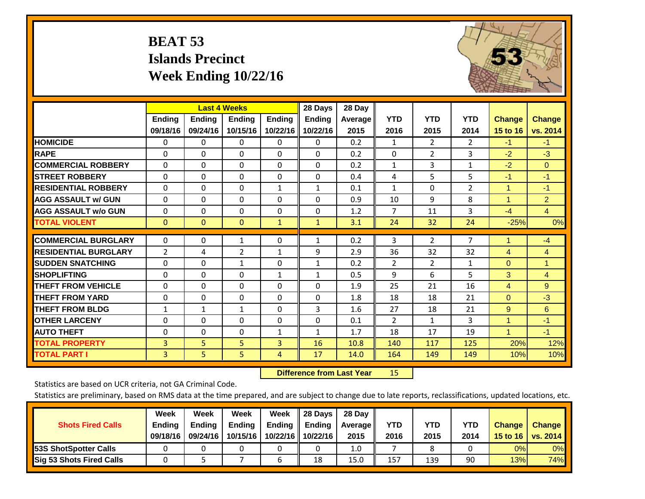# **BEAT 53 Islands Precinct Week Ending 10/22/16**



|                             |                |                | <b>Last 4 Weeks</b> |               | 28 Days       | 28 Day         |                |                |                |                |                |
|-----------------------------|----------------|----------------|---------------------|---------------|---------------|----------------|----------------|----------------|----------------|----------------|----------------|
|                             | Ending         | <b>Ending</b>  | <b>Endina</b>       | <b>Ending</b> | <b>Ending</b> | <b>Average</b> | <b>YTD</b>     | <b>YTD</b>     | <b>YTD</b>     | <b>Change</b>  | <b>Change</b>  |
|                             | 09/18/16       | 09/24/16       | 10/15/16            | 10/22/16      | 10/22/16      | 2015           | 2016           | 2015           | 2014           | 15 to 16       | vs. 2014       |
| <b>HOMICIDE</b>             | 0              | 0              | 0                   | 0             | 0             | 0.2            | $\mathbf{1}$   | $\overline{2}$ | $\overline{2}$ | $-1$           | $-1$           |
| <b>RAPE</b>                 | $\Omega$       | 0              | $\mathbf{0}$        | $\Omega$      | $\Omega$      | 0.2            | 0              | $\overline{2}$ | 3              | $-2$           | $-3$           |
| <b>COMMERCIAL ROBBERY</b>   | $\Omega$       | 0              | $\mathbf 0$         | $\Omega$      | $\Omega$      | 0.2            | 1              | 3              | 1              | $-2$           | $\Omega$       |
| <b>STREET ROBBERY</b>       | 0              | $\Omega$       | 0                   | 0             | $\Omega$      | 0.4            | 4              | 5              | 5              | $-1$           | $-1$           |
| <b>RESIDENTIAL ROBBERY</b>  | $\Omega$       | $\Omega$       | $\mathbf 0$         | 1             | 1             | 0.1            | 1              | $\Omega$       | $\overline{2}$ | $\mathbf{1}$   | $-1$           |
| <b>AGG ASSAULT w/ GUN</b>   | $\Omega$       | 0              | 0                   | $\Omega$      | $\Omega$      | 0.9            | 10             | 9              | 8              | $\overline{1}$ | $\overline{2}$ |
| <b>AGG ASSAULT w/o GUN</b>  | $\Omega$       | 0              | $\Omega$            | $\Omega$      | $\Omega$      | 1.2            | 7              | 11             | 3              | $-4$           | $\overline{4}$ |
| <b>TOTAL VIOLENT</b>        | $\mathbf{0}$   | $\overline{0}$ | $\mathbf{0}$        | $\mathbf{1}$  | $\mathbf{1}$  | 3.1            | 24             | 32             | 24             | $-25%$         | 0%             |
| <b>COMMERCIAL BURGLARY</b>  | 0              | 0              | 1                   | 0             | 1             | 0.2            | 3              | 2              | $\overline{7}$ | 1              | $-4$           |
|                             |                |                |                     |               |               |                |                |                |                |                |                |
| <b>RESIDENTIAL BURGLARY</b> | $\overline{2}$ | 4              | $\overline{2}$      | $\mathbf{1}$  | 9             | 2.9            | 36             | 32             | 32             | $\overline{4}$ | $\overline{4}$ |
| <b>SUDDEN SNATCHING</b>     | $\Omega$       | $\Omega$       | $\mathbf{1}$        | $\Omega$      | $\mathbf{1}$  | 0.2            | $\overline{2}$ | $\overline{2}$ | $\mathbf{1}$   | $\Omega$       | $\mathbf{1}$   |
| <b>SHOPLIFTING</b>          | $\Omega$       | 0              | $\mathbf{0}$        | $\mathbf{1}$  | $\mathbf{1}$  | 0.5            | 9              | 6              | 5              | 3              | $\overline{4}$ |
| <b>THEFT FROM VEHICLE</b>   | $\Omega$       | $\Omega$       | 0                   | $\Omega$      | $\Omega$      | 1.9            | 25             | 21             | 16             | 4              | 9              |
| <b>THEFT FROM YARD</b>      | 0              | $\Omega$       | 0                   | $\Omega$      | $\Omega$      | 1.8            | 18             | 18             | 21             | $\mathbf{0}$   | $-3$           |
| <b>THEFT FROM BLDG</b>      | $\mathbf{1}$   | 1              | $\mathbf{1}$        | $\Omega$      | 3             | 1.6            | 27             | 18             | 21             | 9              | 6              |
| <b>OTHER LARCENY</b>        | $\Omega$       | 0              | $\mathbf{0}$        | $\Omega$      | $\Omega$      | 0.1            | $\overline{2}$ | $\mathbf{1}$   | 3              | 1              | $-1$           |
| <b>AUTO THEFT</b>           | 0              | $\Omega$       | 0                   | $\mathbf{1}$  | $\mathbf{1}$  | 1.7            | 18             | 17             | 19             | $\overline{1}$ | $-1$           |
| <b>TOTAL PROPERTY</b>       | 3              | 5              | 5                   | 3             | 16            | 10.8           | 140            | 117            | 125            | 20%            | 12%            |
| <b>TOTAL PART I</b>         | $\overline{3}$ | 5              | 5                   | 4             | 17            | 14.0           | 164            | 149            | 149            | 10%            | 10%            |

 **Difference from Last Year**r 15

Statistics are based on UCR criteria, not GA Criminal Code.

| <b>Shots Fired Calls</b>        | Week<br><b>Ending</b><br>09/18/16 | Week<br><b>Endina</b><br>09/24/16 | Week<br>Ending<br>10/15/16 | Week<br>Ending<br>10/22/16 | 28 Days<br><b>Ending</b><br>10/22/16 | 28 Day<br>Average II<br>2015 | YTD<br>2016 | YTD<br>2015 | YTD<br>2014 | <b>Change</b><br>15 to $16$ | <b>Change</b><br>vs. 2014 |
|---------------------------------|-----------------------------------|-----------------------------------|----------------------------|----------------------------|--------------------------------------|------------------------------|-------------|-------------|-------------|-----------------------------|---------------------------|
| <b>153S ShotSpotter Calls</b>   |                                   |                                   |                            |                            |                                      | 1.0                          |             |             |             | 0%                          | 0%                        |
| <b>Sig 53 Shots Fired Calls</b> |                                   |                                   |                            |                            | 18                                   | 15.0                         | 157         | 139         | 90          | 13%                         | 74%                       |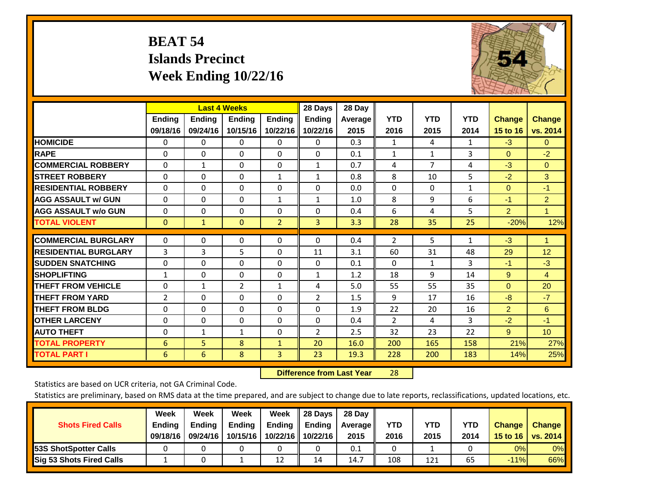# **BEAT 54 Islands Precinct Week Ending 10/22/16**



|                             | <b>Last 4 Weeks</b> |               |                |                | 28 Days        | 28 Day         |                |                |              |                |                 |
|-----------------------------|---------------------|---------------|----------------|----------------|----------------|----------------|----------------|----------------|--------------|----------------|-----------------|
|                             | Ending              | <b>Ending</b> | <b>Endina</b>  | <b>Ending</b>  | <b>Ending</b>  | <b>Average</b> | <b>YTD</b>     | <b>YTD</b>     | <b>YTD</b>   | <b>Change</b>  | <b>Change</b>   |
|                             | 09/18/16            | 09/24/16      | 10/15/16       | 10/22/16       | 10/22/16       | 2015           | 2016           | 2015           | 2014         | 15 to 16       | vs. 2014        |
| <b>HOMICIDE</b>             | 0                   | 0             | 0              | $\Omega$       | 0              | 0.3            | $\mathbf{1}$   | 4              | 1            | $-3$           | $\mathbf{0}$    |
| <b>RAPE</b>                 | $\Omega$            | 0             | $\Omega$       | $\Omega$       | $\Omega$       | 0.1            | 1              | 1              | 3            | $\Omega$       | $-2$            |
| <b>COMMERCIAL ROBBERY</b>   | $\Omega$            | 1             | $\mathbf 0$    | $\Omega$       | 1              | 0.7            | 4              | $\overline{7}$ | 4            | $-3$           | $\Omega$        |
| <b>STREET ROBBERY</b>       | 0                   | $\Omega$      | 0              | $\mathbf{1}$   | $\mathbf{1}$   | 0.8            | 8              | 10             | 5            | $-2$           | 3               |
| <b>RESIDENTIAL ROBBERY</b>  | $\Omega$            | 0             | $\mathbf 0$    | $\Omega$       | $\Omega$       | 0.0            | $\mathbf{0}$   | $\Omega$       | $\mathbf{1}$ | $\Omega$       | $-1$            |
| <b>AGG ASSAULT w/ GUN</b>   | $\Omega$            | 0             | 0              | 1              | $\mathbf{1}$   | 1.0            | 8              | 9              | 6            | $-1$           | $\overline{2}$  |
| <b>AGG ASSAULT w/o GUN</b>  | $\Omega$            | 0             | $\Omega$       | $\Omega$       | $\Omega$       | 0.4            | 6              | 4              | 5            | $\overline{2}$ | 1               |
| <b>TOTAL VIOLENT</b>        | $\mathbf{0}$        | $\mathbf{1}$  | $\mathbf{0}$   | $\overline{2}$ | 3              | 3.3            | 28             | 35             | 25           | $-20%$         | 12%             |
| <b>COMMERCIAL BURGLARY</b>  | 0                   | 0             | $\mathbf 0$    | 0              | $\Omega$       | 0.4            | $\overline{2}$ | 5              | 1            | $-3$           | 1               |
|                             |                     |               |                |                |                |                |                |                |              |                |                 |
| <b>RESIDENTIAL BURGLARY</b> | 3                   | 3             | 5              | $\Omega$       | 11             | 3.1            | 60             | 31             | 48           | 29             | 12              |
| <b>SUDDEN SNATCHING</b>     | $\Omega$            | 0             | $\Omega$       | $\Omega$       | $\Omega$       | 0.1            | $\Omega$       | $\mathbf{1}$   | 3            | $-1$           | $-3$            |
| <b>SHOPLIFTING</b>          | 1                   | 0             | $\mathbf{0}$   | 0              | $\mathbf{1}$   | 1.2            | 18             | 9              | 14           | 9              | $\overline{4}$  |
| <b>THEFT FROM VEHICLE</b>   | $\Omega$            | $\mathbf{1}$  | $\overline{2}$ | $\mathbf{1}$   | 4              | 5.0            | 55             | 55             | 35           | $\Omega$       | 20              |
| <b>THEFT FROM YARD</b>      | $\overline{2}$      | $\Omega$      | $\Omega$       | $\Omega$       | $\overline{2}$ | 1.5            | 9              | 17             | 16           | $-8$           | $-7$            |
| <b>THEFT FROM BLDG</b>      | 0                   | 0             | $\Omega$       | $\Omega$       | $\Omega$       | 1.9            | 22             | 20             | 16           | $\overline{2}$ | 6               |
| <b>OTHER LARCENY</b>        | $\Omega$            | 0             | $\mathbf{0}$   | $\Omega$       | $\Omega$       | 0.4            | $\overline{2}$ | 4              | 3            | $-2$           | $-1$            |
| <b>AUTO THEFT</b>           | 0                   | $\mathbf{1}$  | $\mathbf{1}$   | 0              | $\overline{2}$ | 2.5            | 32             | 23             | 22           | 9              | 10 <sup>°</sup> |
| <b>TOTAL PROPERTY</b>       | 6                   | 5             | 8              | $\mathbf{1}$   | 20             | 16.0           | 200            | 165            | 158          | 21%            | 27%             |
| <b>TOTAL PART I</b>         | 6                   | 6             | 8              | $\overline{3}$ | 23             | 19.3           | 228            | 200            | 183          | 14%            | 25%             |

 **Difference from Last Year**r 28

Statistics are based on UCR criteria, not GA Criminal Code.

| <b>Shots Fired Calls</b>        | Week<br><b>Ending</b><br>09/18/16 | Week<br><b>Endina</b><br>09/24/16 | Week<br>Ending<br>10/15/16 | Week<br>Ending<br>10/22/16 | 28 Days<br><b>Ending</b><br>10/22/16 | 28 Day<br>Average II<br>2015 | YTD<br>2016 | YTD<br>2015 | <b>YTD</b><br>2014 | <b>Change</b><br>15 to 16 | <b>Change</b><br>vs. 2014 |
|---------------------------------|-----------------------------------|-----------------------------------|----------------------------|----------------------------|--------------------------------------|------------------------------|-------------|-------------|--------------------|---------------------------|---------------------------|
| <b>153S ShotSpotter Calls</b>   |                                   |                                   |                            |                            |                                      | 0.1                          |             |             |                    | 0%                        | 0%                        |
| <b>Sig 53 Shots Fired Calls</b> |                                   |                                   |                            | 12                         | 14                                   | 14.7                         | 108         | 121         | 65                 | $-11%$                    | 66%                       |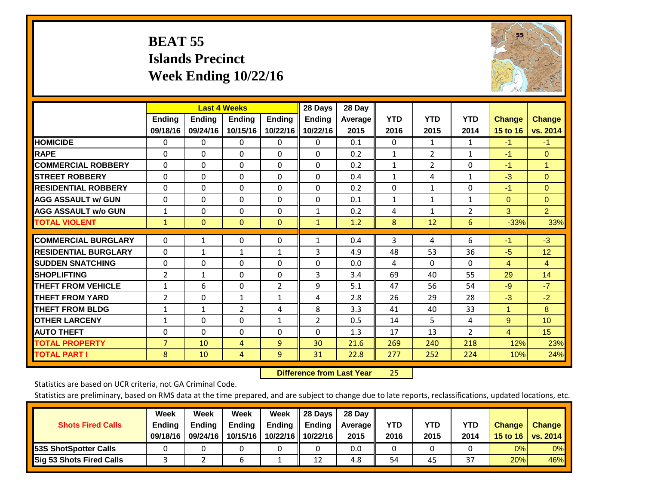# **BEAT 55 Islands Precinct Week Ending 10/22/16**



|                             | <b>Last 4 Weeks</b> |               |              |                | 28 Days        | 28 Day     |              |                |                |                |                      |
|-----------------------------|---------------------|---------------|--------------|----------------|----------------|------------|--------------|----------------|----------------|----------------|----------------------|
|                             | <b>Ending</b>       | <b>Ending</b> | Ending       | <b>Ending</b>  | <b>Ending</b>  | Average II | <b>YTD</b>   | <b>YTD</b>     | <b>YTD</b>     | <b>Change</b>  | <b>Change</b>        |
|                             | 09/18/16            | 09/24/16      | 10/15/16     | 10/22/16       | 10/22/16       | 2015       | 2016         | 2015           | 2014           | 15 to 16       | vs. 2014             |
| <b>HOMICIDE</b>             | 0                   | 0             | $\Omega$     | $\Omega$       | $\mathbf{0}$   | 0.1        | $\mathbf{0}$ | 1              | 1              | $-1$           | $-1$                 |
| <b>RAPE</b>                 | 0                   | $\Omega$      | $\Omega$     | $\Omega$       | $\Omega$       | 0.2        | 1            | 2              | 1              | $-1$           | $\mathbf{0}$         |
| <b>COMMERCIAL ROBBERY</b>   | $\Omega$            | 0             | $\Omega$     | 0              | $\Omega$       | 0.2        | 1            | $\overline{2}$ | 0              | $-1$           | $\blacktriangleleft$ |
| <b>ISTREET ROBBERY</b>      | $\Omega$            | $\Omega$      | $\Omega$     | $\Omega$       | $\Omega$       | 0.4        | $\mathbf{1}$ | 4              | $\mathbf{1}$   | $-3$           | $\Omega$             |
| <b>RESIDENTIAL ROBBERY</b>  | $\Omega$            | 0             | $\Omega$     | $\Omega$       | $\Omega$       | 0.2        | $\Omega$     | 1              | 0              | $-1$           | $\Omega$             |
| <b>AGG ASSAULT w/ GUN</b>   | $\Omega$            | 0             | $\mathbf{0}$ | $\mathbf{0}$   | $\Omega$       | 0.1        | 1            | $\mathbf{1}$   | 1              | $\Omega$       | $\mathbf{0}$         |
| <b>AGG ASSAULT w/o GUN</b>  | $\mathbf{1}$        | 0             | $\Omega$     | $\Omega$       | $\mathbf{1}$   | 0.2        | 4            | 1              | $\overline{2}$ | 3              | $\overline{2}$       |
| <b>TOTAL VIOLENT</b>        | 1                   | $\mathbf{0}$  | $\mathbf{0}$ | $\mathbf{0}$   | $\mathbf{1}$   | 1.2        | 8            | 12             | 6              | $-33%$         | 33%                  |
| <b>COMMERCIAL BURGLARY</b>  | $\Omega$            |               |              |                |                |            |              | 4              |                | $-1$           | $-3$                 |
|                             |                     | $\mathbf{1}$  | 0            | 0              | $\mathbf{1}$   | 0.4        | 3            |                | 6              |                |                      |
| <b>RESIDENTIAL BURGLARY</b> | $\Omega$            | 1             | 1            | 1              | 3              | 4.9        | 48           | 53             | 36             | -5             | 12                   |
| <b>ISUDDEN SNATCHING</b>    | 0                   | 0             | $\Omega$     | $\mathbf{0}$   | $\Omega$       | 0.0        | 4            | 0              | $\Omega$       | 4              | 4                    |
| <b>SHOPLIFTING</b>          | 2                   | 1             | $\Omega$     | 0              | 3              | 3.4        | 69           | 40             | 55             | 29             | 14                   |
| <b>THEFT FROM VEHICLE</b>   | $\mathbf{1}$        | 6             | $\Omega$     | $\overline{2}$ | 9              | 5.1        | 47           | 56             | 54             | $-9$           | $-7$                 |
| <b>THEFT FROM YARD</b>      | 2                   | $\Omega$      | 1            | 1              | 4              | 2.8        | 26           | 29             | 28             | $-3$           | $-2$                 |
| <b>THEFT FROM BLDG</b>      | 1                   | 1             | 2            | 4              | 8              | 3.3        | 41           | 40             | 33             | 1              | 8                    |
| <b>OTHER LARCENY</b>        | 1                   | 0             | $\mathbf{0}$ | 1              | $\overline{2}$ | 0.5        | 14           | 5.             | 4              | 9              | 10 <sup>1</sup>      |
| <b>AUTO THEFT</b>           | 0                   | $\Omega$      | $\Omega$     | 0              | $\Omega$       | 1.3        | 17           | 13             | $\overline{2}$ | $\overline{4}$ | 15                   |
| <b>TOTAL PROPERTY</b>       | $\overline{7}$      | 10            | 4            | 9              | 30             | 21.6       | 269          | 240            | 218            | 12%            | 23%                  |
| <b>TOTAL PART I</b>         | 8                   | 10            | 4            | 9              | 31             | 22.8       | 277          | 252            | 224            | 10%            | 24%                  |

 **Difference from Last Year**25

Statistics are based on UCR criteria, not GA Criminal Code.

| <b>Shots Fired Calls</b>        | Week<br><b>Ending</b><br>09/18/16 | Week<br><b>Endina</b><br>09/24/16 | Week<br>Ending<br>10/15/16 | Week<br>Ending<br>10/22/16 | 28 Days<br><b>Ending</b><br>10/22/16 | 28 Day<br>Average II<br>2015 | YTD<br>2016 | YTD<br>2015 | YTD<br>2014              | <b>Change</b><br>15 to 16 $\vert$ | <b>Change</b><br>vs. 2014 |
|---------------------------------|-----------------------------------|-----------------------------------|----------------------------|----------------------------|--------------------------------------|------------------------------|-------------|-------------|--------------------------|-----------------------------------|---------------------------|
| <b>153S ShotSpotter Calls</b>   |                                   |                                   |                            |                            |                                      | 0.0                          |             |             |                          | 0%                                | 0%                        |
| <b>Sig 53 Shots Fired Calls</b> |                                   |                                   | n                          |                            | 12                                   | 4.8                          | 54          | 45          | $\mathbin{\lnot}$<br>ر ک | 20%                               | 46%                       |